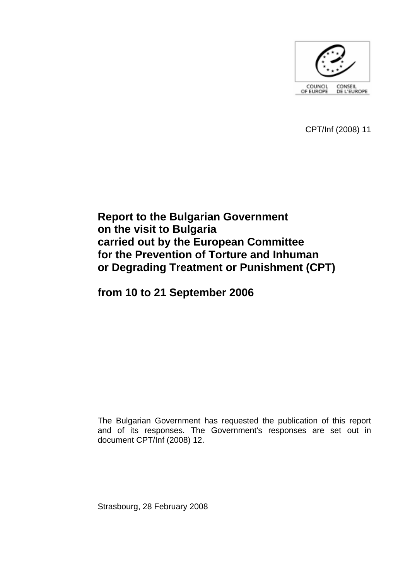

CPT/Inf (2008) 11

# **Report to the Bulgarian Government on the visit to Bulgaria carried out by the European Committee for the Prevention of Torture and Inhuman or Degrading Treatment or Punishment (CPT)**

**from 10 to 21 September 2006** 

The Bulgarian Government has requested the publication of this report and of its responses. The Government's responses are set out in document CPT/Inf (2008) 12.

Strasbourg, 28 February 2008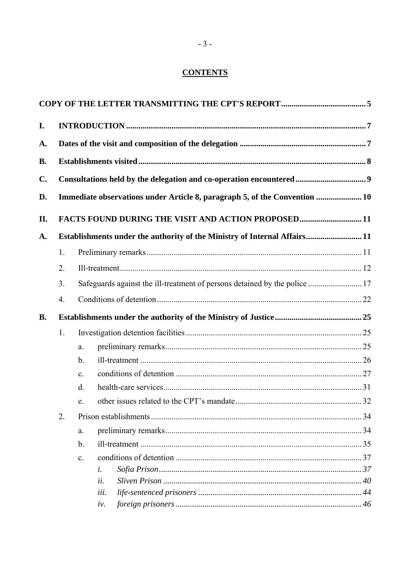# **CONTENTS**

| I.        |                                                                            |                                                                            |                                                                      |  |  |  |  |
|-----------|----------------------------------------------------------------------------|----------------------------------------------------------------------------|----------------------------------------------------------------------|--|--|--|--|
| A.        |                                                                            |                                                                            |                                                                      |  |  |  |  |
| <b>B.</b> |                                                                            |                                                                            |                                                                      |  |  |  |  |
| C.        |                                                                            |                                                                            | Consultations held by the delegation and co-operation encountered  9 |  |  |  |  |
| D.        | Immediate observations under Article 8, paragraph 5, of the Convention  10 |                                                                            |                                                                      |  |  |  |  |
| Η.        | FACTS FOUND DURING THE VISIT AND ACTION PROPOSED11                         |                                                                            |                                                                      |  |  |  |  |
| A.        | Establishments under the authority of the Ministry of Internal Affairs11   |                                                                            |                                                                      |  |  |  |  |
|           | 1.                                                                         |                                                                            |                                                                      |  |  |  |  |
|           | 2.                                                                         |                                                                            |                                                                      |  |  |  |  |
|           | 3.                                                                         | Safeguards against the ill-treatment of persons detained by the police  17 |                                                                      |  |  |  |  |
|           | $\overline{4}$ .                                                           |                                                                            |                                                                      |  |  |  |  |
| <b>B.</b> |                                                                            |                                                                            |                                                                      |  |  |  |  |
|           | 1.                                                                         |                                                                            |                                                                      |  |  |  |  |
|           |                                                                            | a.                                                                         |                                                                      |  |  |  |  |
|           |                                                                            | $\mathbf{b}$ .                                                             |                                                                      |  |  |  |  |
|           |                                                                            | $\mathbf{c}$ .                                                             |                                                                      |  |  |  |  |
|           |                                                                            | $\mathbf{d}$ .                                                             |                                                                      |  |  |  |  |
|           |                                                                            | e.                                                                         |                                                                      |  |  |  |  |
|           | 2.                                                                         |                                                                            |                                                                      |  |  |  |  |
|           |                                                                            | a.                                                                         |                                                                      |  |  |  |  |
|           |                                                                            | $\mathbf b$ .                                                              |                                                                      |  |  |  |  |
|           |                                                                            | $\mathbf{c}$ .                                                             |                                                                      |  |  |  |  |
|           |                                                                            | i.                                                                         |                                                                      |  |  |  |  |
|           |                                                                            | ii.                                                                        |                                                                      |  |  |  |  |
|           |                                                                            | iii.                                                                       |                                                                      |  |  |  |  |
|           |                                                                            | iv.                                                                        |                                                                      |  |  |  |  |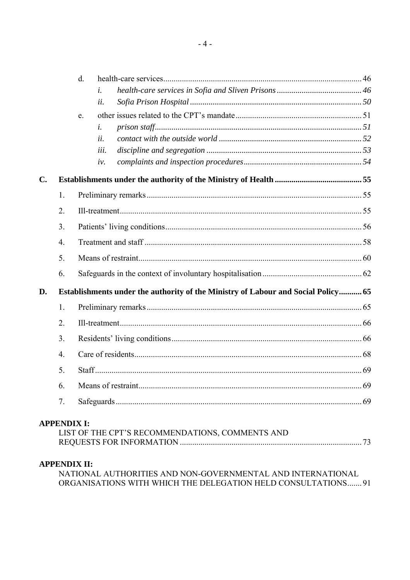|    |                  | $d_{\cdot}$                                                                       |  |  |  |  |
|----|------------------|-----------------------------------------------------------------------------------|--|--|--|--|
|    |                  | $\dot{i}$ .                                                                       |  |  |  |  |
|    |                  | ii.                                                                               |  |  |  |  |
|    |                  | e <sub>1</sub>                                                                    |  |  |  |  |
|    |                  | i.                                                                                |  |  |  |  |
|    |                  | ii.                                                                               |  |  |  |  |
|    |                  | iii.                                                                              |  |  |  |  |
|    |                  | iv.                                                                               |  |  |  |  |
| C. |                  |                                                                                   |  |  |  |  |
|    | 1.               |                                                                                   |  |  |  |  |
|    | 2.               |                                                                                   |  |  |  |  |
|    | 3.               |                                                                                   |  |  |  |  |
|    | $\overline{4}$ . |                                                                                   |  |  |  |  |
|    | 5.               |                                                                                   |  |  |  |  |
|    | 6.               |                                                                                   |  |  |  |  |
| D. |                  | Establishments under the authority of the Ministry of Labour and Social Policy 65 |  |  |  |  |
|    | 1.               |                                                                                   |  |  |  |  |
|    | 2.               |                                                                                   |  |  |  |  |
|    | 3.               |                                                                                   |  |  |  |  |
|    | $\overline{4}$ . |                                                                                   |  |  |  |  |
|    | 5.               |                                                                                   |  |  |  |  |
|    | 6.               |                                                                                   |  |  |  |  |
|    | 7.               |                                                                                   |  |  |  |  |
|    |                  | <b>APPENDIX I:</b>                                                                |  |  |  |  |

# LIST OF THE CPT'S RECOMMENDATIONS, COMMENTS AND

# **APPENDIX II:**

NATIONAL AUTHORITIES AND NON-GOVERNMENTAL AND INTERNATIONAL ORGANISATIONS WITH WHICH THE DELEGATION HELD CONSULTATIONS....... 91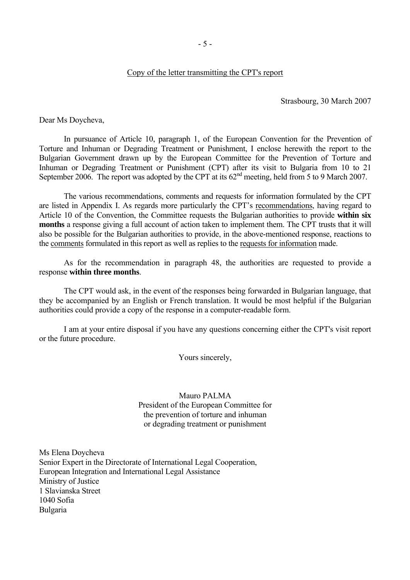#### Copy of the letter transmitting the CPT's report

Strasbourg, 30 March 2007

<span id="page-4-0"></span>Dear Ms Doycheva,

 In pursuance of Article 10, paragraph 1, of the European Convention for the Prevention of Torture and Inhuman or Degrading Treatment or Punishment, I enclose herewith the report to the Bulgarian Government drawn up by the European Committee for the Prevention of Torture and Inhuman or Degrading Treatment or Punishment (CPT) after its visit to Bulgaria from 10 to 21 September 2006. The report was adopted by the CPT at its  $62<sup>nd</sup>$  meeting, held from 5 to 9 March 2007.

The various recommendations, comments and requests for information formulated by the CPT are listed in Appendix I. As regards more particularly the CPT's recommendations, having regard to Article 10 of the Convention, the Committee requests the Bulgarian authorities to provide **within six months** a response giving a full account of action taken to implement them. The CPT trusts that it will also be possible for the Bulgarian authorities to provide, in the above-mentioned response, reactions to the comments formulated in this report as well as replies to the requests for information made.

As for the recommendation in paragraph 48, the authorities are requested to provide a response **within three months**.

The CPT would ask, in the event of the responses being forwarded in Bulgarian language, that they be accompanied by an English or French translation. It would be most helpful if the Bulgarian authorities could provide a copy of the response in a computer-readable form.

 I am at your entire disposal if you have any questions concerning either the CPT's visit report or the future procedure.

Yours sincerely,

Mauro PALMA President of the European Committee for the prevention of torture and inhuman or degrading treatment or punishment

Ms Elena Doycheva Senior Expert in the Directorate of International Legal Cooperation, European Integration and International Legal Assistance Ministry of Justice 1 Slavianska Street 1040 Sofia Bulgaria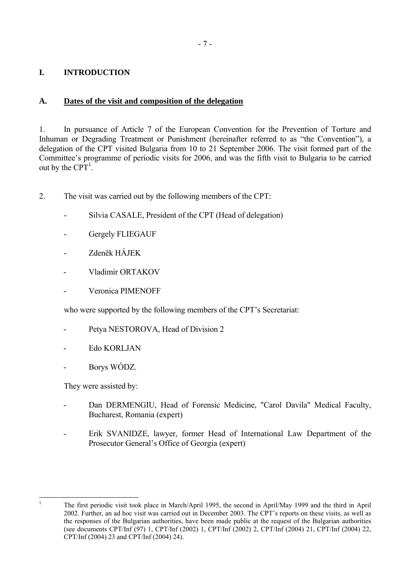# <span id="page-6-0"></span>**I. INTRODUCTION**

# **A. Dates of the visit and composition of the delegation**

1. In pursuance of Article 7 of the European Convention for the Prevention of Torture and Inhuman or Degrading Treatment or Punishment (hereinafter referred to as "the Convention"), a delegation of the CPT visited Bulgaria from 10 to 21 September 2006. The visit formed part of the Committee's programme of periodic visits for 2006, and was the fifth visit to Bulgaria to be carried out by the  $CPT<sup>1</sup>$ .

- 2. The visit was carried out by the following members of the CPT:
	- Silvia CASALE, President of the CPT (Head of delegation)
	- Gergely FLIEGAUF
	- Zdeněk HÁJEK
	- Vladimir ORTAKOV
	- Veronica PIMENOFF

who were supported by the following members of the CPT's Secretariat:

- Petya NESTOROVA, Head of Division 2
- Edo KORLJAN
- Borys WÓDZ.

They were assisted by:

- Dan DERMENGIU, Head of Forensic Medicine, "Carol Davila" Medical Faculty, Bucharest, Romania (expert)
- Erik SVANIDZE, lawyer, former Head of International Law Department of the Prosecutor General's Office of Georgia (expert)

<span id="page-6-1"></span> $\frac{1}{1}$ 

The first periodic visit took place in March/April 1995, the second in April/May 1999 and the third in April 2002. Further, an ad hoc visit was carried out in December 2003. The CPT's reports on these visits, as well as the responses of the Bulgarian authorities, have been made public at the request of the Bulgarian authorities (see documents CPT/Inf (97) 1, CPT/Inf (2002) 1, CPT/Inf (2002) 2, CPT/Inf (2004) 21, CPT/Inf (2004) 22, CPT/Inf (2004) 23 and CPT/Inf (2004) 24).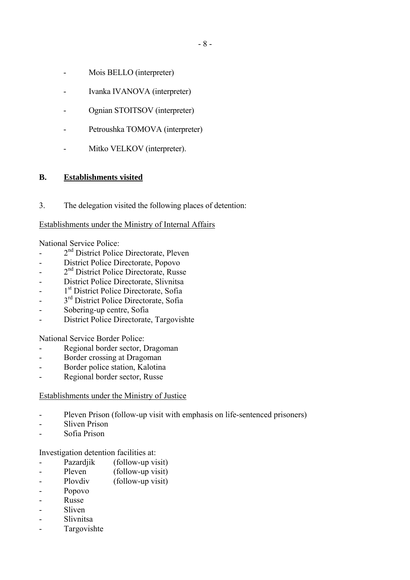- <span id="page-7-0"></span>- Mois BELLO (interpreter)
- Ivanka IVANOVA (interpreter)
- Ognian STOITSOV (interpreter)
- Petroushka TOMOVA (interpreter)
- Mitko VELKOV (interpreter).

# **B. Establishments visited**

3. The delegation visited the following places of detention:

## Establishments under the Ministry of Internal Affairs

National Service Police:

- 2<sup>nd</sup> District Police Directorate, Pleven
- District Police Directorate, Popovo
- 2<sup>nd</sup> District Police Directorate, Russe
- District Police Directorate, Slivnitsa
- 1<sup>st</sup> District Police Directorate, Sofia
- 3<sup>rd</sup> District Police Directorate, Sofia
- Sobering-up centre, Sofia
- District Police Directorate, Targovishte

National Service Border Police:

- Regional border sector, Dragoman
- Border crossing at Dragoman
- Border police station, Kalotina
- Regional border sector, Russe

#### Establishments under the Ministry of Justice

- Pleven Prison (follow-up visit with emphasis on life-sentenced prisoners)
- Sliven Prison
- Sofia Prison

Investigation detention facilities at:

- Pazardjik (follow-up visit)
- Pleven (follow-up visit)
- Plovdiv (follow-up visit)
- Popovo
- Russe
- Sliven
- Slivnitsa
- Targovishte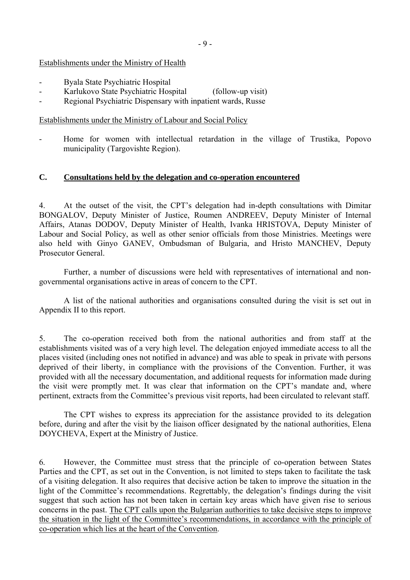### <span id="page-8-0"></span>Establishments under the Ministry of Health

- Byala State Psychiatric Hospital
- Karlukovo State Psychiatric Hospital (follow-up visit)
- Regional Psychiatric Dispensary with inpatient wards, Russe

#### Establishments under the Ministry of Labour and Social Policy

Home for women with intellectual retardation in the village of Trustika, Popovo municipality (Targovishte Region).

#### **C. Consultations held by the delegation and co-operation encountered**

4. At the outset of the visit, the CPT's delegation had in-depth consultations with Dimitar BONGALOV, Deputy Minister of Justice, Roumen ANDREEV, Deputy Minister of Internal Affairs, Atanas DODOV, Deputy Minister of Health, Ivanka HRISTOVA, Deputy Minister of Labour and Social Policy, as well as other senior officials from those Ministries. Meetings were also held with Ginyo GANEV, Ombudsman of Bulgaria, and Hristo MANCHEV, Deputy Prosecutor General.

 Further, a number of discussions were held with representatives of international and nongovernmental organisations active in areas of concern to the CPT.

 A list of the national authorities and organisations consulted during the visit is set out in Appendix II to this report.

5. The co-operation received both from the national authorities and from staff at the establishments visited was of a very high level. The delegation enjoyed immediate access to all the places visited (including ones not notified in advance) and was able to speak in private with persons deprived of their liberty, in compliance with the provisions of the Convention. Further, it was provided with all the necessary documentation, and additional requests for information made during the visit were promptly met. It was clear that information on the CPT's mandate and, where pertinent, extracts from the Committee's previous visit reports, had been circulated to relevant staff.

 The CPT wishes to express its appreciation for the assistance provided to its delegation before, during and after the visit by the liaison officer designated by the national authorities, Elena DOYCHEVA, Expert at the Ministry of Justice.

6. However, the Committee must stress that the principle of co-operation between States Parties and the CPT, as set out in the Convention, is not limited to steps taken to facilitate the task of a visiting delegation. It also requires that decisive action be taken to improve the situation in the light of the Committee's recommendations. Regrettably, the delegation's findings during the visit suggest that such action has not been taken in certain key areas which have given rise to serious concerns in the past. The CPT calls upon the Bulgarian authorities to take decisive steps to improve the situation in the light of the Committee's recommendations, in accordance with the principle of co-operation which lies at the heart of the Convention.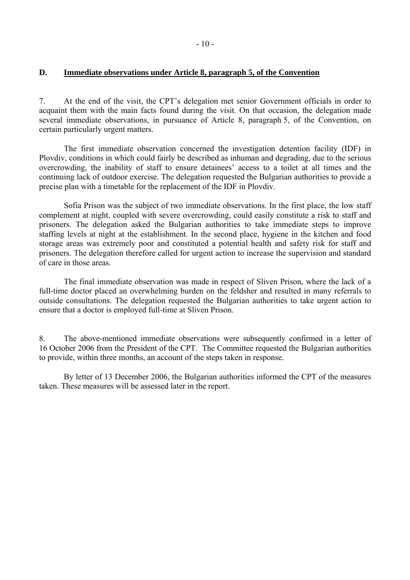#### <span id="page-9-0"></span>**D. Immediate observations under Article 8, paragraph 5, of the Convention**

7. At the end of the visit, the CPT's delegation met senior Government officials in order to acquaint them with the main facts found during the visit. On that occasion, the delegation made several immediate observations, in pursuance of Article 8, paragraph 5, of the Convention, on certain particularly urgent matters.

 The first immediate observation concerned the investigation detention facility (IDF) in Plovdiv, conditions in which could fairly be described as inhuman and degrading, due to the serious overcrowding, the inability of staff to ensure detainees' access to a toilet at all times and the continuing lack of outdoor exercise. The delegation requested the Bulgarian authorities to provide a precise plan with a timetable for the replacement of the IDF in Plovdiv.

 Sofia Prison was the subject of two immediate observations. In the first place, the low staff complement at night, coupled with severe overcrowding, could easily constitute a risk to staff and prisoners. The delegation asked the Bulgarian authorities to take immediate steps to improve staffing levels at night at the establishment. In the second place, hygiene in the kitchen and food storage areas was extremely poor and constituted a potential health and safety risk for staff and prisoners. The delegation therefore called for urgent action to increase the supervision and standard of care in those areas.

 The final immediate observation was made in respect of Sliven Prison, where the lack of a full-time doctor placed an overwhelming burden on the feldsher and resulted in many referrals to outside consultations. The delegation requested the Bulgarian authorities to take urgent action to ensure that a doctor is employed full-time at Sliven Prison.

8. The above-mentioned immediate observations were subsequently confirmed in a letter of 16 October 2006 from the President of the CPT. The Committee requested the Bulgarian authorities to provide, within three months, an account of the steps taken in response.

 By letter of 13 December 2006, the Bulgarian authorities informed the CPT of the measures taken. These measures will be assessed later in the report.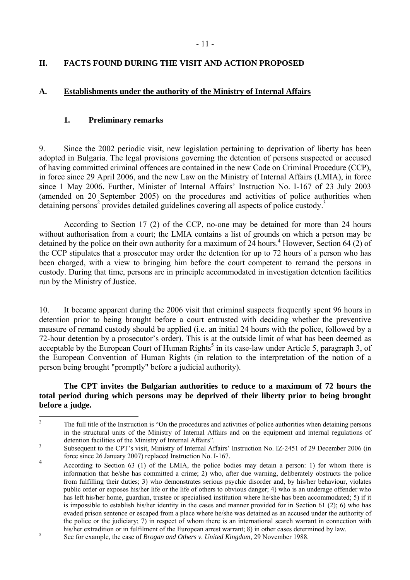# <span id="page-10-0"></span>**II. FACTS FOUND DURING THE VISIT AND ACTION PROPOSED**

# **A. Establishments under the authority of the Ministry of Internal Affairs**

## **1. Preliminary remarks**

9. Since the 2002 periodic visit, new legislation pertaining to deprivation of liberty has been adopted in Bulgaria. The legal provisions governing the detention of persons suspected or accused of having committed criminal offences are contained in the new Code on Criminal Procedure (CCP), in force since 29 April 2006, and the new Law on the Ministry of Internal Affairs (LMIA), in force since 1 May 2006. Further, Minister of Internal Affairs' Instruction No. I-167 of 23 July 2003 (amended on 20 September 2005) on the procedures and activities of police authorities when detaining persons<sup>2</sup> provides detailed guidelines covering all aspects of police custody.<sup>3</sup>

 According to Section 17 (2) of the CCP, no-one may be detained for more than 24 hours without authorisation from a court; the LMIA contains a list of grounds on which a person may be detained by the police on their own authority for a maximum of 24 hours.<sup>4</sup> However, Section 64 (2) of the CCP stipulates that a prosecutor may order the detention for up to 72 hours of a person who has been charged, with a view to bringing him before the court competent to remand the persons in custody. During that time, persons are in principle accommodated in investigation detention facilities run by the Ministry of Justice.

10. It became apparent during the 2006 visit that criminal suspects frequently spent 96 hours in detention prior to being brought before a court entrusted with deciding whether the preventive measure of remand custody should be applied (i.e. an initial 24 hours with the police, followed by a 72-hour detention by a prosecutor's order). This is at the outside limit of what has been deemed as acceptable by the European Court of Human Rights<sup>[5](#page-10-4)</sup> in its case-law under Article 5, paragraph 3, of the European Convention of Human Rights (in relation to the interpretation of the notion of a person being brought "promptly" before a judicial authority).

## **The CPT invites the Bulgarian authorities to reduce to a maximum of 72 hours the total period during which persons may be deprived of their liberty prior to being brought before a judge.**

<span id="page-10-1"></span> $\frac{1}{2}$ The full title of the Instruction is "On the procedures and activities of police authorities when detaining persons in the structural units of the Ministry of Internal Affairs and on the equipment and internal regulations of detention facilities of the Ministry of Internal Affairs".

<span id="page-10-2"></span>Subsequent to the CPT's visit, Ministry of Internal Affairs' Instruction No. IZ-2451 of 29 December 2006 (in force since 26 January 2007) replaced Instruction No. I-167.

<span id="page-10-3"></span><sup>4</sup> According to Section 63 (1) of the LMIA, the police bodies may detain a person: 1) for whom there is information that he/she has committed a crime; 2) who, after due warning, deliberately obstructs the police from fulfilling their duties; 3) who demonstrates serious psychic disorder and, by his/her behaviour, violates public order or exposes his/her life or the life of others to obvious danger; 4) who is an underage offender who has left his/her home, guardian, trustee or specialised institution where he/she has been accommodated; 5) if it is impossible to establish his/her identity in the cases and manner provided for in Section 61 (2); 6) who has evaded prison sentence or escaped from a place where he/she was detained as an accused under the authority of the police or the judiciary; 7) in respect of whom there is an international search warrant in connection with his/her extradition or in fulfilment of the European arrest warrant; 8) in other cases determined by law.<br>Soo for eventual the case of Brazen and Othera u United Kingdom, 20 November 1099.

<span id="page-10-4"></span>See for example, the case of *Brogan and Others v. United Kingdom*, 29 November 1988.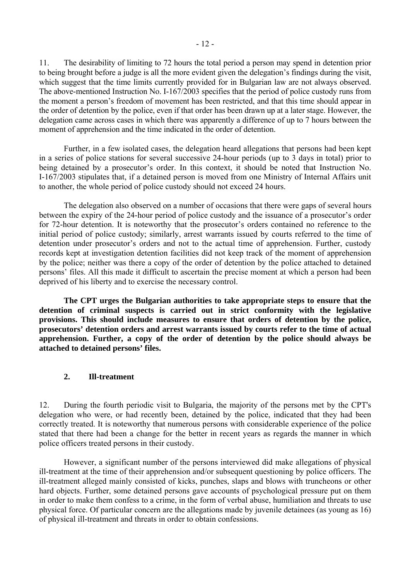<span id="page-11-0"></span>11. The desirability of limiting to 72 hours the total period a person may spend in detention prior to being brought before a judge is all the more evident given the delegation's findings during the visit, which suggest that the time limits currently provided for in Bulgarian law are not always observed. The above-mentioned Instruction No. I-167/2003 specifies that the period of police custody runs from the moment a person's freedom of movement has been restricted, and that this time should appear in the order of detention by the police, even if that order has been drawn up at a later stage. However, the delegation came across cases in which there was apparently a difference of up to 7 hours between the moment of apprehension and the time indicated in the order of detention.

 Further, in a few isolated cases, the delegation heard allegations that persons had been kept in a series of police stations for several successive 24-hour periods (up to 3 days in total) prior to being detained by a prosecutor's order. In this context, it should be noted that Instruction No. I-167/2003 stipulates that, if a detained person is moved from one Ministry of Internal Affairs unit to another, the whole period of police custody should not exceed 24 hours.

 The delegation also observed on a number of occasions that there were gaps of several hours between the expiry of the 24-hour period of police custody and the issuance of a prosecutor's order for 72-hour detention. It is noteworthy that the prosecutor's orders contained no reference to the initial period of police custody; similarly, arrest warrants issued by courts referred to the time of detention under prosecutor's orders and not to the actual time of apprehension. Further, custody records kept at investigation detention facilities did not keep track of the moment of apprehension by the police; neither was there a copy of the order of detention by the police attached to detained persons' files. All this made it difficult to ascertain the precise moment at which a person had been deprived of his liberty and to exercise the necessary control.

**The CPT urges the Bulgarian authorities to take appropriate steps to ensure that the detention of criminal suspects is carried out in strict conformity with the legislative provisions. This should include measures to ensure that orders of detention by the police, prosecutors' detention orders and arrest warrants issued by courts refer to the time of actual apprehension. Further, a copy of the order of detention by the police should always be attached to detained persons' files.** 

#### **2. Ill-treatment**

12. During the fourth periodic visit to Bulgaria, the majority of the persons met by the CPT's delegation who were, or had recently been, detained by the police, indicated that they had been correctly treated. It is noteworthy that numerous persons with considerable experience of the police stated that there had been a change for the better in recent years as regards the manner in which police officers treated persons in their custody.

 However, a significant number of the persons interviewed did make allegations of physical ill-treatment at the time of their apprehension and/or subsequent questioning by police officers. The ill-treatment alleged mainly consisted of kicks, punches, slaps and blows with truncheons or other hard objects. Further, some detained persons gave accounts of psychological pressure put on them in order to make them confess to a crime, in the form of verbal abuse, humiliation and threats to use physical force. Of particular concern are the allegations made by juvenile detainees (as young as 16) of physical ill-treatment and threats in order to obtain confessions.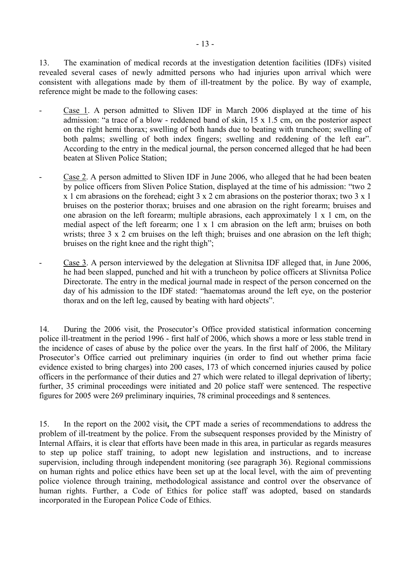13. The examination of medical records at the investigation detention facilities (IDFs) visited revealed several cases of newly admitted persons who had injuries upon arrival which were consistent with allegations made by them of ill-treatment by the police. By way of example, reference might be made to the following cases:

- Case 1. A person admitted to Sliven IDF in March 2006 displayed at the time of his admission: "a trace of a blow - reddened band of skin,  $15 \times 1.5$  cm, on the posterior aspect on the right hemi thorax; swelling of both hands due to beating with truncheon; swelling of both palms; swelling of both index fingers; swelling and reddening of the left ear". According to the entry in the medical journal, the person concerned alleged that he had been beaten at Sliven Police Station;
- Case 2. A person admitted to Sliven IDF in June 2006, who alleged that he had been beaten by police officers from Sliven Police Station, displayed at the time of his admission: "two 2 x 1 cm abrasions on the forehead; eight 3 x 2 cm abrasions on the posterior thorax; two 3 x 1 bruises on the posterior thorax; bruises and one abrasion on the right forearm; bruises and one abrasion on the left forearm; multiple abrasions, each approximately 1 x 1 cm, on the medial aspect of the left forearm; one 1 x 1 cm abrasion on the left arm; bruises on both wrists; three 3 x 2 cm bruises on the left thigh; bruises and one abrasion on the left thigh; bruises on the right knee and the right thigh";
- Case 3. A person interviewed by the delegation at Slivnitsa IDF alleged that, in June 2006, he had been slapped, punched and hit with a truncheon by police officers at Slivnitsa Police Directorate. The entry in the medical journal made in respect of the person concerned on the day of his admission to the IDF stated: "haematomas around the left eye, on the posterior thorax and on the left leg, caused by beating with hard objects".

14. During the 2006 visit, the Prosecutor's Office provided statistical information concerning police ill-treatment in the period 1996 - first half of 2006, which shows a more or less stable trend in the incidence of cases of abuse by the police over the years. In the first half of 2006, the Military Prosecutor's Office carried out preliminary inquiries (in order to find out whether prima facie evidence existed to bring charges) into 200 cases, 173 of which concerned injuries caused by police officers in the performance of their duties and 27 which were related to illegal deprivation of liberty; further, 35 criminal proceedings were initiated and 20 police staff were sentenced. The respective figures for 2005 were 269 preliminary inquiries, 78 criminal proceedings and 8 sentences.

15. In the report on the 2002 visit**,** the CPT made a series of recommendations to address the problem of ill-treatment by the police. From the subsequent responses provided by the Ministry of Internal Affairs, it is clear that efforts have been made in this area, in particular as regards measures to step up police staff training, to adopt new legislation and instructions, and to increase supervision, including through independent monitoring (see paragraph 36). Regional commissions on human rights and police ethics have been set up at the local level, with the aim of preventing police violence through training, methodological assistance and control over the observance of human rights. Further, a Code of Ethics for police staff was adopted, based on standards incorporated in the European Police Code of Ethics.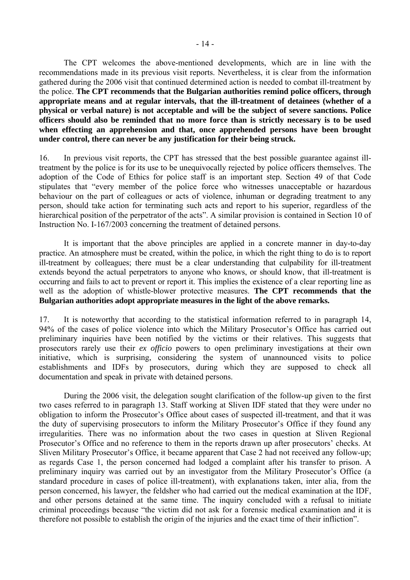The CPT welcomes the above-mentioned developments, which are in line with the recommendations made in its previous visit reports. Nevertheless, it is clear from the information gathered during the 2006 visit that continued determined action is needed to combat ill-treatment by the police. **The CPT recommends that the Bulgarian authorities remind police officers, through appropriate means and at regular intervals, that the ill-treatment of detainees (whether of a physical or verbal nature) is not acceptable and will be the subject of severe sanctions. Police officers should also be reminded that no more force than is strictly necessary is to be used when effecting an apprehension and that, once apprehended persons have been brought under control, there can never be any justification for their being struck.** 

16. In previous visit reports, the CPT has stressed that the best possible guarantee against illtreatment by the police is for its use to be unequivocally rejected by police officers themselves. The adoption of the Code of Ethics for police staff is an important step. Section 49 of that Code stipulates that "every member of the police force who witnesses unacceptable or hazardous behaviour on the part of colleagues or acts of violence, inhuman or degrading treatment to any person, should take action for terminating such acts and report to his superior, regardless of the hierarchical position of the perpetrator of the acts". A similar provision is contained in Section 10 of Instruction No. I-167/2003 concerning the treatment of detained persons.

 It is important that the above principles are applied in a concrete manner in day-to-day practice. An atmosphere must be created, within the police, in which the right thing to do is to report ill-treatment by colleagues; there must be a clear understanding that culpability for ill-treatment extends beyond the actual perpetrators to anyone who knows, or should know, that ill-treatment is occurring and fails to act to prevent or report it. This implies the existence of a clear reporting line as well as the adoption of whistle-blower protective measures. **The CPT recommends that the Bulgarian authorities adopt appropriate measures in the light of the above remarks.** 

17. It is noteworthy that according to the statistical information referred to in paragraph 14, 94% of the cases of police violence into which the Military Prosecutor's Office has carried out preliminary inquiries have been notified by the victims or their relatives. This suggests that prosecutors rarely use their *ex officio* powers to open preliminary investigations at their own initiative, which is surprising, considering the system of unannounced visits to police establishments and IDFs by prosecutors, during which they are supposed to check all documentation and speak in private with detained persons.

 During the 2006 visit, the delegation sought clarification of the follow-up given to the first two cases referred to in paragraph 13. Staff working at Sliven IDF stated that they were under no obligation to inform the Prosecutor's Office about cases of suspected ill-treatment, and that it was the duty of supervising prosecutors to inform the Military Prosecutor's Office if they found any irregularities. There was no information about the two cases in question at Sliven Regional Prosecutor's Office and no reference to them in the reports drawn up after prosecutors' checks. At Sliven Military Prosecutor's Office, it became apparent that Case 2 had not received any follow-up; as regards Case 1, the person concerned had lodged a complaint after his transfer to prison. A preliminary inquiry was carried out by an investigator from the Military Prosecutor's Office (a standard procedure in cases of police ill-treatment), with explanations taken, inter alia, from the person concerned, his lawyer, the feldsher who had carried out the medical examination at the IDF, and other persons detained at the same time. The inquiry concluded with a refusal to initiate criminal proceedings because "the victim did not ask for a forensic medical examination and it is therefore not possible to establish the origin of the injuries and the exact time of their inflictionî.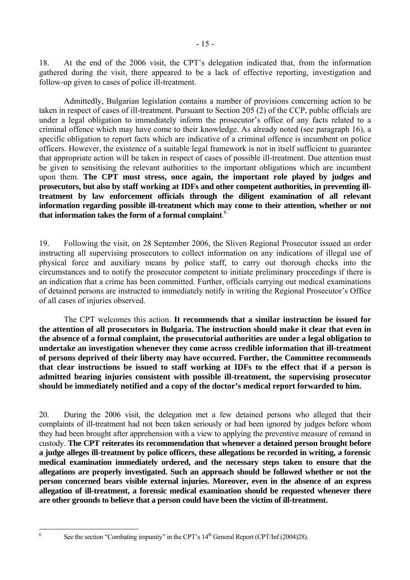18. At the end of the 2006 visit, the CPT's delegation indicated that, from the information gathered during the visit, there appeared to be a lack of effective reporting, investigation and follow-up given to cases of police ill-treatment.

 Admittedly, Bulgarian legislation contains a number of provisions concerning action to be taken in respect of cases of ill-treatment. Pursuant to Section 205 (2) of the CCP, public officials are under a legal obligation to immediately inform the prosecutor's office of any facts related to a criminal offence which may have come to their knowledge. As already noted (see paragraph 16), a specific obligation to report facts which are indicative of a criminal offence is incumbent on police officers. However, the existence of a suitable legal framework is not in itself sufficient to guarantee that appropriate action will be taken in respect of cases of possible ill-treatment. Due attention must be given to sensitising the relevant authorities to the important obligations which are incumbent upon them. **The CPT must stress, once again, the important role played by judges and prosecutors, but also by staff working at IDFs and other competent authorities, in preventing illtreatment by law enforcement officials through the diligent examination of all relevant information regarding possible ill-treatment which may come to their attention, whether or not that information takes the form of a formal complaint**. [6](#page-14-0)

19. Following the visit, on 28 September 2006, the Sliven Regional Prosecutor issued an order instructing all supervising prosecutors to collect information on any indications of illegal use of physical force and auxiliary means by police staff, to carry out thorough checks into the circumstances and to notify the prosecutor competent to initiate preliminary proceedings if there is an indication that a crime has been committed. Further, officials carrying out medical examinations of detained persons are instructed to immediately notify in writing the Regional Prosecutor's Office of all cases of injuries observed.

 The CPT welcomes this action. **It recommends that a similar instruction be issued for the attention of all prosecutors in Bulgaria. The instruction should make it clear that even in the absence of a formal complaint, the prosecutorial authorities are under a legal obligation to undertake an investigation whenever they come across credible information that ill-treatment of persons deprived of their liberty may have occurred. Further, the Committee recommends that clear instructions be issued to staff working at IDFs to the effect that if a person is admitted bearing injuries consistent with possible ill-treatment, the supervising prosecutor should be immediately notified and a copy of the doctor's medical report forwarded to him.** 

20. During the 2006 visit, the delegation met a few detained persons who alleged that their complaints of ill-treatment had not been taken seriously or had been ignored by judges before whom they had been brought after apprehension with a view to applying the preventive measure of remand in custody. **The CPT reiterates its recommendation that whenever a detained person brought before a judge alleges ill-treatment by police officers, these allegations be recorded in writing, a forensic medical examination immediately ordered, and the necessary steps taken to ensure that the allegations are properly investigated. Such an approach should be followed whether or not the person concerned bears visible external injuries. Moreover, even in the absence of an express allegation of ill-treatment, a forensic medical examination should be requested whenever there are other grounds to believe that a person could have been the victim of ill-treatment.**

<span id="page-14-0"></span> $\frac{1}{6}$ 

See the section "Combating impunity" in the CPT's  $14<sup>th</sup>$  General Report (CPT/Inf (2004)28).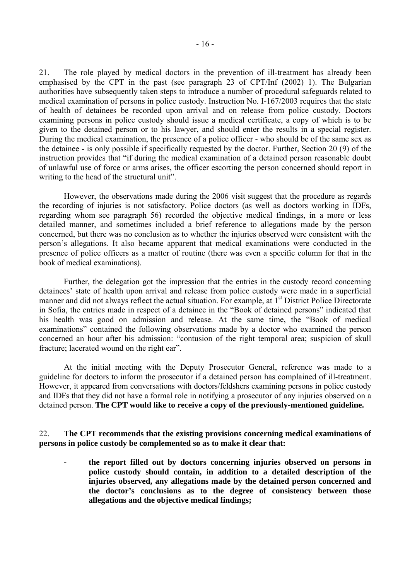21. The role played by medical doctors in the prevention of ill-treatment has already been emphasised by the CPT in the past (see paragraph 23 of CPT/Inf (2002) 1). The Bulgarian authorities have subsequently taken steps to introduce a number of procedural safeguards related to medical examination of persons in police custody. Instruction No. I-167/2003 requires that the state of health of detainees be recorded upon arrival and on release from police custody. Doctors examining persons in police custody should issue a medical certificate, a copy of which is to be given to the detained person or to his lawyer, and should enter the results in a special register. During the medical examination, the presence of a police officer - who should be of the same sex as the detainee - is only possible if specifically requested by the doctor. Further, Section 20 (9) of the instruction provides that "if during the medical examination of a detained person reasonable doubt of unlawful use of force or arms arises, the officer escorting the person concerned should report in writing to the head of the structural unit".

 However, the observations made during the 2006 visit suggest that the procedure as regards the recording of injuries is not satisfactory. Police doctors (as well as doctors working in IDFs, regarding whom see paragraph 56) recorded the objective medical findings, in a more or less detailed manner, and sometimes included a brief reference to allegations made by the person concerned, but there was no conclusion as to whether the injuries observed were consistent with the personís allegations. It also became apparent that medical examinations were conducted in the presence of police officers as a matter of routine (there was even a specific column for that in the book of medical examinations).

 Further, the delegation got the impression that the entries in the custody record concerning detainees' state of health upon arrival and release from police custody were made in a superficial manner and did not always reflect the actual situation. For example, at 1<sup>st</sup> District Police Directorate in Sofia, the entries made in respect of a detainee in the "Book of detained persons" indicated that his health was good on admission and release. At the same time, the "Book of medical examinations" contained the following observations made by a doctor who examined the person concerned an hour after his admission: "contusion of the right temporal area; suspicion of skull fracture; lacerated wound on the right ear".

 At the initial meeting with the Deputy Prosecutor General, reference was made to a guideline for doctors to inform the prosecutor if a detained person has complained of ill-treatment. However, it appeared from conversations with doctors/feldshers examining persons in police custody and IDFs that they did not have a formal role in notifying a prosecutor of any injuries observed on a detained person. **The CPT would like to receive a copy of the previously-mentioned guideline.** 

22. **The CPT recommends that the existing provisions concerning medical examinations of persons in police custody be complemented so as to make it clear that:** 

**- the report filled out by doctors concerning injuries observed on persons in police custody should contain, in addition to a detailed description of the injuries observed, any allegations made by the detained person concerned and the doctor's conclusions as to the degree of consistency between those allegations and the objective medical findings;**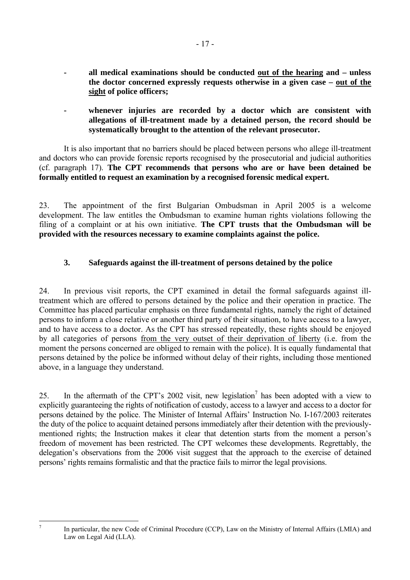- <span id="page-16-0"></span>**- all medical examinations should be conducted out of the hearing and – unless the doctor concerned expressly requests otherwise in a given case – out of the sight of police officers;**
- whenever injuries are recorded by a doctor which are consistent with **allegations of ill-treatment made by a detained person, the record should be systematically brought to the attention of the relevant prosecutor.**

 It is also important that no barriers should be placed between persons who allege ill-treatment and doctors who can provide forensic reports recognised by the prosecutorial and judicial authorities (cf. paragraph 17). **The CPT recommends that persons who are or have been detained be formally entitled to request an examination by a recognised forensic medical expert.**

23. The appointment of the first Bulgarian Ombudsman in April 2005 is a welcome development. The law entitles the Ombudsman to examine human rights violations following the filing of a complaint or at his own initiative. **The CPT trusts that the Ombudsman will be provided with the resources necessary to examine complaints against the police.** 

# **3. Safeguards against the ill-treatment of persons detained by the police**

24. In previous visit reports, the CPT examined in detail the formal safeguards against illtreatment which are offered to persons detained by the police and their operation in practice. The Committee has placed particular emphasis on three fundamental rights, namely the right of detained persons to inform a close relative or another third party of their situation, to have access to a lawyer, and to have access to a doctor. As the CPT has stressed repeatedly, these rights should be enjoyed by all categories of persons from the very outset of their deprivation of liberty (i.e. from the moment the persons concerned are obliged to remain with the police). It is equally fundamental that persons detained by the police be informed without delay of their rights, including those mentioned above, in a language they understand.

25. In the aftermath of the CPT's 2002 visit, new legislation<sup>7</sup> has been adopted with a view to explicitly guaranteeing the rights of notification of custody, access to a lawyer and access to a doctor for persons detained by the police. The Minister of Internal Affairs' Instruction No. I-167/2003 reiterates the duty of the police to acquaint detained persons immediately after their detention with the previouslymentioned rights; the Instruction makes it clear that detention starts from the moment a person's freedom of movement has been restricted. The CPT welcomes these developments. Regrettably, the delegation's observations from the 2006 visit suggest that the approach to the exercise of detained persons' rights remains formalistic and that the practice fails to mirror the legal provisions.

<span id="page-16-1"></span>-<br>7

In particular, the new Code of Criminal Procedure (CCP), Law on the Ministry of Internal Affairs (LMIA) and Law on Legal Aid (LLA).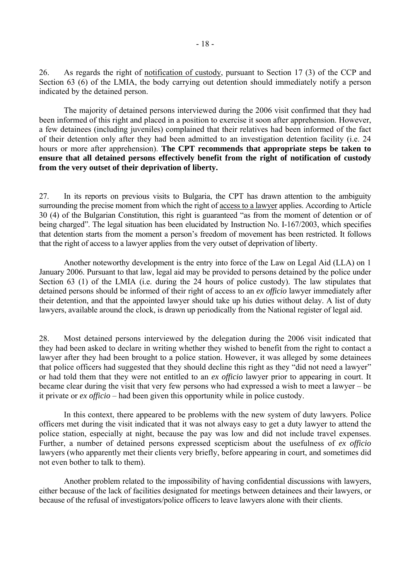26. As regards the right of notification of custody, pursuant to Section 17 (3) of the CCP and Section 63 (6) of the LMIA, the body carrying out detention should immediately notify a person indicated by the detained person.

 The majority of detained persons interviewed during the 2006 visit confirmed that they had been informed of this right and placed in a position to exercise it soon after apprehension. However, a few detainees (including juveniles) complained that their relatives had been informed of the fact of their detention only after they had been admitted to an investigation detention facility (i.e. 24 hours or more after apprehension). **The CPT recommends that appropriate steps be taken to ensure that all detained persons effectively benefit from the right of notification of custody from the very outset of their deprivation of liberty.** 

27. In its reports on previous visits to Bulgaria, the CPT has drawn attention to the ambiguity surrounding the precise moment from which the right of access to a lawyer applies. According to Article 30 (4) of the Bulgarian Constitution, this right is guaranteed "as from the moment of detention or of being charged". The legal situation has been elucidated by Instruction No. I-167/2003, which specifies that detention starts from the moment a person's freedom of movement has been restricted. It follows that the right of access to a lawyer applies from the very outset of deprivation of liberty.

 Another noteworthy development is the entry into force of the Law on Legal Aid (LLA) on 1 January 2006. Pursuant to that law, legal aid may be provided to persons detained by the police under Section 63 (1) of the LMIA (i.e. during the 24 hours of police custody). The law stipulates that detained persons should be informed of their right of access to an *ex officio* lawyer immediately after their detention, and that the appointed lawyer should take up his duties without delay. A list of duty lawyers, available around the clock, is drawn up periodically from the National register of legal aid.

28. Most detained persons interviewed by the delegation during the 2006 visit indicated that they had been asked to declare in writing whether they wished to benefit from the right to contact a lawyer after they had been brought to a police station. However, it was alleged by some detainees that police officers had suggested that they should decline this right as they "did not need a lawyer" or had told them that they were not entitled to an *ex officio* lawyer prior to appearing in court. It became clear during the visit that very few persons who had expressed a wish to meet a lawyer  $-b$  be it private or  $ex$  *officio* – had been given this opportunity while in police custody.

 In this context, there appeared to be problems with the new system of duty lawyers. Police officers met during the visit indicated that it was not always easy to get a duty lawyer to attend the police station, especially at night, because the pay was low and did not include travel expenses. Further, a number of detained persons expressed scepticism about the usefulness of *ex officio* lawyers (who apparently met their clients very briefly, before appearing in court, and sometimes did not even bother to talk to them).

 Another problem related to the impossibility of having confidential discussions with lawyers, either because of the lack of facilities designated for meetings between detainees and their lawyers, or because of the refusal of investigators/police officers to leave lawyers alone with their clients.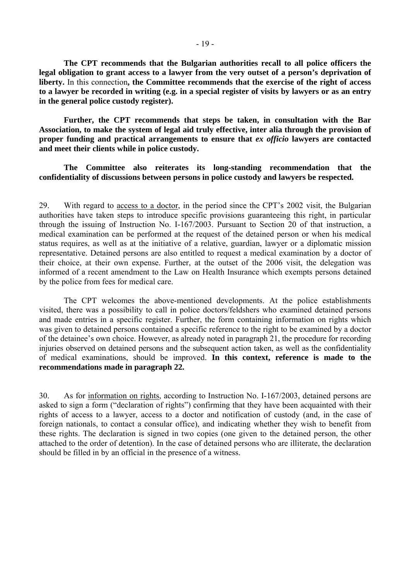**The CPT recommends that the Bulgarian authorities recall to all police officers the legal obligation to grant access to a lawyer from the very outset of a person's deprivation of liberty.** In this connection**, the Committee recommends that the exercise of the right of access to a lawyer be recorded in writing (e.g. in a special register of visits by lawyers or as an entry in the general police custody register).** 

 **Further, the CPT recommends that steps be taken, in consultation with the Bar Association, to make the system of legal aid truly effective, inter alia through the provision of proper funding and practical arrangements to ensure that** *ex officio* **lawyers are contacted and meet their clients while in police custody.** 

 **The Committee also reiterates its long-standing recommendation that the confidentiality of discussions between persons in police custody and lawyers be respected.** 

29. With regard to access to a doctor, in the period since the CPT's 2002 visit, the Bulgarian authorities have taken steps to introduce specific provisions guaranteeing this right, in particular through the issuing of Instruction No. I-167/2003. Pursuant to Section 20 of that instruction, a medical examination can be performed at the request of the detained person or when his medical status requires, as well as at the initiative of a relative, guardian, lawyer or a diplomatic mission representative. Detained persons are also entitled to request a medical examination by a doctor of their choice, at their own expense. Further, at the outset of the 2006 visit, the delegation was informed of a recent amendment to the Law on Health Insurance which exempts persons detained by the police from fees for medical care.

 The CPT welcomes the above-mentioned developments. At the police establishments visited, there was a possibility to call in police doctors/feldshers who examined detained persons and made entries in a specific register. Further, the form containing information on rights which was given to detained persons contained a specific reference to the right to be examined by a doctor of the detainee's own choice. However, as already noted in paragraph 21, the procedure for recording injuries observed on detained persons and the subsequent action taken, as well as the confidentiality of medical examinations, should be improved. **In this context, reference is made to the recommendations made in paragraph 22.**

30. As for information on rights, according to Instruction No. I-167/2003, detained persons are asked to sign a form ("declaration of rights") confirming that they have been acquainted with their rights of access to a lawyer, access to a doctor and notification of custody (and, in the case of foreign nationals, to contact a consular office), and indicating whether they wish to benefit from these rights. The declaration is signed in two copies (one given to the detained person, the other attached to the order of detention). In the case of detained persons who are illiterate, the declaration should be filled in by an official in the presence of a witness.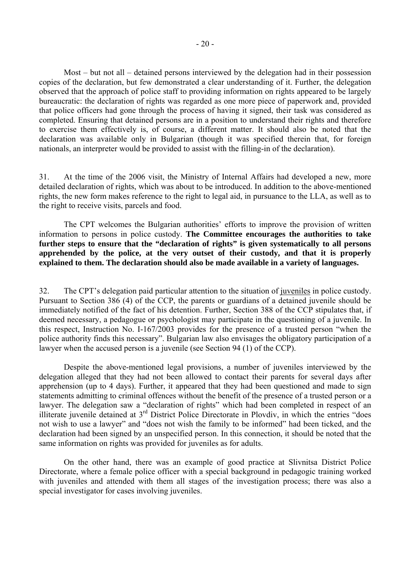Most  $-$  but not all  $-$  detained persons interviewed by the delegation had in their possession copies of the declaration, but few demonstrated a clear understanding of it. Further, the delegation observed that the approach of police staff to providing information on rights appeared to be largely bureaucratic: the declaration of rights was regarded as one more piece of paperwork and, provided that police officers had gone through the process of having it signed, their task was considered as completed. Ensuring that detained persons are in a position to understand their rights and therefore to exercise them effectively is, of course, a different matter. It should also be noted that the declaration was available only in Bulgarian (though it was specified therein that, for foreign nationals, an interpreter would be provided to assist with the filling-in of the declaration).

31. At the time of the 2006 visit, the Ministry of Internal Affairs had developed a new, more detailed declaration of rights, which was about to be introduced. In addition to the above-mentioned rights, the new form makes reference to the right to legal aid, in pursuance to the LLA, as well as to the right to receive visits, parcels and food.

The CPT welcomes the Bulgarian authorities' efforts to improve the provision of written information to persons in police custody. **The Committee encourages the authorities to take further steps to ensure that the "declaration of rights" is given systematically to all persons apprehended by the police, at the very outset of their custody, and that it is properly explained to them. The declaration should also be made available in a variety of languages.** 

32. The CPT's delegation paid particular attention to the situation of juveniles in police custody. Pursuant to Section 386 (4) of the CCP, the parents or guardians of a detained juvenile should be immediately notified of the fact of his detention. Further, Section 388 of the CCP stipulates that, if deemed necessary, a pedagogue or psychologist may participate in the questioning of a juvenile. In this respect, Instruction No. I-167/2003 provides for the presence of a trusted person "when the police authority finds this necessary". Bulgarian law also envisages the obligatory participation of a lawyer when the accused person is a juvenile (see Section 94 (1) of the CCP).

 Despite the above-mentioned legal provisions, a number of juveniles interviewed by the delegation alleged that they had not been allowed to contact their parents for several days after apprehension (up to 4 days). Further, it appeared that they had been questioned and made to sign statements admitting to criminal offences without the benefit of the presence of a trusted person or a lawyer. The delegation saw a "declaration of rights" which had been completed in respect of an illiterate juvenile detained at  $3<sup>rd</sup>$  District Police Directorate in Plovdiv, in which the entries "does not wish to use a lawyer" and "does not wish the family to be informed" had been ticked, and the declaration had been signed by an unspecified person. In this connection, it should be noted that the same information on rights was provided for juveniles as for adults.

 On the other hand, there was an example of good practice at Slivnitsa District Police Directorate, where a female police officer with a special background in pedagogic training worked with juveniles and attended with them all stages of the investigation process; there was also a special investigator for cases involving juveniles.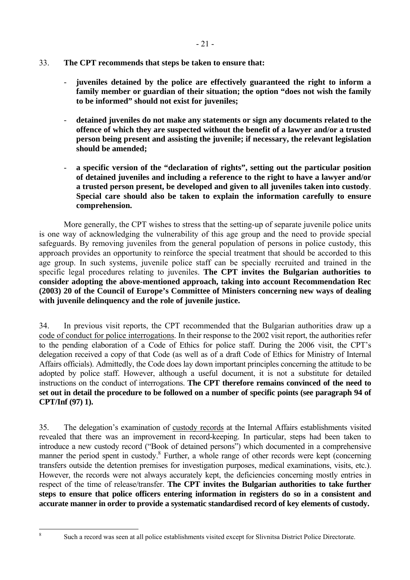- 33. **The CPT recommends that steps be taken to ensure that:** 
	- **juveniles detained by the police are effectively guaranteed the right to inform a family member or guardian of their situation; the option "does not wish the family to be informed" should not exist for juveniles;**
	- **detained juveniles do not make any statements or sign any documents related to the offence of which they are suspected without the benefit of a lawyer and/or a trusted person being present and assisting the juvenile; if necessary, the relevant legislation should be amended;**
	- **a specific version of the "declaration of rights", setting out the particular position of detained juveniles and including a reference to the right to have a lawyer and/or a trusted person present, be developed and given to all juveniles taken into custody**. **Special care should also be taken to explain the information carefully to ensure comprehension.**

 More generally, the CPT wishes to stress that the setting-up of separate juvenile police units is one way of acknowledging the vulnerability of this age group and the need to provide special safeguards. By removing juveniles from the general population of persons in police custody, this approach provides an opportunity to reinforce the special treatment that should be accorded to this age group. In such systems, juvenile police staff can be specially recruited and trained in the specific legal procedures relating to juveniles. **The CPT invites the Bulgarian authorities to consider adopting the above-mentioned approach, taking into account Recommendation Rec (2003) 20 of the Council of Europe's Committee of Ministers concerning new ways of dealing with juvenile delinquency and the role of juvenile justice.** 

34. In previous visit reports, the CPT recommended that the Bulgarian authorities draw up a code of conduct for police interrogations. In their response to the 2002 visit report, the authorities refer to the pending elaboration of a Code of Ethics for police staff. During the 2006 visit, the CPT's delegation received a copy of that Code (as well as of a draft Code of Ethics for Ministry of Internal Affairs officials). Admittedly, the Code does lay down important principles concerning the attitude to be adopted by police staff. However, although a useful document, it is not a substitute for detailed instructions on the conduct of interrogations. **The CPT therefore remains convinced of the need to set out in detail the procedure to be followed on a number of specific points (see paragraph 94 of CPT/Inf (97) 1).**

35. The delegation's examination of custody records at the Internal Affairs establishments visited revealed that there was an improvement in record-keeping. In particular, steps had been taken to introduce a new custody record ("Book of detained persons") which documented in a comprehensive manner the period spent in custody.<sup>8</sup> Further, a whole range of other records were kept (concerning transfers outside the detention premises for investigation purposes, medical examinations, visits, etc.). However, the records were not always accurately kept, the deficiencies concerning mostly entries in respect of the time of release/transfer. **The CPT invites the Bulgarian authorities to take further steps to ensure that police officers entering information in registers do so in a consistent and accurate manner in order to provide a systematic standardised record of key elements of custody.** 

<span id="page-20-0"></span> 8

Such a record was seen at all police establishments visited except for Slivnitsa District Police Directorate.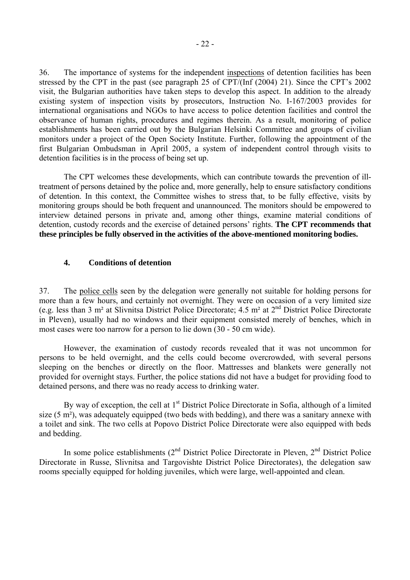<span id="page-21-0"></span>36. The importance of systems for the independent inspections of detention facilities has been stressed by the CPT in the past (see paragraph 25 of CPT/(Inf  $(2004)$  21). Since the CPT's 2002 visit, the Bulgarian authorities have taken steps to develop this aspect. In addition to the already existing system of inspection visits by prosecutors, Instruction No. I-167/2003 provides for international organisations and NGOs to have access to police detention facilities and control the observance of human rights, procedures and regimes therein. As a result, monitoring of police establishments has been carried out by the Bulgarian Helsinki Committee and groups of civilian monitors under a project of the Open Society Institute. Further, following the appointment of the first Bulgarian Ombudsman in April 2005, a system of independent control through visits to detention facilities is in the process of being set up.

 The CPT welcomes these developments, which can contribute towards the prevention of illtreatment of persons detained by the police and, more generally, help to ensure satisfactory conditions of detention. In this context, the Committee wishes to stress that, to be fully effective, visits by monitoring groups should be both frequent and unannounced. The monitors should be empowered to interview detained persons in private and, among other things, examine material conditions of detention, custody records and the exercise of detained persons' rights. The CPT recommends that **these principles be fully observed in the activities of the above-mentioned monitoring bodies.** 

#### **4. Conditions of detention**

37. The police cells seen by the delegation were generally not suitable for holding persons for more than a few hours, and certainly not overnight. They were on occasion of a very limited size (e.g. less than 3 m² at Slivnitsa District Police Directorate; 4.5 m² at 2nd District Police Directorate in Pleven), usually had no windows and their equipment consisted merely of benches, which in most cases were too narrow for a person to lie down (30 - 50 cm wide).

 However, the examination of custody records revealed that it was not uncommon for persons to be held overnight, and the cells could become overcrowded, with several persons sleeping on the benches or directly on the floor. Mattresses and blankets were generally not provided for overnight stays. Further, the police stations did not have a budget for providing food to detained persons, and there was no ready access to drinking water.

By way of exception, the cell at 1<sup>st</sup> District Police Directorate in Sofia, although of a limited size (5 m²), was adequately equipped (two beds with bedding), and there was a sanitary annexe with a toilet and sink. The two cells at Popovo District Police Directorate were also equipped with beds and bedding.

In some police establishments  $(2^{nd}$  District Police Directorate in Pleven,  $2^{nd}$  District Police Directorate in Russe, Slivnitsa and Targovishte District Police Directorates), the delegation saw rooms specially equipped for holding juveniles, which were large, well-appointed and clean.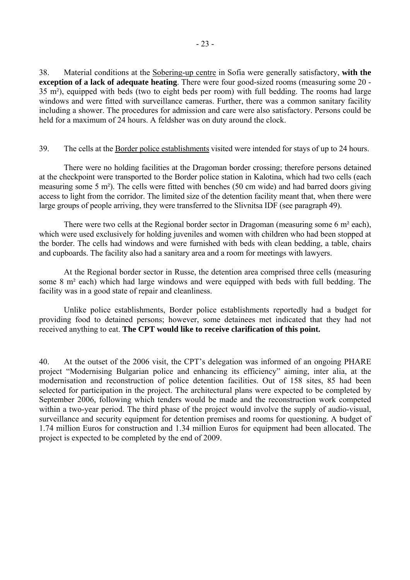38. Material conditions at the Sobering-up centre in Sofia were generally satisfactory, **with the exception of a lack of adequate heating**. There were four good-sized rooms (measuring some 20 - 35 m²), equipped with beds (two to eight beds per room) with full bedding. The rooms had large windows and were fitted with surveillance cameras. Further, there was a common sanitary facility including a shower. The procedures for admission and care were also satisfactory. Persons could be held for a maximum of 24 hours. A feldsher was on duty around the clock.

#### 39. The cells at the Border police establishments visited were intended for stays of up to 24 hours.

 There were no holding facilities at the Dragoman border crossing; therefore persons detained at the checkpoint were transported to the Border police station in Kalotina, which had two cells (each measuring some 5 m²). The cells were fitted with benches (50 cm wide) and had barred doors giving access to light from the corridor. The limited size of the detention facility meant that, when there were large groups of people arriving, they were transferred to the Slivnitsa IDF (see paragraph 49).

There were two cells at the Regional border sector in Dragoman (measuring some 6 m<sup>2</sup> each), which were used exclusively for holding juveniles and women with children who had been stopped at the border. The cells had windows and were furnished with beds with clean bedding, a table, chairs and cupboards. The facility also had a sanitary area and a room for meetings with lawyers.

 At the Regional border sector in Russe, the detention area comprised three cells (measuring some 8 m² each) which had large windows and were equipped with beds with full bedding. The facility was in a good state of repair and cleanliness.

 Unlike police establishments, Border police establishments reportedly had a budget for providing food to detained persons; however, some detainees met indicated that they had not received anything to eat. **The CPT would like to receive clarification of this point.** 

40. At the outset of the 2006 visit, the CPT's delegation was informed of an ongoing PHARE project "Modernising Bulgarian police and enhancing its efficiency" aiming, inter alia, at the modernisation and reconstruction of police detention facilities. Out of 158 sites, 85 had been selected for participation in the project. The architectural plans were expected to be completed by September 2006, following which tenders would be made and the reconstruction work competed within a two-year period. The third phase of the project would involve the supply of audio-visual, surveillance and security equipment for detention premises and rooms for questioning. A budget of 1.74 million Euros for construction and 1.34 million Euros for equipment had been allocated. The project is expected to be completed by the end of 2009.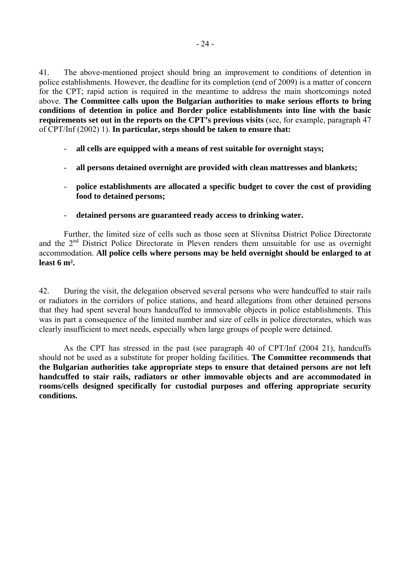41. The above-mentioned project should bring an improvement to conditions of detention in police establishments. However, the deadline for its completion (end of 2009) is a matter of concern for the CPT; rapid action is required in the meantime to address the main shortcomings noted above. **The Committee calls upon the Bulgarian authorities to make serious efforts to bring conditions of detention in police and Border police establishments into line with the basic requirements set out in the reports on the CPT's previous visits** (see, for example, paragraph 47 of CPT/Inf (2002) 1). **In particular, steps should be taken to ensure that:** 

- **all cells are equipped with a means of rest suitable for overnight stays;**
- **all persons detained overnight are provided with clean mattresses and blankets;**
- **police establishments are allocated a specific budget to cover the cost of providing food to detained persons;**
- **detained persons are guaranteed ready access to drinking water.**

Further, the limited size of cells such as those seen at Slivnitsa District Police Directorate and the  $2<sup>nd</sup>$  District Police Directorate in Pleven renders them unsuitable for use as overnight accommodation. **All police cells where persons may be held overnight should be enlarged to at least 6 m².** 

42. During the visit, the delegation observed several persons who were handcuffed to stair rails or radiators in the corridors of police stations, and heard allegations from other detained persons that they had spent several hours handcuffed to immovable objects in police establishments. This was in part a consequence of the limited number and size of cells in police directorates, which was clearly insufficient to meet needs, especially when large groups of people were detained.

As the CPT has stressed in the past (see paragraph 40 of CPT/Inf (2004 21), handcuffs should not be used as a substitute for proper holding facilities. **The Committee recommends that the Bulgarian authorities take appropriate steps to ensure that detained persons are not left handcuffed to stair rails, radiators or other immovable objects and are accommodated in rooms/cells designed specifically for custodial purposes and offering appropriate security conditions.**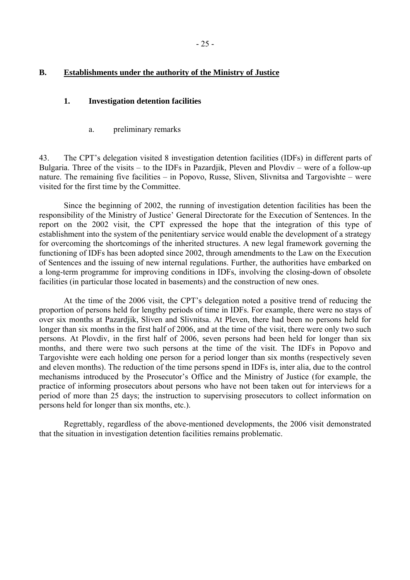# <span id="page-24-0"></span>**B. Establishments under the authority of the Ministry of Justice**

#### **1. Investigation detention facilities**

a. preliminary remarks

43. The CPT's delegation visited 8 investigation detention facilities (IDFs) in different parts of Bulgaria. Three of the visits  $-$  to the IDFs in Pazardjik, Pleven and Plovdiv  $-$  were of a follow-up nature. The remaining five facilities  $-$  in Popovo, Russe, Sliven, Slivnitsa and Targovishte  $-$  were visited for the first time by the Committee.

 Since the beginning of 2002, the running of investigation detention facilities has been the responsibility of the Ministry of Justice' General Directorate for the Execution of Sentences. In the report on the 2002 visit, the CPT expressed the hope that the integration of this type of establishment into the system of the penitentiary service would enable the development of a strategy for overcoming the shortcomings of the inherited structures. A new legal framework governing the functioning of IDFs has been adopted since 2002, through amendments to the Law on the Execution of Sentences and the issuing of new internal regulations. Further, the authorities have embarked on a long-term programme for improving conditions in IDFs, involving the closing-down of obsolete facilities (in particular those located in basements) and the construction of new ones.

At the time of the 2006 visit, the CPT's delegation noted a positive trend of reducing the proportion of persons held for lengthy periods of time in IDFs. For example, there were no stays of over six months at Pazardjik, Sliven and Slivnitsa. At Pleven, there had been no persons held for longer than six months in the first half of 2006, and at the time of the visit, there were only two such persons. At Plovdiv, in the first half of 2006, seven persons had been held for longer than six months, and there were two such persons at the time of the visit. The IDFs in Popovo and Targovishte were each holding one person for a period longer than six months (respectively seven and eleven months). The reduction of the time persons spend in IDFs is, inter alia, due to the control mechanisms introduced by the Prosecutor's Office and the Ministry of Justice (for example, the practice of informing prosecutors about persons who have not been taken out for interviews for a period of more than 25 days; the instruction to supervising prosecutors to collect information on persons held for longer than six months, etc.).

 Regrettably, regardless of the above-mentioned developments, the 2006 visit demonstrated that the situation in investigation detention facilities remains problematic.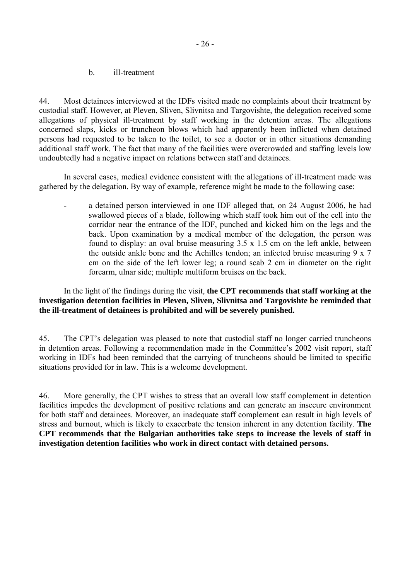b. ill-treatment

<span id="page-25-0"></span>44. Most detainees interviewed at the IDFs visited made no complaints about their treatment by custodial staff. However, at Pleven, Sliven, Slivnitsa and Targovishte, the delegation received some allegations of physical ill-treatment by staff working in the detention areas. The allegations concerned slaps, kicks or truncheon blows which had apparently been inflicted when detained persons had requested to be taken to the toilet, to see a doctor or in other situations demanding additional staff work. The fact that many of the facilities were overcrowded and staffing levels low undoubtedly had a negative impact on relations between staff and detainees.

 In several cases, medical evidence consistent with the allegations of ill-treatment made was gathered by the delegation. By way of example, reference might be made to the following case:

a detained person interviewed in one IDF alleged that, on 24 August 2006, he had swallowed pieces of a blade, following which staff took him out of the cell into the corridor near the entrance of the IDF, punched and kicked him on the legs and the back. Upon examination by a medical member of the delegation, the person was found to display: an oval bruise measuring 3.5 x 1.5 cm on the left ankle, between the outside ankle bone and the Achilles tendon; an infected bruise measuring  $9 \times 7$ cm on the side of the left lower leg; a round scab 2 cm in diameter on the right forearm, ulnar side; multiple multiform bruises on the back.

## In the light of the findings during the visit, **the CPT recommends that staff working at the investigation detention facilities in Pleven, Sliven, Slivnitsa and Targovishte be reminded that the ill-treatment of detainees is prohibited and will be severely punished.**

45. The CPT's delegation was pleased to note that custodial staff no longer carried truncheons in detention areas. Following a recommendation made in the Committee's 2002 visit report, staff working in IDFs had been reminded that the carrying of truncheons should be limited to specific situations provided for in law. This is a welcome development.

46. More generally, the CPT wishes to stress that an overall low staff complement in detention facilities impedes the development of positive relations and can generate an insecure environment for both staff and detainees. Moreover, an inadequate staff complement can result in high levels of stress and burnout, which is likely to exacerbate the tension inherent in any detention facility. **The CPT recommends that the Bulgarian authorities take steps to increase the levels of staff in investigation detention facilities who work in direct contact with detained persons.**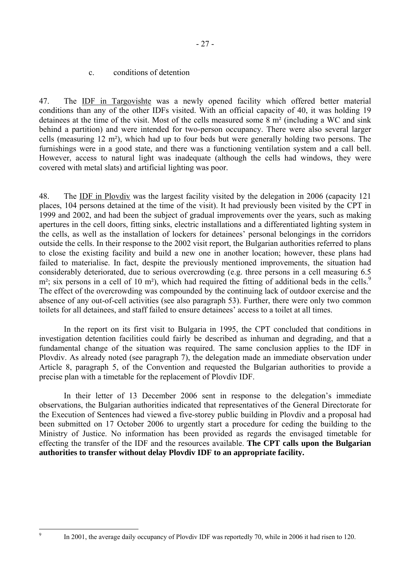#### c. conditions of detention

<span id="page-26-0"></span>47. The IDF in Targovishte was a newly opened facility which offered better material conditions than any of the other IDFs visited. With an official capacity of 40, it was holding 19 detainees at the time of the visit. Most of the cells measured some 8 m² (including a WC and sink behind a partition) and were intended for two-person occupancy. There were also several larger cells (measuring 12 m²), which had up to four beds but were generally holding two persons. The furnishings were in a good state, and there was a functioning ventilation system and a call bell. However, access to natural light was inadequate (although the cells had windows, they were covered with metal slats) and artificial lighting was poor.

48. The IDF in Plovdiv was the largest facility visited by the delegation in 2006 (capacity 121 places, 104 persons detained at the time of the visit). It had previously been visited by the CPT in 1999 and 2002, and had been the subject of gradual improvements over the years, such as making apertures in the cell doors, fitting sinks, electric installations and a differentiated lighting system in the cells, as well as the installation of lockers for detainees' personal belongings in the corridors outside the cells. In their response to the 2002 visit report, the Bulgarian authorities referred to plans to close the existing facility and build a new one in another location; however, these plans had failed to materialise. In fact, despite the previously mentioned improvements, the situation had considerably deteriorated, due to serious overcrowding (e.g. three persons in a cell measuring 6.5  $m<sup>2</sup>$ ; six persons in a cell of 10 m<sup>2</sup>), which had required the fitting of additional beds in the cells.<sup>[9](#page-26-1)</sup> The effect of the overcrowding was compounded by the continuing lack of outdoor exercise and the absence of any out-of-cell activities (see also paragraph 53). Further, there were only two common toilets for all detainees, and staff failed to ensure detainees' access to a toilet at all times.

 In the report on its first visit to Bulgaria in 1995, the CPT concluded that conditions in investigation detention facilities could fairly be described as inhuman and degrading, and that a fundamental change of the situation was required. The same conclusion applies to the IDF in Plovdiv. As already noted (see paragraph 7), the delegation made an immediate observation under Article 8, paragraph 5, of the Convention and requested the Bulgarian authorities to provide a precise plan with a timetable for the replacement of Plovdiv IDF.

In their letter of 13 December 2006 sent in response to the delegation's immediate observations, the Bulgarian authorities indicated that representatives of the General Directorate for the Execution of Sentences had viewed a five-storey public building in Plovdiv and a proposal had been submitted on 17 October 2006 to urgently start a procedure for ceding the building to the Ministry of Justice. No information has been provided as regards the envisaged timetable for effecting the transfer of the IDF and the resources available. **The CPT calls upon the Bulgarian authorities to transfer without delay Plovdiv IDF to an appropriate facility.** 

<span id="page-26-1"></span>-<br>9

- 27 -

In 2001, the average daily occupancy of Plovdiv IDF was reportedly 70, while in 2006 it had risen to 120.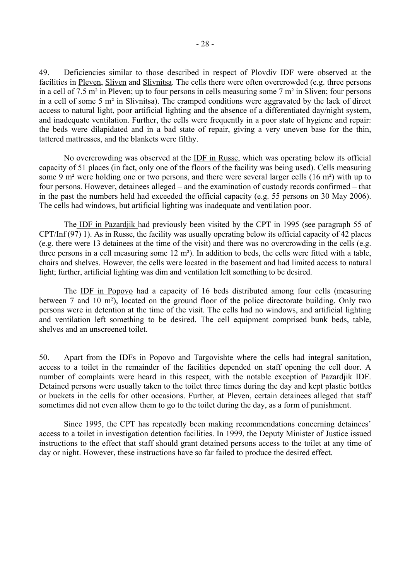49. Deficiencies similar to those described in respect of Plovdiv IDF were observed at the facilities in Pleven, Sliven and Slivnitsa. The cells there were often overcrowded (e.g. three persons in a cell of 7.5 m² in Pleven; up to four persons in cells measuring some 7 m² in Sliven; four persons in a cell of some 5 m² in Slivnitsa). The cramped conditions were aggravated by the lack of direct access to natural light, poor artificial lighting and the absence of a differentiated day/night system, and inadequate ventilation. Further, the cells were frequently in a poor state of hygiene and repair: the beds were dilapidated and in a bad state of repair, giving a very uneven base for the thin, tattered mattresses, and the blankets were filthy.

 No overcrowding was observed at the IDF in Russe, which was operating below its official capacity of 51 places (in fact, only one of the floors of the facility was being used). Cells measuring some 9 m<sup>2</sup> were holding one or two persons, and there were several larger cells (16 m<sup>2</sup>) with up to four persons. However, detainees alleged – and the examination of custody records confirmed – that in the past the numbers held had exceeded the official capacity (e.g. 55 persons on 30 May 2006). The cells had windows, but artificial lighting was inadequate and ventilation poor.

 The IDF in Pazardjik had previously been visited by the CPT in 1995 (see paragraph 55 of CPT/Inf (97) 1). As in Russe, the facility was usually operating below its official capacity of 42 places (e.g. there were 13 detainees at the time of the visit) and there was no overcrowding in the cells (e.g. three persons in a cell measuring some 12 m²). In addition to beds, the cells were fitted with a table, chairs and shelves. However, the cells were located in the basement and had limited access to natural light; further, artificial lighting was dim and ventilation left something to be desired.

 The IDF in Popovo had a capacity of 16 beds distributed among four cells (measuring between 7 and 10 m²), located on the ground floor of the police directorate building. Only two persons were in detention at the time of the visit. The cells had no windows, and artificial lighting and ventilation left something to be desired. The cell equipment comprised bunk beds, table, shelves and an unscreened toilet.

50. Apart from the IDFs in Popovo and Targovishte where the cells had integral sanitation, access to a toilet in the remainder of the facilities depended on staff opening the cell door. A number of complaints were heard in this respect, with the notable exception of Pazardjik IDF. Detained persons were usually taken to the toilet three times during the day and kept plastic bottles or buckets in the cells for other occasions. Further, at Pleven, certain detainees alleged that staff sometimes did not even allow them to go to the toilet during the day, as a form of punishment.

Since 1995, the CPT has repeatedly been making recommendations concerning detainees<sup>7</sup> access to a toilet in investigation detention facilities. In 1999, the Deputy Minister of Justice issued instructions to the effect that staff should grant detained persons access to the toilet at any time of day or night. However, these instructions have so far failed to produce the desired effect.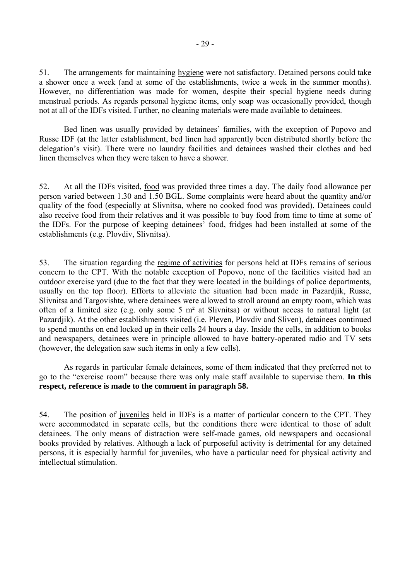51. The arrangements for maintaining hygiene were not satisfactory. Detained persons could take a shower once a week (and at some of the establishments, twice a week in the summer months). However, no differentiation was made for women, despite their special hygiene needs during menstrual periods. As regards personal hygiene items, only soap was occasionally provided, though not at all of the IDFs visited. Further, no cleaning materials were made available to detainees.

Bed linen was usually provided by detainees' families, with the exception of Popovo and Russe IDF (at the latter establishment, bed linen had apparently been distributed shortly before the delegation's visit). There were no laundry facilities and detainees washed their clothes and bed linen themselves when they were taken to have a shower.

52. At all the IDFs visited, food was provided three times a day. The daily food allowance per person varied between 1.30 and 1.50 BGL. Some complaints were heard about the quantity and/or quality of the food (especially at Slivnitsa, where no cooked food was provided). Detainees could also receive food from their relatives and it was possible to buy food from time to time at some of the IDFs. For the purpose of keeping detainees<sup>7</sup> food, fridges had been installed at some of the establishments (e.g. Plovdiv, Slivnitsa).

53. The situation regarding the regime of activities for persons held at IDFs remains of serious concern to the CPT. With the notable exception of Popovo, none of the facilities visited had an outdoor exercise yard (due to the fact that they were located in the buildings of police departments, usually on the top floor). Efforts to alleviate the situation had been made in Pazardjik, Russe, Slivnitsa and Targovishte, where detainees were allowed to stroll around an empty room, which was often of a limited size (e.g. only some 5 m² at Slivnitsa) or without access to natural light (at Pazardjik). At the other establishments visited (i.e. Pleven, Plovdiv and Sliven), detainees continued to spend months on end locked up in their cells 24 hours a day. Inside the cells, in addition to books and newspapers, detainees were in principle allowed to have battery-operated radio and TV sets (however, the delegation saw such items in only a few cells).

 As regards in particular female detainees, some of them indicated that they preferred not to go to the "exercise room" because there was only male staff available to supervise them. In this **respect, reference is made to the comment in paragraph 58.**

54. The position of juveniles held in IDFs is a matter of particular concern to the CPT. They were accommodated in separate cells, but the conditions there were identical to those of adult detainees. The only means of distraction were self-made games, old newspapers and occasional books provided by relatives. Although a lack of purposeful activity is detrimental for any detained persons, it is especially harmful for juveniles, who have a particular need for physical activity and intellectual stimulation.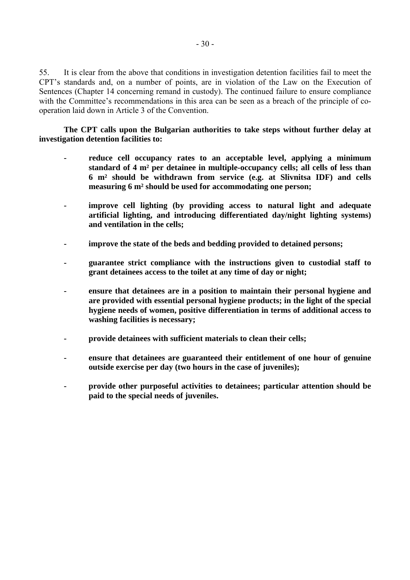55. It is clear from the above that conditions in investigation detention facilities fail to meet the CPT's standards and, on a number of points, are in violation of the Law on the Execution of Sentences (Chapter 14 concerning remand in custody). The continued failure to ensure compliance with the Committee's recommendations in this area can be seen as a breach of the principle of cooperation laid down in Article 3 of the Convention.

 **The CPT calls upon the Bulgarian authorities to take steps without further delay at investigation detention facilities to:** 

- **reduce cell occupancy rates to an acceptable level, applying a minimum standard of 4 m² per detainee in multiple-occupancy cells; all cells of less than 6 m² should be withdrawn from service (e.g. at Slivnitsa IDF) and cells measuring 6 m² should be used for accommodating one person;**
- **improve cell lighting (by providing access to natural light and adequate artificial lighting, and introducing differentiated day/night lighting systems) and ventilation in the cells;**
- **improve the state of the beds and bedding provided to detained persons;**
- **guarantee strict compliance with the instructions given to custodial staff to grant detainees access to the toilet at any time of day or night;**
- **ensure that detainees are in a position to maintain their personal hygiene and are provided with essential personal hygiene products; in the light of the special hygiene needs of women, positive differentiation in terms of additional access to washing facilities is necessary;**
- **provide detainees with sufficient materials to clean their cells;**
- **ensure that detainees are guaranteed their entitlement of one hour of genuine outside exercise per day (two hours in the case of juveniles);**
- **provide other purposeful activities to detainees; particular attention should be paid to the special needs of juveniles.**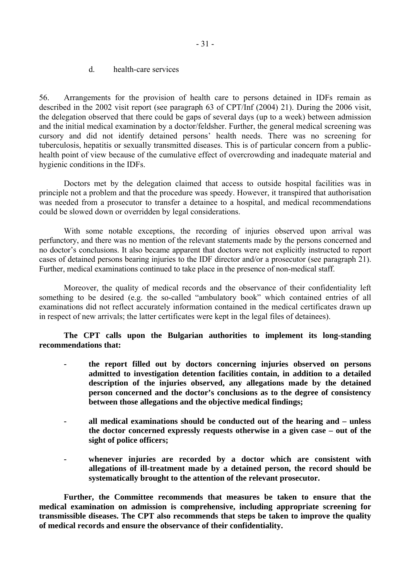d. health-care services

<span id="page-30-0"></span>56. Arrangements for the provision of health care to persons detained in IDFs remain as described in the 2002 visit report (see paragraph 63 of CPT/Inf (2004) 21). During the 2006 visit, the delegation observed that there could be gaps of several days (up to a week) between admission and the initial medical examination by a doctor/feldsher. Further, the general medical screening was cursory and did not identify detained persons' health needs. There was no screening for tuberculosis, hepatitis or sexually transmitted diseases. This is of particular concern from a publichealth point of view because of the cumulative effect of overcrowding and inadequate material and hygienic conditions in the IDFs.

 Doctors met by the delegation claimed that access to outside hospital facilities was in principle not a problem and that the procedure was speedy. However, it transpired that authorisation was needed from a prosecutor to transfer a detainee to a hospital, and medical recommendations could be slowed down or overridden by legal considerations.

 With some notable exceptions, the recording of injuries observed upon arrival was perfunctory, and there was no mention of the relevant statements made by the persons concerned and no doctor's conclusions. It also became apparent that doctors were not explicitly instructed to report cases of detained persons bearing injuries to the IDF director and/or a prosecutor (see paragraph 21). Further, medical examinations continued to take place in the presence of non-medical staff.

 Moreover, the quality of medical records and the observance of their confidentiality left something to be desired (e.g. the so-called "ambulatory book" which contained entries of all examinations did not reflect accurately information contained in the medical certificates drawn up in respect of new arrivals; the latter certificates were kept in the legal files of detainees).

 **The CPT calls upon the Bulgarian authorities to implement its long-standing recommendations that:** 

- **the report filled out by doctors concerning injuries observed on persons admitted to investigation detention facilities contain, in addition to a detailed description of the injuries observed, any allegations made by the detained person concerned and the doctor's conclusions as to the degree of consistency between those allegations and the objective medical findings;**
- **all medical examinations should be conducted out of the hearing and unless the doctor concerned expressly requests otherwise in a given case – out of the sight of police officers;**
- whenever injuries are recorded by a doctor which are consistent with **allegations of ill-treatment made by a detained person, the record should be systematically brought to the attention of the relevant prosecutor.**

 **Further, the Committee recommends that measures be taken to ensure that the medical examination on admission is comprehensive, including appropriate screening for transmissible diseases. The CPT also recommends that steps be taken to improve the quality of medical records and ensure the observance of their confidentiality.**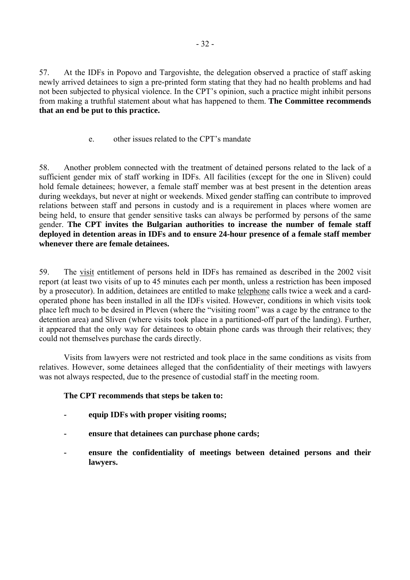<span id="page-31-0"></span>57. At the IDFs in Popovo and Targovishte, the delegation observed a practice of staff asking newly arrived detainees to sign a pre-printed form stating that they had no health problems and had not been subjected to physical violence. In the CPT's opinion, such a practice might inhibit persons from making a truthful statement about what has happened to them. **The Committee recommends that an end be put to this practice.**

e. other issues related to the CPT's mandate

58. Another problem connected with the treatment of detained persons related to the lack of a sufficient gender mix of staff working in IDFs. All facilities (except for the one in Sliven) could hold female detainees; however, a female staff member was at best present in the detention areas during weekdays, but never at night or weekends. Mixed gender staffing can contribute to improved relations between staff and persons in custody and is a requirement in places where women are being held, to ensure that gender sensitive tasks can always be performed by persons of the same gender. **The CPT invites the Bulgarian authorities to increase the number of female staff deployed in detention areas in IDFs and to ensure 24-hour presence of a female staff member whenever there are female detainees.**

59. The visit entitlement of persons held in IDFs has remained as described in the 2002 visit report (at least two visits of up to 45 minutes each per month, unless a restriction has been imposed by a prosecutor). In addition, detainees are entitled to make telephone calls twice a week and a cardoperated phone has been installed in all the IDFs visited. However, conditions in which visits took place left much to be desired in Pleven (where the "visiting room" was a cage by the entrance to the detention area) and Sliven (where visits took place in a partitioned-off part of the landing). Further, it appeared that the only way for detainees to obtain phone cards was through their relatives; they could not themselves purchase the cards directly.

 Visits from lawyers were not restricted and took place in the same conditions as visits from relatives. However, some detainees alleged that the confidentiality of their meetings with lawyers was not always respected, due to the presence of custodial staff in the meeting room.

# **The CPT recommends that steps be taken to:**

- **equip IDFs with proper visiting rooms;**
- **ensure that detainees can purchase phone cards;**
- **ensure the confidentiality of meetings between detained persons and their lawyers.**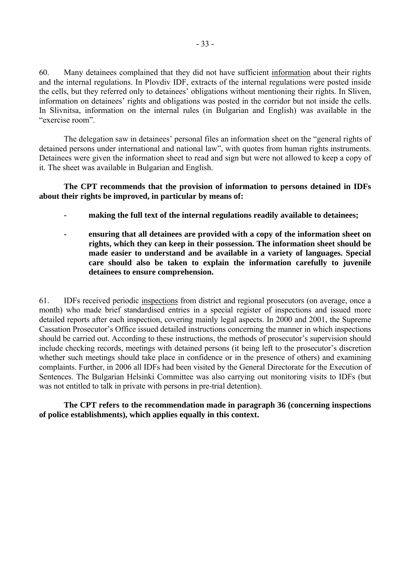60. Many detainees complained that they did not have sufficient information about their rights and the internal regulations. In Plovdiv IDF, extracts of the internal regulations were posted inside the cells, but they referred only to detainees' obligations without mentioning their rights. In Sliven, information on detainees' rights and obligations was posted in the corridor but not inside the cells. In Slivnitsa, information on the internal rules (in Bulgarian and English) was available in the "exercise room"

The delegation saw in detainees' personal files an information sheet on the "general rights of detained persons under international and national law", with quotes from human rights instruments. Detainees were given the information sheet to read and sign but were not allowed to keep a copy of it. The sheet was available in Bulgarian and English.

 **The CPT recommends that the provision of information to persons detained in IDFs about their rights be improved, in particular by means of:** 

- **making the full text of the internal regulations readily available to detainees;**
- **ensuring that all detainees are provided with a copy of the information sheet on rights, which they can keep in their possession. The information sheet should be made easier to understand and be available in a variety of languages. Special care should also be taken to explain the information carefully to juvenile detainees to ensure comprehension.**

61. IDFs received periodic inspections from district and regional prosecutors (on average, once a month) who made brief standardised entries in a special register of inspections and issued more detailed reports after each inspection, covering mainly legal aspects. In 2000 and 2001, the Supreme Cassation Prosecutor's Office issued detailed instructions concerning the manner in which inspections should be carried out. According to these instructions, the methods of prosecutor's supervision should include checking records, meetings with detained persons (it being left to the prosecutor's discretion whether such meetings should take place in confidence or in the presence of others) and examining complaints. Further, in 2006 all IDFs had been visited by the General Directorate for the Execution of Sentences. The Bulgarian Helsinki Committee was also carrying out monitoring visits to IDFs (but was not entitled to talk in private with persons in pre-trial detention).

 **The CPT refers to the recommendation made in paragraph 36 (concerning inspections of police establishments), which applies equally in this context.**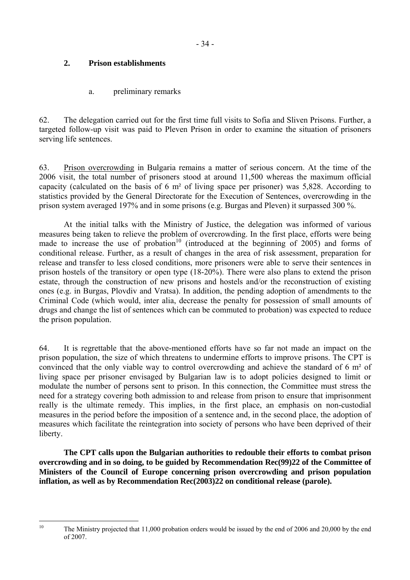# <span id="page-33-0"></span>**2. Prison establishments**

# a. preliminary remarks

62. The delegation carried out for the first time full visits to Sofia and Sliven Prisons. Further, a targeted follow-up visit was paid to Pleven Prison in order to examine the situation of prisoners serving life sentences.

63. Prison overcrowding in Bulgaria remains a matter of serious concern. At the time of the 2006 visit, the total number of prisoners stood at around 11,500 whereas the maximum official capacity (calculated on the basis of 6 m² of living space per prisoner) was 5,828. According to statistics provided by the General Directorate for the Execution of Sentences, overcrowding in the prison system averaged 197% and in some prisons (e.g. Burgas and Pleven) it surpassed 300 %.

 At the initial talks with the Ministry of Justice, the delegation was informed of various measures being taken to relieve the problem of overcrowding. In the first place, efforts were being made to increase the use of probation<sup>10</sup> (introduced at the beginning of 2005) and forms of conditional release. Further, as a result of changes in the area of risk assessment, preparation for release and transfer to less closed conditions, more prisoners were able to serve their sentences in prison hostels of the transitory or open type (18-20%). There were also plans to extend the prison estate, through the construction of new prisons and hostels and/or the reconstruction of existing ones (e.g. in Burgas, Plovdiv and Vratsa). In addition, the pending adoption of amendments to the Criminal Code (which would, inter alia, decrease the penalty for possession of small amounts of drugs and change the list of sentences which can be commuted to probation) was expected to reduce the prison population.

64. It is regrettable that the above-mentioned efforts have so far not made an impact on the prison population, the size of which threatens to undermine efforts to improve prisons. The CPT is convinced that the only viable way to control overcrowding and achieve the standard of 6 m² of living space per prisoner envisaged by Bulgarian law is to adopt policies designed to limit or modulate the number of persons sent to prison. In this connection, the Committee must stress the need for a strategy covering both admission to and release from prison to ensure that imprisonment really is the ultimate remedy. This implies, in the first place, an emphasis on non-custodial measures in the period before the imposition of a sentence and, in the second place, the adoption of measures which facilitate the reintegration into society of persons who have been deprived of their liberty.

**The CPT calls upon the Bulgarian authorities to redouble their efforts to combat prison overcrowding and in so doing, to be guided by Recommendation Rec(99)22 of the Committee of Ministers of the Council of Europe concerning prison overcrowding and prison population inflation, as well as by Recommendation Rec(2003)22 on conditional release (parole).** 

<span id="page-33-1"></span> $10$ 

The Ministry projected that 11,000 probation orders would be issued by the end of 2006 and 20,000 by the end of 2007.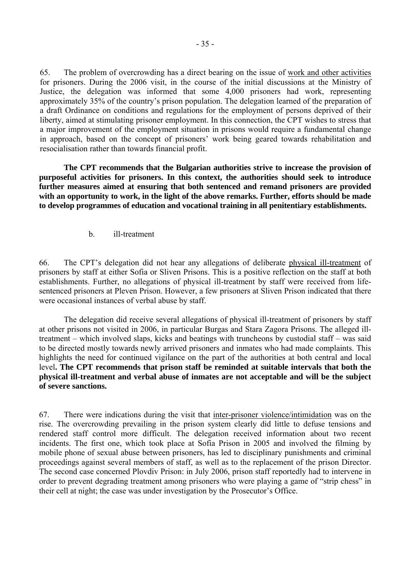<span id="page-34-0"></span>65. The problem of overcrowding has a direct bearing on the issue of work and other activities for prisoners. During the 2006 visit, in the course of the initial discussions at the Ministry of Justice, the delegation was informed that some 4,000 prisoners had work, representing approximately 35% of the country's prison population. The delegation learned of the preparation of a draft Ordinance on conditions and regulations for the employment of persons deprived of their liberty, aimed at stimulating prisoner employment. In this connection, the CPT wishes to stress that a major improvement of the employment situation in prisons would require a fundamental change in approach, based on the concept of prisoners' work being geared towards rehabilitation and resocialisation rather than towards financial profit.

**The CPT recommends that the Bulgarian authorities strive to increase the provision of purposeful activities for prisoners. In this context, the authorities should seek to introduce further measures aimed at ensuring that both sentenced and remand prisoners are provided with an opportunity to work, in the light of the above remarks. Further, efforts should be made to develop programmes of education and vocational training in all penitentiary establishments.** 

b. ill-treatment

66. The CPTís delegation did not hear any allegations of deliberate physical ill-treatment of prisoners by staff at either Sofia or Sliven Prisons. This is a positive reflection on the staff at both establishments. Further, no allegations of physical ill-treatment by staff were received from lifesentenced prisoners at Pleven Prison. However, a few prisoners at Sliven Prison indicated that there were occasional instances of verbal abuse by staff.

 The delegation did receive several allegations of physical ill-treatment of prisoners by staff at other prisons not visited in 2006, in particular Burgas and Stara Zagora Prisons. The alleged illtreatment  $-$  which involved slaps, kicks and beatings with truncheons by custodial staff  $-$  was said to be directed mostly towards newly arrived prisoners and inmates who had made complaints. This highlights the need for continued vigilance on the part of the authorities at both central and local level**. The CPT recommends that prison staff be reminded at suitable intervals that both the physical ill-treatment and verbal abuse of inmates are not acceptable and will be the subject of severe sanctions.**

67. There were indications during the visit that inter-prisoner violence/intimidation was on the rise. The overcrowding prevailing in the prison system clearly did little to defuse tensions and rendered staff control more difficult. The delegation received information about two recent incidents. The first one, which took place at Sofia Prison in 2005 and involved the filming by mobile phone of sexual abuse between prisoners, has led to disciplinary punishments and criminal proceedings against several members of staff, as well as to the replacement of the prison Director. The second case concerned Plovdiv Prison: in July 2006, prison staff reportedly had to intervene in order to prevent degrading treatment among prisoners who were playing a game of "strip chess" in their cell at night; the case was under investigation by the Prosecutor's Office.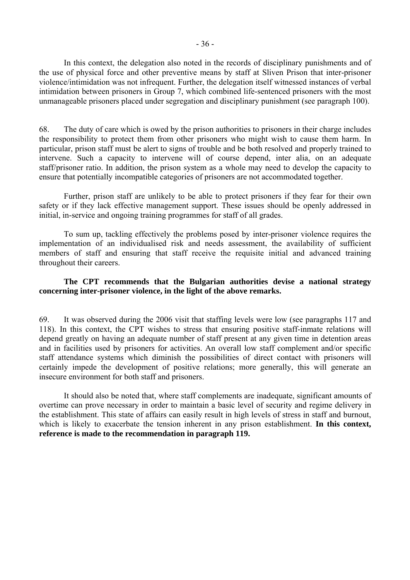In this context, the delegation also noted in the records of disciplinary punishments and of the use of physical force and other preventive means by staff at Sliven Prison that inter-prisoner violence/intimidation was not infrequent. Further, the delegation itself witnessed instances of verbal intimidation between prisoners in Group 7, which combined life-sentenced prisoners with the most unmanageable prisoners placed under segregation and disciplinary punishment (see paragraph 100).

68. The duty of care which is owed by the prison authorities to prisoners in their charge includes the responsibility to protect them from other prisoners who might wish to cause them harm. In particular, prison staff must be alert to signs of trouble and be both resolved and properly trained to intervene. Such a capacity to intervene will of course depend, inter alia, on an adequate staff/prisoner ratio. In addition, the prison system as a whole may need to develop the capacity to ensure that potentially incompatible categories of prisoners are not accommodated together.

 Further, prison staff are unlikely to be able to protect prisoners if they fear for their own safety or if they lack effective management support. These issues should be openly addressed in initial, in-service and ongoing training programmes for staff of all grades.

To sum up, tackling effectively the problems posed by inter-prisoner violence requires the implementation of an individualised risk and needs assessment, the availability of sufficient members of staff and ensuring that staff receive the requisite initial and advanced training throughout their careers.

## **The CPT recommends that the Bulgarian authorities devise a national strategy concerning inter-prisoner violence, in the light of the above remarks.**

69. It was observed during the 2006 visit that staffing levels were low (see paragraphs 117 and 118). In this context, the CPT wishes to stress that ensuring positive staff-inmate relations will depend greatly on having an adequate number of staff present at any given time in detention areas and in facilities used by prisoners for activities. An overall low staff complement and/or specific staff attendance systems which diminish the possibilities of direct contact with prisoners will certainly impede the development of positive relations; more generally, this will generate an insecure environment for both staff and prisoners.

 It should also be noted that, where staff complements are inadequate, significant amounts of overtime can prove necessary in order to maintain a basic level of security and regime delivery in the establishment. This state of affairs can easily result in high levels of stress in staff and burnout, which is likely to exacerbate the tension inherent in any prison establishment. **In this context, reference is made to the recommendation in paragraph 119.**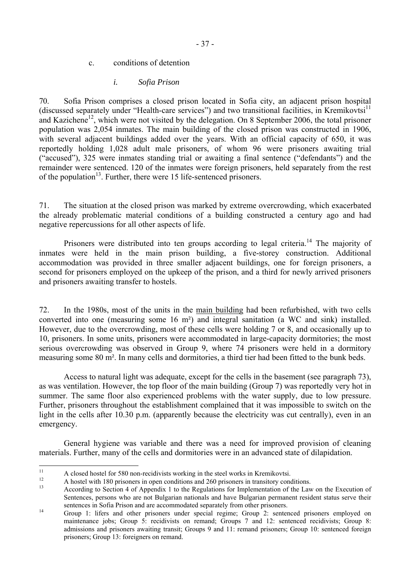c. conditions of detention

#### *i. Sofia Prison*

70. Sofia Prison comprises a closed prison located in Sofia city, an adjacent prison hospital (discussed separately under "Health-care services") and two transitional facilities, in Kremikovtsi<sup>[11](#page-36-0)</sup> and Kazichene<sup>12</sup>, which were not visited by the delegation. On 8 September 2006, the total prisoner population was 2,054 inmates. The main building of the closed prison was constructed in 1906, with several adjacent buildings added over the years. With an official capacity of 650, it was reportedly holding 1,028 adult male prisoners, of whom 96 were prisoners awaiting trial ( $\degree$  accused"), 325 were inmates standing trial or awaiting a final sentence ( $\degree$  defendants") and the remainder were sentenced. 120 of the inmates were foreign prisoners, held separately from the rest of the population<sup>13</sup>. Further, there were 15 life-sentenced prisoners.

71. The situation at the closed prison was marked by extreme overcrowding, which exacerbated the already problematic material conditions of a building constructed a century ago and had negative repercussions for all other aspects of life.

Prisoners were distributed into ten groups according to legal criteria.<sup>14</sup> The majority of inmates were held in the main prison building, a five-storey construction. Additional accommodation was provided in three smaller adjacent buildings, one for foreign prisoners, a second for prisoners employed on the upkeep of the prison, and a third for newly arrived prisoners and prisoners awaiting transfer to hostels.

72. In the 1980s, most of the units in the main building had been refurbished, with two cells converted into one (measuring some 16 m²) and integral sanitation (a WC and sink) installed. However, due to the overcrowding, most of these cells were holding 7 or 8, and occasionally up to 10, prisoners. In some units, prisoners were accommodated in large-capacity dormitories; the most serious overcrowding was observed in Group 9, where 74 prisoners were held in a dormitory measuring some 80 m². In many cells and dormitories, a third tier had been fitted to the bunk beds.

 Access to natural light was adequate, except for the cells in the basement (see paragraph 73), as was ventilation. However, the top floor of the main building (Group 7) was reportedly very hot in summer. The same floor also experienced problems with the water supply, due to low pressure. Further, prisoners throughout the establishment complained that it was impossible to switch on the light in the cells after 10.30 p.m. (apparently because the electricity was cut centrally), even in an emergency.

 General hygiene was variable and there was a need for improved provision of cleaning materials. Further, many of the cells and dormitories were in an advanced state of dilapidation.

 $\overline{11}$ 

<span id="page-36-2"></span><span id="page-36-1"></span>

<span id="page-36-0"></span><sup>&</sup>lt;sup>11</sup> A closed hostel for 580 non-recidivists working in the steel works in Kremikovtsi.<br>
<sup>12</sup> A hostel with 180 prisoners in open conditions and 260 prisoners in transitory conditions.<br>
According to Section 4 of Appendix 1 Sentences, persons who are not Bulgarian nationals and have Bulgarian permanent resident status serve their

<span id="page-36-3"></span>sentences in Sofia Prison and are accommodated separately from other prisoners.<br>
14 Group 1: lifers and other prisoners under special regime; Group 2: sentenced prisoners employed on maintenance jobs; Group 5: recidivists on remand; Groups 7 and 12: sentenced recidivists; Group 8: admissions and prisoners awaiting transit; Groups 9 and 11: remand prisoners; Group 10: sentenced foreign prisoners; Group 13: foreigners on remand.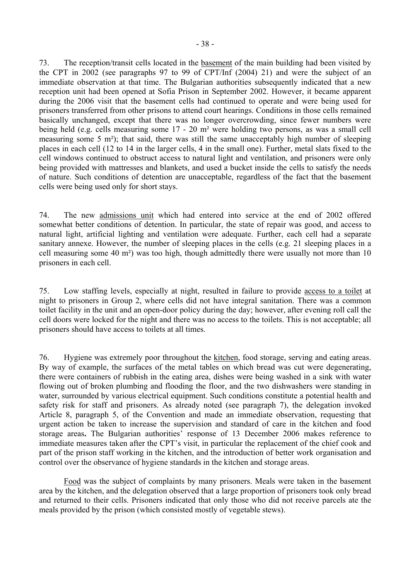73. The reception/transit cells located in the basement of the main building had been visited by the CPT in 2002 (see paragraphs 97 to 99 of CPT/Inf (2004) 21) and were the subject of an immediate observation at that time. The Bulgarian authorities subsequently indicated that a new reception unit had been opened at Sofia Prison in September 2002. However, it became apparent during the 2006 visit that the basement cells had continued to operate and were being used for prisoners transferred from other prisons to attend court hearings. Conditions in those cells remained basically unchanged, except that there was no longer overcrowding, since fewer numbers were being held (e.g. cells measuring some 17 - 20 m² were holding two persons, as was a small cell measuring some 5 m²); that said, there was still the same unacceptably high number of sleeping places in each cell (12 to 14 in the larger cells, 4 in the small one). Further, metal slats fixed to the cell windows continued to obstruct access to natural light and ventilation, and prisoners were only being provided with mattresses and blankets, and used a bucket inside the cells to satisfy the needs of nature. Such conditions of detention are unacceptable, regardless of the fact that the basement cells were being used only for short stays.

74. The new admissions unit which had entered into service at the end of 2002 offered somewhat better conditions of detention. In particular, the state of repair was good, and access to natural light, artificial lighting and ventilation were adequate. Further, each cell had a separate sanitary annexe. However, the number of sleeping places in the cells (e.g. 21 sleeping places in a cell measuring some 40 m²) was too high, though admittedly there were usually not more than 10 prisoners in each cell.

75. Low staffing levels, especially at night, resulted in failure to provide access to a toilet at night to prisoners in Group 2, where cells did not have integral sanitation. There was a common toilet facility in the unit and an open-door policy during the day; however, after evening roll call the cell doors were locked for the night and there was no access to the toilets. This is not acceptable; all prisoners should have access to toilets at all times.

76. Hygiene was extremely poor throughout the kitchen, food storage, serving and eating areas. By way of example, the surfaces of the metal tables on which bread was cut were degenerating, there were containers of rubbish in the eating area, dishes were being washed in a sink with water flowing out of broken plumbing and flooding the floor, and the two dishwashers were standing in water, surrounded by various electrical equipment. Such conditions constitute a potential health and safety risk for staff and prisoners. As already noted (see paragraph 7), the delegation invoked Article 8, paragraph 5, of the Convention and made an immediate observation, requesting that urgent action be taken to increase the supervision and standard of care in the kitchen and food storage areas. The Bulgarian authorities' response of 13 December 2006 makes reference to immediate measures taken after the CPT's visit, in particular the replacement of the chief cook and part of the prison staff working in the kitchen, and the introduction of better work organisation and control over the observance of hygiene standards in the kitchen and storage areas.

Food was the subject of complaints by many prisoners. Meals were taken in the basement area by the kitchen, and the delegation observed that a large proportion of prisoners took only bread and returned to their cells. Prisoners indicated that only those who did not receive parcels ate the meals provided by the prison (which consisted mostly of vegetable stews).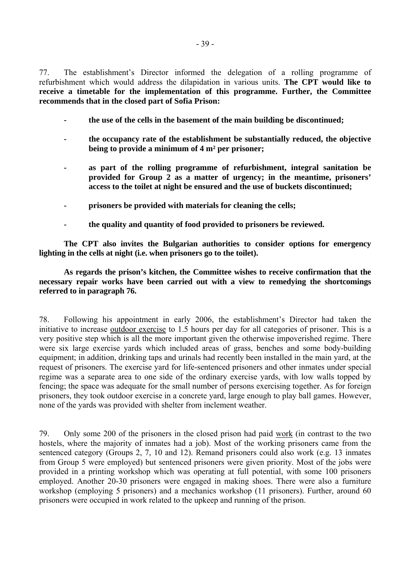77. The establishment's Director informed the delegation of a rolling programme of refurbishment which would address the dilapidation in various units. **The CPT would like to receive a timetable for the implementation of this programme. Further, the Committee recommends that in the closed part of Sofia Prison:**

- **the use of the cells in the basement of the main building be discontinued;**
- **the occupancy rate of the establishment be substantially reduced, the objective being to provide a minimum of 4 m² per prisoner;**
- **as part of the rolling programme of refurbishment, integral sanitation be provided for Group 2 as a matter of urgency; in the meantime, prisoners' access to the toilet at night be ensured and the use of buckets discontinued;**
- **prisoners be provided with materials for cleaning the cells;**
- **the quality and quantity of food provided to prisoners be reviewed.**

 **The CPT also invites the Bulgarian authorities to consider options for emergency lighting in the cells at night (i.e. when prisoners go to the toilet).** 

 **As regards the prison's kitchen, the Committee wishes to receive confirmation that the necessary repair works have been carried out with a view to remedying the shortcomings referred to in paragraph 76.** 

78. Following his appointment in early 2006, the establishment's Director had taken the initiative to increase outdoor exercise to 1.5 hours per day for all categories of prisoner. This is a very positive step which is all the more important given the otherwise impoverished regime. There were six large exercise yards which included areas of grass, benches and some body-building equipment; in addition, drinking taps and urinals had recently been installed in the main yard, at the request of prisoners. The exercise yard for life-sentenced prisoners and other inmates under special regime was a separate area to one side of the ordinary exercise yards, with low walls topped by fencing; the space was adequate for the small number of persons exercising together. As for foreign prisoners, they took outdoor exercise in a concrete yard, large enough to play ball games. However, none of the yards was provided with shelter from inclement weather.

79. Only some 200 of the prisoners in the closed prison had paid work (in contrast to the two hostels, where the majority of inmates had a job). Most of the working prisoners came from the sentenced category (Groups 2, 7, 10 and 12). Remand prisoners could also work (e.g. 13 inmates from Group 5 were employed) but sentenced prisoners were given priority. Most of the jobs were provided in a printing workshop which was operating at full potential, with some 100 prisoners employed. Another 20-30 prisoners were engaged in making shoes. There were also a furniture workshop (employing 5 prisoners) and a mechanics workshop (11 prisoners). Further, around 60 prisoners were occupied in work related to the upkeep and running of the prison.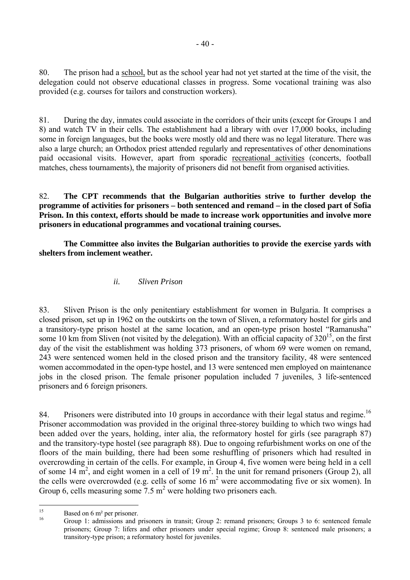80. The prison had a school, but as the school year had not yet started at the time of the visit, the delegation could not observe educational classes in progress. Some vocational training was also provided (e.g. courses for tailors and construction workers).

81. During the day, inmates could associate in the corridors of their units (except for Groups 1 and 8) and watch TV in their cells. The establishment had a library with over 17,000 books, including some in foreign languages, but the books were mostly old and there was no legal literature. There was also a large church; an Orthodox priest attended regularly and representatives of other denominations paid occasional visits. However, apart from sporadic recreational activities (concerts, football matches, chess tournaments), the majority of prisoners did not benefit from organised activities.

82. **The CPT recommends that the Bulgarian authorities strive to further develop the programme of activities for prisoners – both sentenced and remand – in the closed part of Sofia Prison. In this context, efforts should be made to increase work opportunities and involve more prisoners in educational programmes and vocational training courses.** 

 **The Committee also invites the Bulgarian authorities to provide the exercise yards with shelters from inclement weather.** 

*ii. Sliven Prison* 

83. Sliven Prison is the only penitentiary establishment for women in Bulgaria. It comprises a closed prison, set up in 1962 on the outskirts on the town of Sliven, a reformatory hostel for girls and a transitory-type prison hostel at the same location, and an open-type prison hostel "Ramanusha" some 10 km from Sliven (not visited by the delegation). With an official capacity of  $320^{15}$ , on the first day of the visit the establishment was holding 373 prisoners, of whom 69 were women on remand, 243 were sentenced women held in the closed prison and the transitory facility, 48 were sentenced women accommodated in the open-type hostel, and 13 were sentenced men employed on maintenance jobs in the closed prison. The female prisoner population included 7 juveniles, 3 life-sentenced prisoners and 6 foreign prisoners.

84. Prisoners were distributed into 10 groups in accordance with their legal status and regime.<sup>[16](#page-39-1)</sup> Prisoner accommodation was provided in the original three-storey building to which two wings had been added over the years, holding, inter alia, the reformatory hostel for girls (see paragraph 87) and the transitory-type hostel (see paragraph 88). Due to ongoing refurbishment works on one of the floors of the main building, there had been some reshuffling of prisoners which had resulted in overcrowding in certain of the cells. For example, in Group 4, five women were being held in a cell of some 14  $m^2$ , and eight women in a cell of 19  $m^2$ . In the unit for remand prisoners (Group 2), all the cells were overcrowded (e.g. cells of some  $16 \text{ m}^2$  were accommodating five or six women). In Group 6, cells measuring some  $7.5 \text{ m}^2$  were holding two prisoners each.

<span id="page-39-0"></span> $15$  $15$  Based on 6 m<sup>2</sup> per prisoner.

<span id="page-39-1"></span>Group 1: admissions and prisoners in transit; Group 2: remand prisoners; Groups 3 to 6: sentenced female prisoners; Group 7: lifers and other prisoners under special regime; Group 8: sentenced male prisoners; a transitory-type prison; a reformatory hostel for juveniles.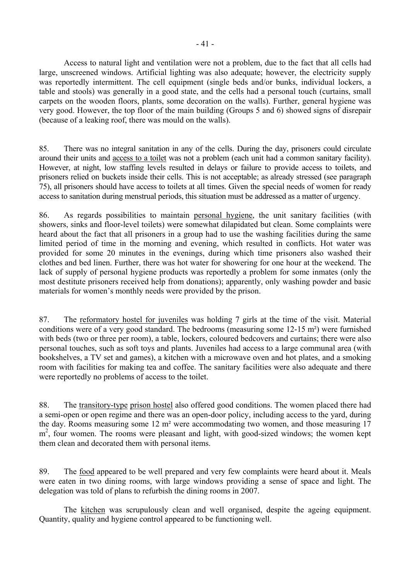Access to natural light and ventilation were not a problem, due to the fact that all cells had large, unscreened windows. Artificial lighting was also adequate; however, the electricity supply was reportedly intermittent. The cell equipment (single beds and/or bunks, individual lockers, a table and stools) was generally in a good state, and the cells had a personal touch (curtains, small carpets on the wooden floors, plants, some decoration on the walls). Further, general hygiene was very good. However, the top floor of the main building (Groups 5 and 6) showed signs of disrepair (because of a leaking roof, there was mould on the walls).

85. There was no integral sanitation in any of the cells. During the day, prisoners could circulate around their units and access to a toilet was not a problem (each unit had a common sanitary facility). However, at night, low staffing levels resulted in delays or failure to provide access to toilets, and prisoners relied on buckets inside their cells. This is not acceptable; as already stressed (see paragraph 75), all prisoners should have access to toilets at all times. Given the special needs of women for ready access to sanitation during menstrual periods, this situation must be addressed as a matter of urgency.

86. As regards possibilities to maintain personal hygiene, the unit sanitary facilities (with showers, sinks and floor-level toilets) were somewhat dilapidated but clean. Some complaints were heard about the fact that all prisoners in a group had to use the washing facilities during the same limited period of time in the morning and evening, which resulted in conflicts. Hot water was provided for some 20 minutes in the evenings, during which time prisoners also washed their clothes and bed linen. Further, there was hot water for showering for one hour at the weekend. The lack of supply of personal hygiene products was reportedly a problem for some inmates (only the most destitute prisoners received help from donations); apparently, only washing powder and basic materials for women's monthly needs were provided by the prison.

87. The reformatory hostel for juveniles was holding 7 girls at the time of the visit. Material conditions were of a very good standard. The bedrooms (measuring some 12-15 m²) were furnished with beds (two or three per room), a table, lockers, coloured bedcovers and curtains; there were also personal touches, such as soft toys and plants. Juveniles had access to a large communal area (with bookshelves, a TV set and games), a kitchen with a microwave oven and hot plates, and a smoking room with facilities for making tea and coffee. The sanitary facilities were also adequate and there were reportedly no problems of access to the toilet.

88. The transitory-type prison hostel also offered good conditions. The women placed there had a semi-open or open regime and there was an open-door policy, including access to the yard, during the day. Rooms measuring some 12 m² were accommodating two women, and those measuring 17 m<sup>2</sup>, four women. The rooms were pleasant and light, with good-sized windows; the women kept them clean and decorated them with personal items.

89. The food appeared to be well prepared and very few complaints were heard about it. Meals were eaten in two dining rooms, with large windows providing a sense of space and light. The delegation was told of plans to refurbish the dining rooms in 2007.

 The kitchen was scrupulously clean and well organised, despite the ageing equipment. Quantity, quality and hygiene control appeared to be functioning well.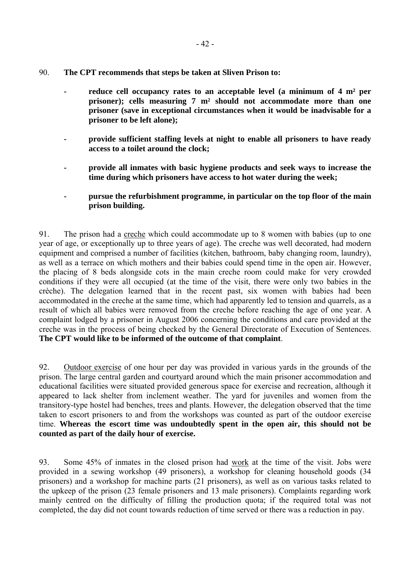- 90. **The CPT recommends that steps be taken at Sliven Prison to:** 
	- **reduce cell occupancy rates to an acceptable level (a minimum of 4 m² per prisoner); cells measuring 7 m² should not accommodate more than one prisoner (save in exceptional circumstances when it would be inadvisable for a prisoner to be left alone);**
	- **provide sufficient staffing levels at night to enable all prisoners to have ready access to a toilet around the clock;**
	- **provide all inmates with basic hygiene products and seek ways to increase the time during which prisoners have access to hot water during the week;**
	- **pursue the refurbishment programme, in particular on the top floor of the main prison building.**

91. The prison had a creche which could accommodate up to 8 women with babies (up to one year of age, or exceptionally up to three years of age). The creche was well decorated, had modern equipment and comprised a number of facilities (kitchen, bathroom, baby changing room, laundry), as well as a terrace on which mothers and their babies could spend time in the open air. However, the placing of 8 beds alongside cots in the main creche room could make for very crowded conditions if they were all occupied (at the time of the visit, there were only two babies in the crèche). The delegation learned that in the recent past, six women with babies had been accommodated in the creche at the same time, which had apparently led to tension and quarrels, as a result of which all babies were removed from the creche before reaching the age of one year. A complaint lodged by a prisoner in August 2006 concerning the conditions and care provided at the creche was in the process of being checked by the General Directorate of Execution of Sentences. **The CPT would like to be informed of the outcome of that complaint**.

92. Outdoor exercise of one hour per day was provided in various yards in the grounds of the prison. The large central garden and courtyard around which the main prisoner accommodation and educational facilities were situated provided generous space for exercise and recreation, although it appeared to lack shelter from inclement weather. The yard for juveniles and women from the transitory-type hostel had benches, trees and plants. However, the delegation observed that the time taken to escort prisoners to and from the workshops was counted as part of the outdoor exercise time. **Whereas the escort time was undoubtedly spent in the open air, this should not be counted as part of the daily hour of exercise.**

93. Some 45% of inmates in the closed prison had work at the time of the visit. Jobs were provided in a sewing workshop (49 prisoners), a workshop for cleaning household goods (34 prisoners) and a workshop for machine parts (21 prisoners), as well as on various tasks related to the upkeep of the prison (23 female prisoners and 13 male prisoners). Complaints regarding work mainly centred on the difficulty of filling the production quota; if the required total was not completed, the day did not count towards reduction of time served or there was a reduction in pay.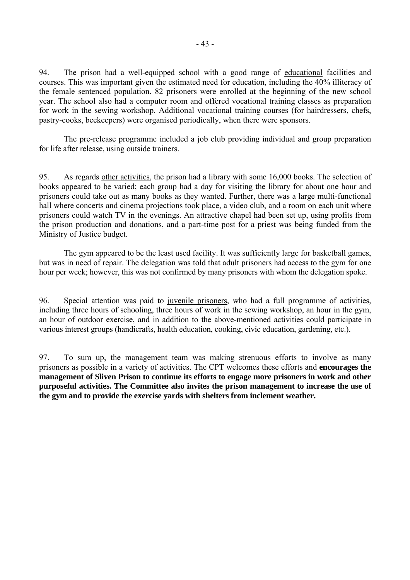94. The prison had a well-equipped school with a good range of educational facilities and courses. This was important given the estimated need for education, including the 40% illiteracy of the female sentenced population. 82 prisoners were enrolled at the beginning of the new school year. The school also had a computer room and offered vocational training classes as preparation for work in the sewing workshop. Additional vocational training courses (for hairdressers, chefs, pastry-cooks, beekeepers) were organised periodically, when there were sponsors.

 The pre-release programme included a job club providing individual and group preparation for life after release, using outside trainers.

95. As regards other activities, the prison had a library with some 16,000 books. The selection of books appeared to be varied; each group had a day for visiting the library for about one hour and prisoners could take out as many books as they wanted. Further, there was a large multi-functional hall where concerts and cinema projections took place, a video club, and a room on each unit where prisoners could watch TV in the evenings. An attractive chapel had been set up, using profits from the prison production and donations, and a part-time post for a priest was being funded from the Ministry of Justice budget.

 The gym appeared to be the least used facility. It was sufficiently large for basketball games, but was in need of repair. The delegation was told that adult prisoners had access to the gym for one hour per week; however, this was not confirmed by many prisoners with whom the delegation spoke.

96. Special attention was paid to juvenile prisoners, who had a full programme of activities, including three hours of schooling, three hours of work in the sewing workshop, an hour in the gym, an hour of outdoor exercise, and in addition to the above-mentioned activities could participate in various interest groups (handicrafts, health education, cooking, civic education, gardening, etc.).

97. To sum up, the management team was making strenuous efforts to involve as many prisoners as possible in a variety of activities. The CPT welcomes these efforts and **encourages the management of Sliven Prison to continue its efforts to engage more prisoners in work and other purposeful activities. The Committee also invites the prison management to increase the use of the gym and to provide the exercise yards with shelters from inclement weather.**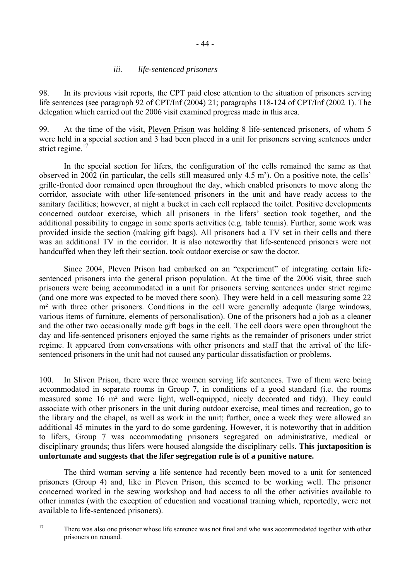### *iii. life-sentenced prisoners*

98. In its previous visit reports, the CPT paid close attention to the situation of prisoners serving life sentences (see paragraph 92 of CPT/Inf (2004) 21; paragraphs 118-124 of CPT/Inf (2002 1). The delegation which carried out the 2006 visit examined progress made in this area.

99. At the time of the visit, Pleven Prison was holding 8 life-sentenced prisoners, of whom 5 were held in a special section and 3 had been placed in a unit for prisoners serving sentences under strict regime.<sup>17</sup>

 In the special section for lifers, the configuration of the cells remained the same as that observed in 2002 (in particular, the cells still measured only  $4.5 \text{ m}^2$ ). On a positive note, the cells<sup>'</sup> grille-fronted door remained open throughout the day, which enabled prisoners to move along the corridor, associate with other life-sentenced prisoners in the unit and have ready access to the sanitary facilities; however, at night a bucket in each cell replaced the toilet. Positive developments concerned outdoor exercise, which all prisoners in the lifers' section took together, and the additional possibility to engage in some sports activities (e.g. table tennis). Further, some work was provided inside the section (making gift bags). All prisoners had a TV set in their cells and there was an additional TV in the corridor. It is also noteworthy that life-sentenced prisoners were not handcuffed when they left their section, took outdoor exercise or saw the doctor.

Since 2004, Pleven Prison had embarked on an "experiment" of integrating certain lifesentenced prisoners into the general prison population. At the time of the 2006 visit, three such prisoners were being accommodated in a unit for prisoners serving sentences under strict regime (and one more was expected to be moved there soon). They were held in a cell measuring some 22 m<sup>2</sup> with three other prisoners. Conditions in the cell were generally adequate (large windows, various items of furniture, elements of personalisation). One of the prisoners had a job as a cleaner and the other two occasionally made gift bags in the cell. The cell doors were open throughout the day and life-sentenced prisoners enjoyed the same rights as the remainder of prisoners under strict regime. It appeared from conversations with other prisoners and staff that the arrival of the lifesentenced prisoners in the unit had not caused any particular dissatisfaction or problems.

100. In Sliven Prison, there were three women serving life sentences. Two of them were being accommodated in separate rooms in Group 7, in conditions of a good standard (i.e. the rooms measured some 16 m² and were light, well-equipped, nicely decorated and tidy). They could associate with other prisoners in the unit during outdoor exercise, meal times and recreation, go to the library and the chapel, as well as work in the unit; further, once a week they were allowed an additional 45 minutes in the yard to do some gardening. However, it is noteworthy that in addition to lifers, Group 7 was accommodating prisoners segregated on administrative, medical or disciplinary grounds; thus lifers were housed alongside the disciplinary cells. **This juxtaposition is unfortunate and suggests that the lifer segregation rule is of a punitive nature.**

 The third woman serving a life sentence had recently been moved to a unit for sentenced prisoners (Group 4) and, like in Pleven Prison, this seemed to be working well. The prisoner concerned worked in the sewing workshop and had access to all the other activities available to other inmates (with the exception of education and vocational training which, reportedly, were not available to life-sentenced prisoners).

<span id="page-43-0"></span><sup>17</sup> There was also one prisoner whose life sentence was not final and who was accommodated together with other prisoners on remand.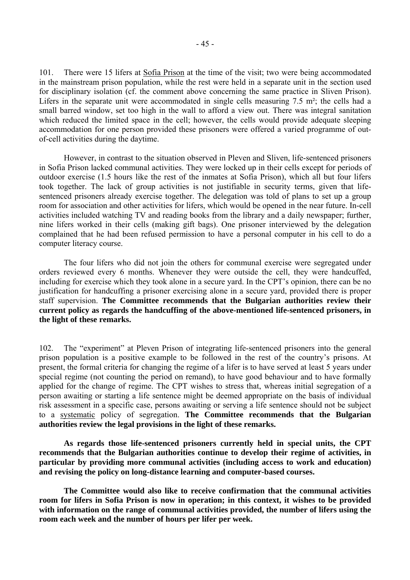101. There were 15 lifers at Sofia Prison at the time of the visit; two were being accommodated in the mainstream prison population, while the rest were held in a separate unit in the section used for disciplinary isolation (cf. the comment above concerning the same practice in Sliven Prison). Lifers in the separate unit were accommodated in single cells measuring  $7.5 \text{ m}^2$ ; the cells had a small barred window, set too high in the wall to afford a view out. There was integral sanitation which reduced the limited space in the cell; however, the cells would provide adequate sleeping accommodation for one person provided these prisoners were offered a varied programme of outof-cell activities during the daytime.

 However, in contrast to the situation observed in Pleven and Sliven, life-sentenced prisoners in Sofia Prison lacked communal activities. They were locked up in their cells except for periods of outdoor exercise (1.5 hours like the rest of the inmates at Sofia Prison), which all but four lifers took together. The lack of group activities is not justifiable in security terms, given that lifesentenced prisoners already exercise together. The delegation was told of plans to set up a group room for association and other activities for lifers, which would be opened in the near future. In-cell activities included watching TV and reading books from the library and a daily newspaper; further, nine lifers worked in their cells (making gift bags). One prisoner interviewed by the delegation complained that he had been refused permission to have a personal computer in his cell to do a computer literacy course.

 The four lifers who did not join the others for communal exercise were segregated under orders reviewed every 6 months. Whenever they were outside the cell, they were handcuffed, including for exercise which they took alone in a secure yard. In the CPT's opinion, there can be no justification for handcuffing a prisoner exercising alone in a secure yard, provided there is proper staff supervision. **The Committee recommends that the Bulgarian authorities review their current policy as regards the handcuffing of the above-mentioned life-sentenced prisoners, in the light of these remarks.** 

102. The "experiment" at Pleven Prison of integrating life-sentenced prisoners into the general prison population is a positive example to be followed in the rest of the country's prisons. At present, the formal criteria for changing the regime of a lifer is to have served at least 5 years under special regime (not counting the period on remand), to have good behaviour and to have formally applied for the change of regime. The CPT wishes to stress that, whereas initial segregation of a person awaiting or starting a life sentence might be deemed appropriate on the basis of individual risk assessment in a specific case, persons awaiting or serving a life sentence should not be subject to a systematic policy of segregation. **The Committee recommends that the Bulgarian authorities review the legal provisions in the light of these remarks.** 

 **As regards those life-sentenced prisoners currently held in special units, the CPT recommends that the Bulgarian authorities continue to develop their regime of activities, in particular by providing more communal activities (including access to work and education) and revising the policy on long-distance learning and computer-based courses.** 

**The Committee would also like to receive confirmation that the communal activities room for lifers in Sofia Prison is now in operation; in this context, it wishes to be provided with information on the range of communal activities provided, the number of lifers using the room each week and the number of hours per lifer per week.**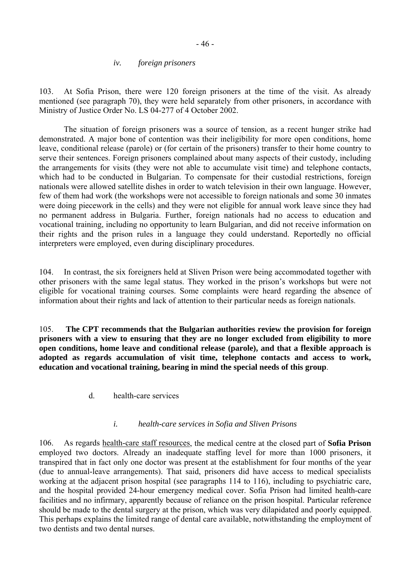#### *iv. foreign prisoners*

103. At Sofia Prison, there were 120 foreign prisoners at the time of the visit. As already mentioned (see paragraph 70), they were held separately from other prisoners, in accordance with Ministry of Justice Order No. LS 04-277 of 4 October 2002.

 The situation of foreign prisoners was a source of tension, as a recent hunger strike had demonstrated. A major bone of contention was their ineligibility for more open conditions, home leave, conditional release (parole) or (for certain of the prisoners) transfer to their home country to serve their sentences. Foreign prisoners complained about many aspects of their custody, including the arrangements for visits (they were not able to accumulate visit time) and telephone contacts, which had to be conducted in Bulgarian. To compensate for their custodial restrictions, foreign nationals were allowed satellite dishes in order to watch television in their own language. However, few of them had work (the workshops were not accessible to foreign nationals and some 30 inmates were doing piecework in the cells) and they were not eligible for annual work leave since they had no permanent address in Bulgaria. Further, foreign nationals had no access to education and vocational training, including no opportunity to learn Bulgarian, and did not receive information on their rights and the prison rules in a language they could understand. Reportedly no official interpreters were employed, even during disciplinary procedures.

104. In contrast, the six foreigners held at Sliven Prison were being accommodated together with other prisoners with the same legal status. They worked in the prison's workshops but were not eligible for vocational training courses. Some complaints were heard regarding the absence of information about their rights and lack of attention to their particular needs as foreign nationals.

105. **The CPT recommends that the Bulgarian authorities review the provision for foreign prisoners with a view to ensuring that they are no longer excluded from eligibility to more open conditions, home leave and conditional release (parole), and that a flexible approach is adopted as regards accumulation of visit time, telephone contacts and access to work, education and vocational training, bearing in mind the special needs of this group**.

d. health-care services

#### *i. health-care services in Sofia and Sliven Prisons*

106. As regards health-care staff resources, the medical centre at the closed part of **Sofia Prison** employed two doctors. Already an inadequate staffing level for more than 1000 prisoners, it transpired that in fact only one doctor was present at the establishment for four months of the year (due to annual-leave arrangements). That said, prisoners did have access to medical specialists working at the adjacent prison hospital (see paragraphs 114 to 116), including to psychiatric care, and the hospital provided 24-hour emergency medical cover. Sofia Prison had limited health-care facilities and no infirmary, apparently because of reliance on the prison hospital. Particular reference should be made to the dental surgery at the prison, which was very dilapidated and poorly equipped. This perhaps explains the limited range of dental care available, notwithstanding the employment of two dentists and two dental nurses.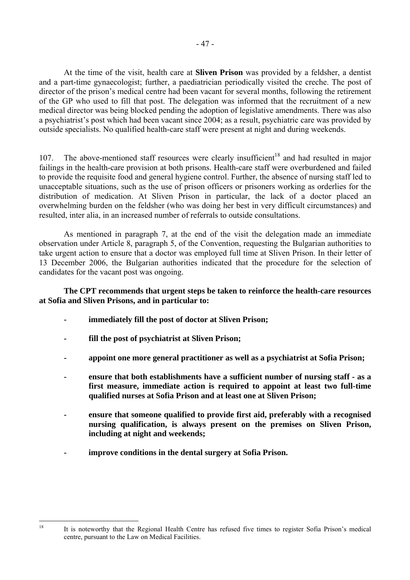At the time of the visit, health care at **Sliven Prison** was provided by a feldsher, a dentist and a part-time gynaecologist; further, a paediatrician periodically visited the creche. The post of director of the prison's medical centre had been vacant for several months, following the retirement of the GP who used to fill that post. The delegation was informed that the recruitment of a new medical director was being blocked pending the adoption of legislative amendments. There was also a psychiatrist's post which had been vacant since 2004; as a result, psychiatric care was provided by outside specialists. No qualified health-care staff were present at night and during weekends.

107. The above-mentioned staff resources were clearly insufficient<sup>18</sup> and had resulted in major failings in the health-care provision at both prisons. Health-care staff were overburdened and failed to provide the requisite food and general hygiene control. Further, the absence of nursing staff led to unacceptable situations, such as the use of prison officers or prisoners working as orderlies for the distribution of medication. At Sliven Prison in particular, the lack of a doctor placed an overwhelming burden on the feldsher (who was doing her best in very difficult circumstances) and resulted, inter alia, in an increased number of referrals to outside consultations.

 As mentioned in paragraph 7, at the end of the visit the delegation made an immediate observation under Article 8, paragraph 5, of the Convention, requesting the Bulgarian authorities to take urgent action to ensure that a doctor was employed full time at Sliven Prison. In their letter of 13 December 2006, the Bulgarian authorities indicated that the procedure for the selection of candidates for the vacant post was ongoing.

#### **The CPT recommends that urgent steps be taken to reinforce the health-care resources at Sofia and Sliven Prisons, and in particular to:**

- **immediately fill the post of doctor at Sliven Prison;**
- **fill the post of psychiatrist at Sliven Prison;**
- **appoint one more general practitioner as well as a psychiatrist at Sofia Prison;**
- **ensure that both establishments have a sufficient number of nursing staff as a first measure, immediate action is required to appoint at least two full-time qualified nurses at Sofia Prison and at least one at Sliven Prison;**
- ensure that someone qualified to provide first aid, preferably with a recognised **nursing qualification, is always present on the premises on Sliven Prison, including at night and weekends;**
- **improve conditions in the dental surgery at Sofia Prison.**

<span id="page-46-0"></span>It is noteworthy that the Regional Health Centre has refused five times to register Sofia Prison's medical centre, pursuant to the Law on Medical Facilities.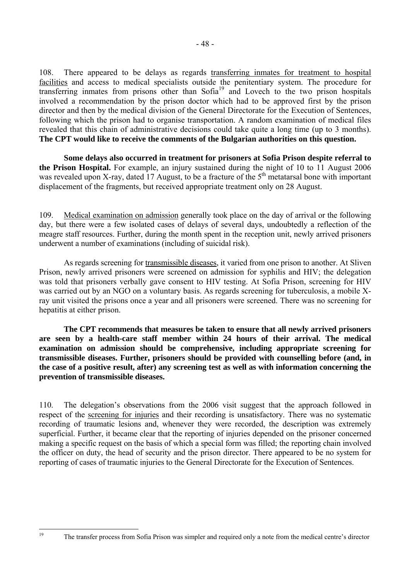108. There appeared to be delays as regards transferring inmates for treatment to hospital facilities and access to medical specialists outside the penitentiary system. The procedure for transferring inmates from prisons other than Sofia<sup>19</sup> and Lovech to the two prison hospitals involved a recommendation by the prison doctor which had to be approved first by the prison director and then by the medical division of the General Directorate for the Execution of Sentences, following which the prison had to organise transportation. A random examination of medical files revealed that this chain of administrative decisions could take quite a long time (up to 3 months). **The CPT would like to receive the comments of the Bulgarian authorities on this question.**

**Some delays also occurred in treatment for prisoners at Sofia Prison despite referral to the Prison Hospital.** For example, an injury sustained during the night of 10 to 11 August 2006 was revealed upon X-ray, dated 17 August, to be a fracture of the  $5<sup>th</sup>$  metatarsal bone with important displacement of the fragments, but received appropriate treatment only on 28 August.

109. Medical examination on admission generally took place on the day of arrival or the following day, but there were a few isolated cases of delays of several days, undoubtedly a reflection of the meagre staff resources. Further, during the month spent in the reception unit, newly arrived prisoners underwent a number of examinations (including of suicidal risk).

As regards screening for transmissible diseases, it varied from one prison to another. At Sliven Prison, newly arrived prisoners were screened on admission for syphilis and HIV; the delegation was told that prisoners verbally gave consent to HIV testing. At Sofia Prison, screening for HIV was carried out by an NGO on a voluntary basis. As regards screening for tuberculosis, a mobile Xray unit visited the prisons once a year and all prisoners were screened. There was no screening for hepatitis at either prison.

 **The CPT recommends that measures be taken to ensure that all newly arrived prisoners are seen by a health-care staff member within 24 hours of their arrival. The medical examination on admission should be comprehensive, including appropriate screening for transmissible diseases. Further, prisoners should be provided with counselling before (and, in the case of a positive result, after) any screening test as well as with information concerning the prevention of transmissible diseases.** 

<span id="page-47-0"></span>110. The delegation's observations from the 2006 visit suggest that the approach followed in respect of the screening for injuries and their recording is unsatisfactory. There was no systematic recording of traumatic lesions and, whenever they were recorded, the description was extremely superficial. Further, it became clear that the reporting of injuries depended on the prisoner concerned making a specific request on the basis of which a special form was filled; the reporting chain involved the officer on duty, the head of security and the prison director. There appeared to be no system for reporting of cases of traumatic injuries to the General Directorate for the Execution of Sentences.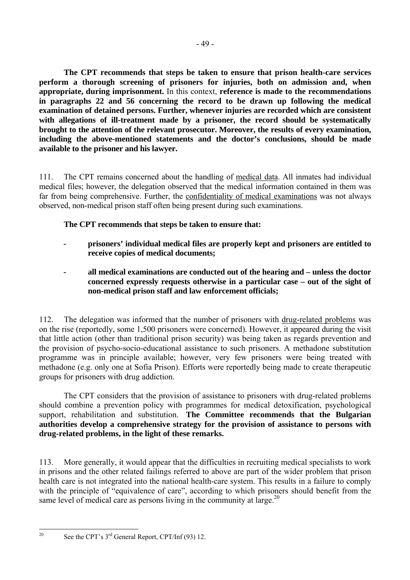**The CPT recommends that steps be taken to ensure that prison health-care services perform a thorough screening of prisoners for injuries, both on admission and, when appropriate, during imprisonment.** In this context, **reference is made to the recommendations in paragraphs 22 and 56 concerning the record to be drawn up following the medical examination of detained persons. Further, whenever injuries are recorded which are consistent with allegations of ill-treatment made by a prisoner, the record should be systematically brought to the attention of the relevant prosecutor. Moreover, the results of every examination, including the above-mentioned statements and the doctor's conclusions, should be made available to the prisoner and his lawyer.** 

111. The CPT remains concerned about the handling of medical data. All inmates had individual medical files; however, the delegation observed that the medical information contained in them was far from being comprehensive. Further, the confidentiality of medical examinations was not always observed, non-medical prison staff often being present during such examinations.

# **The CPT recommends that steps be taken to ensure that:**

- **prisoners' individual medical files are properly kept and prisoners are entitled to receive copies of medical documents;**
- **all medical examinations are conducted out of the hearing and unless the doctor concerned expressly requests otherwise in a particular case – out of the sight of non-medical prison staff and law enforcement officials;**

112. The delegation was informed that the number of prisoners with drug-related problems was on the rise (reportedly, some 1,500 prisoners were concerned). However, it appeared during the visit that little action (other than traditional prison security) was being taken as regards prevention and the provision of psycho-socio-educational assistance to such prisoners. A methadone substitution programme was in principle available; however, very few prisoners were being treated with methadone (e.g. only one at Sofia Prison). Efforts were reportedly being made to create therapeutic groups for prisoners with drug addiction.

The CPT considers that the provision of assistance to prisoners with drug-related problems should combine a prevention policy with programmes for medical detoxification, psychological support, rehabilitation and substitution. **The Committee recommends that the Bulgarian authorities develop a comprehensive strategy for the provision of assistance to persons with drug-related problems, in the light of these remarks.** 

113. More generally, it would appear that the difficulties in recruiting medical specialists to work in prisons and the other related failings referred to above are part of the wider problem that prison health care is not integrated into the national health-care system. This results in a failure to comply with the principle of "equivalence of care", according to which prisoners should benefit from the same level of medical care as persons living in the community at large.<sup>20</sup>

<span id="page-48-0"></span> $20^{\circ}$ 

See the CPT's  $3<sup>rd</sup>$  General Report, CPT/Inf (93) 12.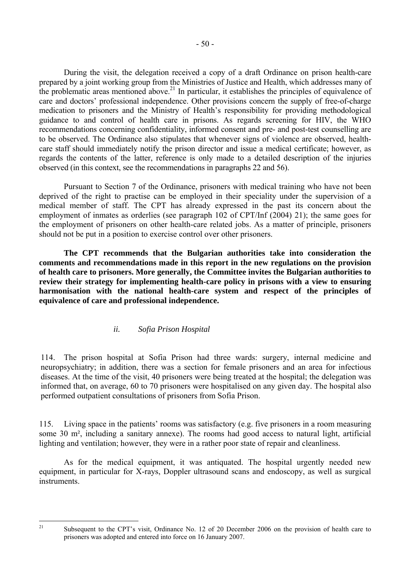During the visit, the delegation received a copy of a draft Ordinance on prison health-care prepared by a joint working group from the Ministries of Justice and Health, which addresses many of the problematic areas mentioned above.<sup>21</sup> In particular, it establishes the principles of equivalence of care and doctors' professional independence. Other provisions concern the supply of free-of-charge medication to prisoners and the Ministry of Health's responsibility for providing methodological guidance to and control of health care in prisons. As regards screening for HIV, the WHO recommendations concerning confidentiality, informed consent and pre- and post-test counselling are to be observed. The Ordinance also stipulates that whenever signs of violence are observed, healthcare staff should immediately notify the prison director and issue a medical certificate; however, as regards the contents of the latter, reference is only made to a detailed description of the injuries observed (in this context, see the recommendations in paragraphs 22 and 56).

 Pursuant to Section 7 of the Ordinance, prisoners with medical training who have not been deprived of the right to practise can be employed in their speciality under the supervision of a medical member of staff. The CPT has already expressed in the past its concern about the employment of inmates as orderlies (see paragraph 102 of CPT/Inf (2004) 21); the same goes for the employment of prisoners on other health-care related jobs. As a matter of principle, prisoners should not be put in a position to exercise control over other prisoners.

 **The CPT recommends that the Bulgarian authorities take into consideration the comments and recommendations made in this report in the new regulations on the provision of health care to prisoners. More generally, the Committee invites the Bulgarian authorities to review their strategy for implementing health-care policy in prisons with a view to ensuring harmonisation with the national health-care system and respect of the principles of equivalence of care and professional independence.** 

### *ii. Sofia Prison Hospital*

114. The prison hospital at Sofia Prison had three wards: surgery, internal medicine and neuropsychiatry; in addition, there was a section for female prisoners and an area for infectious diseases. At the time of the visit, 40 prisoners were being treated at the hospital; the delegation was informed that, on average, 60 to 70 prisoners were hospitalised on any given day. The hospital also performed outpatient consultations of prisoners from Sofia Prison.

115. Living space in the patients' rooms was satisfactory (e.g. five prisoners in a room measuring some 30 m², including a sanitary annexe). The rooms had good access to natural light, artificial lighting and ventilation; however, they were in a rather poor state of repair and cleanliness.

 As for the medical equipment, it was antiquated. The hospital urgently needed new equipment, in particular for X-rays, Doppler ultrasound scans and endoscopy, as well as surgical instruments.

<span id="page-49-0"></span>Subsequent to the CPT's visit, Ordinance No. 12 of 20 December 2006 on the provision of health care to prisoners was adopted and entered into force on 16 January 2007.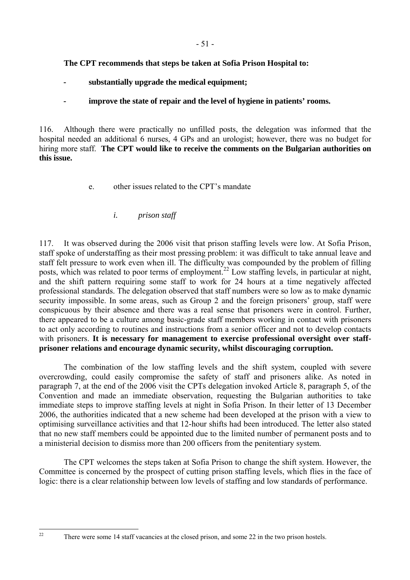## **The CPT recommends that steps be taken at Sofia Prison Hospital to:**

- **substantially upgrade the medical equipment;**
- **improve the state of repair and the level of hygiene in patients' rooms.**

116. Although there were practically no unfilled posts, the delegation was informed that the hospital needed an additional 6 nurses, 4 GPs and an urologist; however, there was no budget for hiring more staff. **The CPT would like to receive the comments on the Bulgarian authorities on this issue.** 

e. other issues related to the CPT's mandate

# *i. prison staff*

117. It was observed during the 2006 visit that prison staffing levels were low. At Sofia Prison, staff spoke of understaffing as their most pressing problem: it was difficult to take annual leave and staff felt pressure to work even when ill. The difficulty was compounded by the problem of filling posts, which was related to poor terms of employment.<sup>22</sup> Low staffing levels, in particular at night, and the shift pattern requiring some staff to work for 24 hours at a time negatively affected professional standards. The delegation observed that staff numbers were so low as to make dynamic security impossible. In some areas, such as Group 2 and the foreign prisoners' group, staff were conspicuous by their absence and there was a real sense that prisoners were in control. Further, there appeared to be a culture among basic-grade staff members working in contact with prisoners to act only according to routines and instructions from a senior officer and not to develop contacts with prisoners. It is necessary for management to exercise professional oversight over staff**prisoner relations and encourage dynamic security, whilst discouraging corruption.**

 The combination of the low staffing levels and the shift system, coupled with severe overcrowding, could easily compromise the safety of staff and prisoners alike. As noted in paragraph 7, at the end of the 2006 visit the CPTs delegation invoked Article 8, paragraph 5, of the Convention and made an immediate observation, requesting the Bulgarian authorities to take immediate steps to improve staffing levels at night in Sofia Prison. In their letter of 13 December 2006, the authorities indicated that a new scheme had been developed at the prison with a view to optimising surveillance activities and that 12-hour shifts had been introduced. The letter also stated that no new staff members could be appointed due to the limited number of permanent posts and to a ministerial decision to dismiss more than 200 officers from the penitentiary system.

The CPT welcomes the steps taken at Sofia Prison to change the shift system. However, the Committee is concerned by the prospect of cutting prison staffing levels, which flies in the face of logic: there is a clear relationship between low levels of staffing and low standards of performance.

<span id="page-50-0"></span> $22$ 

There were some 14 staff vacancies at the closed prison, and some 22 in the two prison hostels.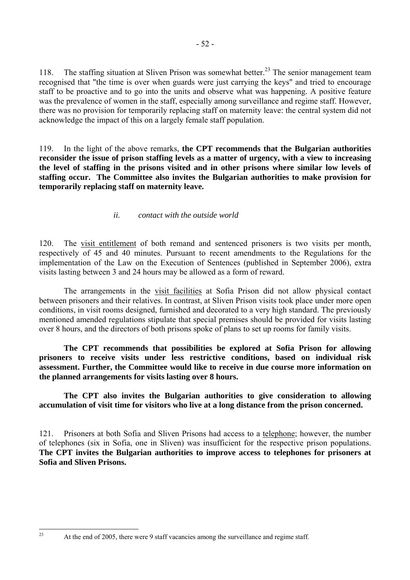118. The staffing situation at Sliven Prison was somewhat better.<sup>23</sup> The senior management team recognised that "the time is over when guards were just carrying the keys" and tried to encourage staff to be proactive and to go into the units and observe what was happening. A positive feature was the prevalence of women in the staff, especially among surveillance and regime staff. However, there was no provision for temporarily replacing staff on maternity leave: the central system did not acknowledge the impact of this on a largely female staff population.

119. In the light of the above remarks, **the CPT recommends that the Bulgarian authorities reconsider the issue of prison staffing levels as a matter of urgency, with a view to increasing the level of staffing in the prisons visited and in other prisons where similar low levels of staffing occur. The Committee also invites the Bulgarian authorities to make provision for temporarily replacing staff on maternity leave.** 

## *ii. contact with the outside world*

120. The visit entitlement of both remand and sentenced prisoners is two visits per month, respectively of 45 and 40 minutes. Pursuant to recent amendments to the Regulations for the implementation of the Law on the Execution of Sentences (published in September 2006), extra visits lasting between 3 and 24 hours may be allowed as a form of reward.

 The arrangements in the visit facilities at Sofia Prison did not allow physical contact between prisoners and their relatives. In contrast, at Sliven Prison visits took place under more open conditions, in visit rooms designed, furnished and decorated to a very high standard. The previously mentioned amended regulations stipulate that special premises should be provided for visits lasting over 8 hours, and the directors of both prisons spoke of plans to set up rooms for family visits.

 **The CPT recommends that possibilities be explored at Sofia Prison for allowing prisoners to receive visits under less restrictive conditions, based on individual risk assessment. Further, the Committee would like to receive in due course more information on the planned arrangements for visits lasting over 8 hours.** 

 **The CPT also invites the Bulgarian authorities to give consideration to allowing accumulation of visit time for visitors who live at a long distance from the prison concerned.** 

121. Prisoners at both Sofia and Sliven Prisons had access to a telephone; however, the number of telephones (six in Sofia, one in Sliven) was insufficient for the respective prison populations. **The CPT invites the Bulgarian authorities to improve access to telephones for prisoners at Sofia and Sliven Prisons.**

<span id="page-51-0"></span><sup>23</sup> At the end of 2005, there were 9 staff vacancies among the surveillance and regime staff.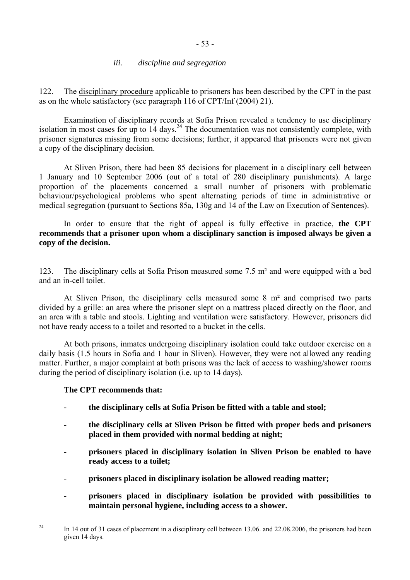#### - 53 -

#### *iii. discipline and segregation*

122. The disciplinary procedure applicable to prisoners has been described by the CPT in the past as on the whole satisfactory (see paragraph 116 of CPT/Inf (2004) 21).

 Examination of disciplinary records at Sofia Prison revealed a tendency to use disciplinary isolation in most cases for up to  $14$  days.<sup>24</sup> The documentation was not consistently complete, with prisoner signatures missing from some decisions; further, it appeared that prisoners were not given a copy of the disciplinary decision.

 At Sliven Prison, there had been 85 decisions for placement in a disciplinary cell between 1 January and 10 September 2006 (out of a total of 280 disciplinary punishments). A large proportion of the placements concerned a small number of prisoners with problematic behaviour/psychological problems who spent alternating periods of time in administrative or medical segregation (pursuant to Sections 85a, 130g and 14 of the Law on Execution of Sentences).

 In order to ensure that the right of appeal is fully effective in practice, **the CPT recommends that a prisoner upon whom a disciplinary sanction is imposed always be given a copy of the decision.** 

123. The disciplinary cells at Sofia Prison measured some 7.5 m² and were equipped with a bed and an in-cell toilet.

 At Sliven Prison, the disciplinary cells measured some 8 m² and comprised two parts divided by a grille: an area where the prisoner slept on a mattress placed directly on the floor, and an area with a table and stools. Lighting and ventilation were satisfactory. However, prisoners did not have ready access to a toilet and resorted to a bucket in the cells.

 At both prisons, inmates undergoing disciplinary isolation could take outdoor exercise on a daily basis (1.5 hours in Sofia and 1 hour in Sliven). However, they were not allowed any reading matter. Further, a major complaint at both prisons was the lack of access to washing/shower rooms during the period of disciplinary isolation (i.e. up to 14 days).

### **The CPT recommends that:**

- **the disciplinary cells at Sofia Prison be fitted with a table and stool;**
- **the disciplinary cells at Sliven Prison be fitted with proper beds and prisoners placed in them provided with normal bedding at night;**
- **prisoners placed in disciplinary isolation in Sliven Prison be enabled to have ready access to a toilet;**
- **prisoners placed in disciplinary isolation be allowed reading matter;**
- **prisoners placed in disciplinary isolation be provided with possibilities to maintain personal hygiene, including access to a shower.**

<span id="page-52-0"></span> $\overline{24}$ In 14 out of 31 cases of placement in a disciplinary cell between 13.06. and 22.08.2006, the prisoners had been given 14 days.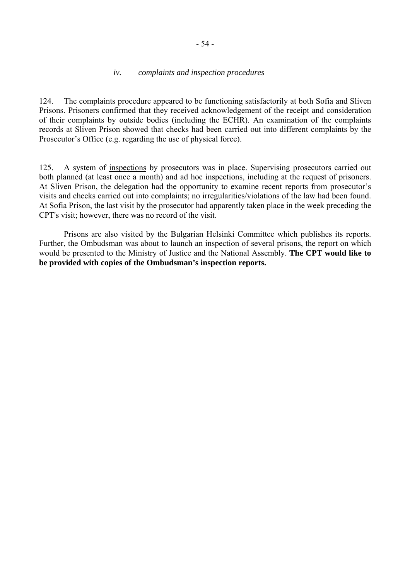#### *iv. complaints and inspection procedures*

124. The complaints procedure appeared to be functioning satisfactorily at both Sofia and Sliven Prisons. Prisoners confirmed that they received acknowledgement of the receipt and consideration of their complaints by outside bodies (including the ECHR). An examination of the complaints records at Sliven Prison showed that checks had been carried out into different complaints by the Prosecutor's Office (e.g. regarding the use of physical force).

125. A system of inspections by prosecutors was in place. Supervising prosecutors carried out both planned (at least once a month) and ad hoc inspections, including at the request of prisoners. At Sliven Prison, the delegation had the opportunity to examine recent reports from prosecutor's visits and checks carried out into complaints; no irregularities/violations of the law had been found. At Sofia Prison, the last visit by the prosecutor had apparently taken place in the week preceding the CPT's visit; however, there was no record of the visit.

 Prisons are also visited by the Bulgarian Helsinki Committee which publishes its reports. Further, the Ombudsman was about to launch an inspection of several prisons, the report on which would be presented to the Ministry of Justice and the National Assembly. **The CPT would like to be provided with copies of the Ombudsman's inspection reports.**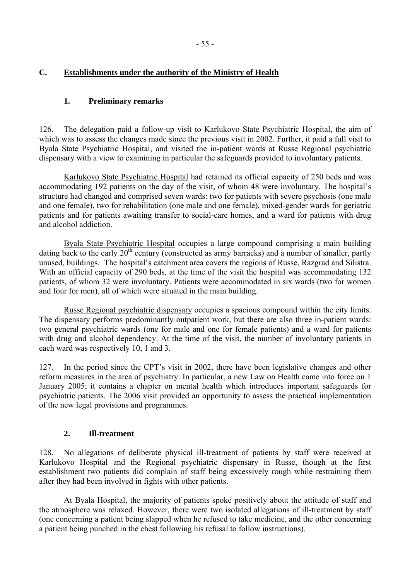## **C. Establishments under the authority of the Ministry of Health**

#### **1. Preliminary remarks**

126. The delegation paid a follow-up visit to Karlukovo State Psychiatric Hospital, the aim of which was to assess the changes made since the previous visit in 2002. Further, it paid a full visit to Byala State Psychiatric Hospital, and visited the in-patient wards at Russe Regional psychiatric dispensary with a view to examining in particular the safeguards provided to involuntary patients.

Karlukovo State Psychiatric Hospital had retained its official capacity of 250 beds and was accommodating 192 patients on the day of the visit, of whom 48 were involuntary. The hospital's structure had changed and comprised seven wards: two for patients with severe psychosis (one male and one female), two for rehabilitation (one male and one female), mixed-gender wards for geriatric patients and for patients awaiting transfer to social-care homes, and a ward for patients with drug and alcohol addiction.

Byala State Psychiatric Hospital occupies a large compound comprising a main building dating back to the early  $20<sup>th</sup>$  century (constructed as army barracks) and a number of smaller, partly unused, buildings. The hospital's catchment area covers the regions of Russe, Razgrad and Silistra. With an official capacity of 290 beds, at the time of the visit the hospital was accommodating 132 patients, of whom 32 were involuntary. Patients were accommodated in six wards (two for women and four for men), all of which were situated in the main building.

Russe Regional psychiatric dispensary occupies a spacious compound within the city limits. The dispensary performs predominantly outpatient work, but there are also three in-patient wards: two general psychiatric wards (one for male and one for female patients) and a ward for patients with drug and alcohol dependency. At the time of the visit, the number of involuntary patients in each ward was respectively 10, 1 and 3.

127. In the period since the CPT's visit in 2002, there have been legislative changes and other reform measures in the area of psychiatry. In particular, a new Law on Health came into force on 1 January 2005; it contains a chapter on mental health which introduces important safeguards for psychiatric patients. The 2006 visit provided an opportunity to assess the practical implementation of the new legal provisions and programmes.

### **2. Ill-treatment**

128. No allegations of deliberate physical ill-treatment of patients by staff were received at Karlukovo Hospital and the Regional psychiatric dispensary in Russe, though at the first establishment two patients did complain of staff being excessively rough while restraining them after they had been involved in fights with other patients.

 At Byala Hospital, the majority of patients spoke positively about the attitude of staff and the atmosphere was relaxed. However, there were two isolated allegations of ill-treatment by staff (one concerning a patient being slapped when he refused to take medicine, and the other concerning a patient being punched in the chest following his refusal to follow instructions).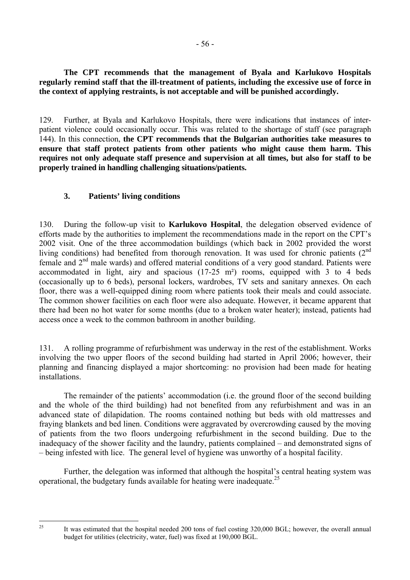**The CPT recommends that the management of Byala and Karlukovo Hospitals regularly remind staff that the ill-treatment of patients, including the excessive use of force in the context of applying restraints, is not acceptable and will be punished accordingly.** 

129. Further, at Byala and Karlukovo Hospitals, there were indications that instances of interpatient violence could occasionally occur. This was related to the shortage of staff (see paragraph 144). In this connection, **the CPT recommends that the Bulgarian authorities take measures to ensure that staff protect patients from other patients who might cause them harm. This requires not only adequate staff presence and supervision at all times, but also for staff to be properly trained in handling challenging situations/patients.** 

### **3. Patients' living conditions**

130. During the follow-up visit to **Karlukovo Hospital**, the delegation observed evidence of efforts made by the authorities to implement the recommendations made in the report on the CPT's 2002 visit. One of the three accommodation buildings (which back in 2002 provided the worst living conditions) had benefited from thorough renovation. It was used for chronic patients  $(2^{nd}$ female and 2nd male wards) and offered material conditions of a very good standard. Patients were accommodated in light, airy and spacious (17-25 m²) rooms, equipped with 3 to 4 beds (occasionally up to 6 beds), personal lockers, wardrobes, TV sets and sanitary annexes. On each floor, there was a well-equipped dining room where patients took their meals and could associate. The common shower facilities on each floor were also adequate. However, it became apparent that there had been no hot water for some months (due to a broken water heater); instead, patients had access once a week to the common bathroom in another building.

131. A rolling programme of refurbishment was underway in the rest of the establishment. Works involving the two upper floors of the second building had started in April 2006; however, their planning and financing displayed a major shortcoming: no provision had been made for heating installations.

The remainder of the patients' accommodation (i.e. the ground floor of the second building and the whole of the third building) had not benefited from any refurbishment and was in an advanced state of dilapidation. The rooms contained nothing but beds with old mattresses and fraying blankets and bed linen. Conditions were aggravated by overcrowding caused by the moving of patients from the two floors undergoing refurbishment in the second building. Due to the inadequacy of the shower facility and the laundry, patients complained  $-$  and demonstrated signs of  $\overline{a}$  being infested with lice. The general level of hygiene was unworthy of a hospital facility.

Further, the delegation was informed that although the hospital's central heating system was operational, the budgetary funds available for heating were inadequate.<sup>25</sup>

<span id="page-55-0"></span>It was estimated that the hospital needed 200 tons of fuel costing 320,000 BGL; however, the overall annual budget for utilities (electricity, water, fuel) was fixed at 190,000 BGL.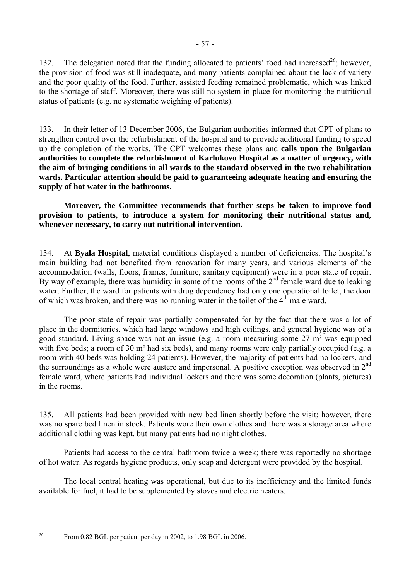132. The delegation noted that the funding allocated to patients'  $\frac{1}{2}$  food had increased<sup>26</sup>; however, the provision of food was still inadequate, and many patients complained about the lack of variety and the poor quality of the food. Further, assisted feeding remained problematic, which was linked to the shortage of staff. Moreover, there was still no system in place for monitoring the nutritional status of patients (e.g. no systematic weighing of patients).

133. In their letter of 13 December 2006, the Bulgarian authorities informed that CPT of plans to strengthen control over the refurbishment of the hospital and to provide additional funding to speed up the completion of the works. The CPT welcomes these plans and **calls upon the Bulgarian authorities to complete the refurbishment of Karlukovo Hospital as a matter of urgency, with the aim of bringing conditions in all wards to the standard observed in the two rehabilitation wards. Particular attention should be paid to guaranteeing adequate heating and ensuring the supply of hot water in the bathrooms.** 

 **Moreover, the Committee recommends that further steps be taken to improve food provision to patients, to introduce a system for monitoring their nutritional status and, whenever necessary, to carry out nutritional intervention.** 

134. At **Byala Hospital**, material conditions displayed a number of deficiencies. The hospitalís main building had not benefited from renovation for many years, and various elements of the accommodation (walls, floors, frames, furniture, sanitary equipment) were in a poor state of repair. By way of example, there was humidity in some of the rooms of the  $2<sup>nd</sup>$  female ward due to leaking water. Further, the ward for patients with drug dependency had only one operational toilet, the door of which was broken, and there was no running water in the toilet of the  $4<sup>th</sup>$  male ward.

 The poor state of repair was partially compensated for by the fact that there was a lot of place in the dormitories, which had large windows and high ceilings, and general hygiene was of a good standard. Living space was not an issue (e.g. a room measuring some 27 m² was equipped with five beds; a room of 30 m<sup>2</sup> had six beds), and many rooms were only partially occupied (e.g. a room with 40 beds was holding 24 patients). However, the majority of patients had no lockers, and the surroundings as a whole were austere and impersonal. A positive exception was observed in  $2<sup>nd</sup>$ female ward, where patients had individual lockers and there was some decoration (plants, pictures) in the rooms.

135. All patients had been provided with new bed linen shortly before the visit; however, there was no spare bed linen in stock. Patients wore their own clothes and there was a storage area where additional clothing was kept, but many patients had no night clothes.

 Patients had access to the central bathroom twice a week; there was reportedly no shortage of hot water. As regards hygiene products, only soap and detergent were provided by the hospital.

 The local central heating was operational, but due to its inefficiency and the limited funds available for fuel, it had to be supplemented by stoves and electric heaters.

<span id="page-56-0"></span>From 0.82 BGL per patient per day in 2002, to 1.98 BGL in 2006.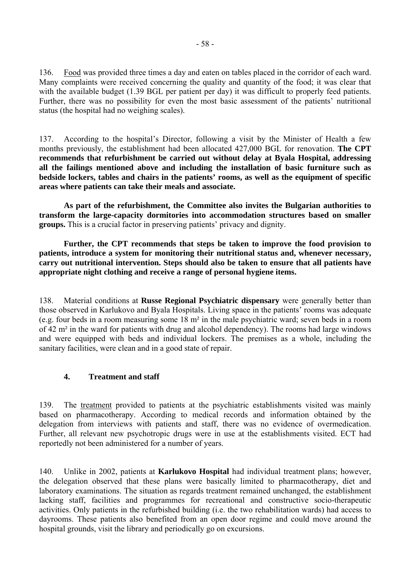136. Food was provided three times a day and eaten on tables placed in the corridor of each ward. Many complaints were received concerning the quality and quantity of the food; it was clear that with the available budget (1.39 BGL per patient per day) it was difficult to properly feed patients. Further, there was no possibility for even the most basic assessment of the patients' nutritional status (the hospital had no weighing scales).

137. According to the hospital's Director, following a visit by the Minister of Health a few months previously, the establishment had been allocated 427,000 BGL for renovation. **The CPT recommends that refurbishment be carried out without delay at Byala Hospital, addressing all the failings mentioned above and including the installation of basic furniture such as bedside lockers, tables and chairs in the patients' rooms, as well as the equipment of specific areas where patients can take their meals and associate.** 

 **As part of the refurbishment, the Committee also invites the Bulgarian authorities to transform the large-capacity dormitories into accommodation structures based on smaller groups.** This is a crucial factor in preserving patients' privacy and dignity.

 **Further, the CPT recommends that steps be taken to improve the food provision to patients, introduce a system for monitoring their nutritional status and, whenever necessary, carry out nutritional intervention. Steps should also be taken to ensure that all patients have appropriate night clothing and receive a range of personal hygiene items.** 

138. Material conditions at **Russe Regional Psychiatric dispensary** were generally better than those observed in Karlukovo and Byala Hospitals. Living space in the patients' rooms was adequate (e.g. four beds in a room measuring some 18 m² in the male psychiatric ward; seven beds in a room of 42 m² in the ward for patients with drug and alcohol dependency). The rooms had large windows and were equipped with beds and individual lockers. The premises as a whole, including the sanitary facilities, were clean and in a good state of repair.

### **4. Treatment and staff**

139. The treatment provided to patients at the psychiatric establishments visited was mainly based on pharmacotherapy. According to medical records and information obtained by the delegation from interviews with patients and staff, there was no evidence of overmedication. Further, all relevant new psychotropic drugs were in use at the establishments visited. ECT had reportedly not been administered for a number of years.

140. Unlike in 2002, patients at **Karlukovo Hospital** had individual treatment plans; however, the delegation observed that these plans were basically limited to pharmacotherapy, diet and laboratory examinations. The situation as regards treatment remained unchanged, the establishment lacking staff, facilities and programmes for recreational and constructive socio-therapeutic activities. Only patients in the refurbished building (i.e. the two rehabilitation wards) had access to dayrooms. These patients also benefited from an open door regime and could move around the hospital grounds, visit the library and periodically go on excursions.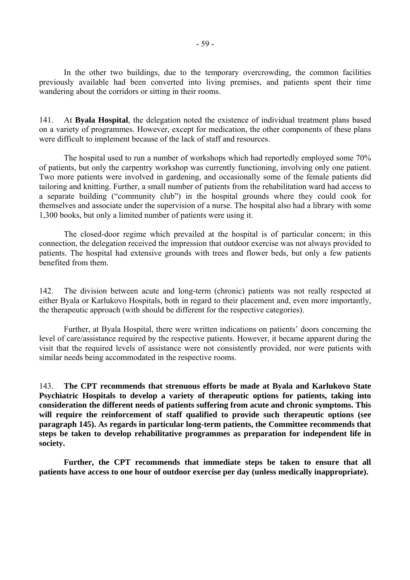In the other two buildings, due to the temporary overcrowding, the common facilities previously available had been converted into living premises, and patients spent their time wandering about the corridors or sitting in their rooms.

141. At **Byala Hospital**, the delegation noted the existence of individual treatment plans based on a variety of programmes. However, except for medication, the other components of these plans were difficult to implement because of the lack of staff and resources.

 The hospital used to run a number of workshops which had reportedly employed some 70% of patients, but only the carpentry workshop was currently functioning, involving only one patient. Two more patients were involved in gardening, and occasionally some of the female patients did tailoring and knitting. Further, a small number of patients from the rehabilitation ward had access to a separate building ("community club") in the hospital grounds where they could cook for themselves and associate under the supervision of a nurse. The hospital also had a library with some 1,300 books, but only a limited number of patients were using it.

 The closed-door regime which prevailed at the hospital is of particular concern; in this connection, the delegation received the impression that outdoor exercise was not always provided to patients. The hospital had extensive grounds with trees and flower beds, but only a few patients benefited from them.

142. The division between acute and long-term (chronic) patients was not really respected at either Byala or Karlukovo Hospitals, both in regard to their placement and, even more importantly, the therapeutic approach (with should be different for the respective categories).

Further, at Byala Hospital, there were written indications on patients' doors concerning the level of care/assistance required by the respective patients. However, it became apparent during the visit that the required levels of assistance were not consistently provided, nor were patients with similar needs being accommodated in the respective rooms.

143. **The CPT recommends that strenuous efforts be made at Byala and Karlukovo State Psychiatric Hospitals to develop a variety of therapeutic options for patients, taking into consideration the different needs of patients suffering from acute and chronic symptoms. This will require the reinforcement of staff qualified to provide such therapeutic options (see paragraph 145). As regards in particular long-term patients, the Committee recommends that steps be taken to develop rehabilitative programmes as preparation for independent life in society.** 

 **Further, the CPT recommends that immediate steps be taken to ensure that all patients have access to one hour of outdoor exercise per day (unless medically inappropriate).**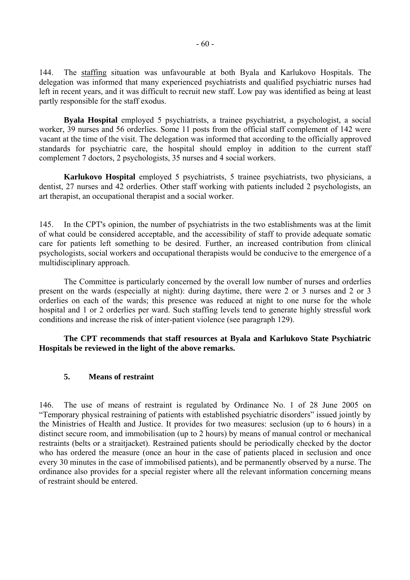144. The staffing situation was unfavourable at both Byala and Karlukovo Hospitals. The delegation was informed that many experienced psychiatrists and qualified psychiatric nurses had left in recent years, and it was difficult to recruit new staff. Low pay was identified as being at least partly responsible for the staff exodus.

**Byala Hospital** employed 5 psychiatrists, a trainee psychiatrist, a psychologist, a social worker, 39 nurses and 56 orderlies. Some 11 posts from the official staff complement of 142 were vacant at the time of the visit. The delegation was informed that according to the officially approved standards for psychiatric care, the hospital should employ in addition to the current staff complement 7 doctors, 2 psychologists, 35 nurses and 4 social workers.

**Karlukovo Hospital** employed 5 psychiatrists, 5 trainee psychiatrists, two physicians, a dentist, 27 nurses and 42 orderlies. Other staff working with patients included 2 psychologists, an art therapist, an occupational therapist and a social worker.

145. In the CPT's opinion, the number of psychiatrists in the two establishments was at the limit of what could be considered acceptable, and the accessibility of staff to provide adequate somatic care for patients left something to be desired. Further, an increased contribution from clinical psychologists, social workers and occupational therapists would be conducive to the emergence of a multidisciplinary approach.

 The Committee is particularly concerned by the overall low number of nurses and orderlies present on the wards (especially at night): during daytime, there were 2 or 3 nurses and 2 or 3 orderlies on each of the wards; this presence was reduced at night to one nurse for the whole hospital and 1 or 2 orderlies per ward. Such staffing levels tend to generate highly stressful work conditions and increase the risk of inter-patient violence (see paragraph 129).

 **The CPT recommends that staff resources at Byala and Karlukovo State Psychiatric Hospitals be reviewed in the light of the above remarks.** 

#### **5. Means of restraint**

146. The use of means of restraint is regulated by Ordinance No. 1 of 28 June 2005 on ìTemporary physical restraining of patients with established psychiatric disordersî issued jointly by the Ministries of Health and Justice. It provides for two measures: seclusion (up to 6 hours) in a distinct secure room, and immobilisation (up to 2 hours) by means of manual control or mechanical restraints (belts or a straitjacket). Restrained patients should be periodically checked by the doctor who has ordered the measure (once an hour in the case of patients placed in seclusion and once every 30 minutes in the case of immobilised patients), and be permanently observed by a nurse. The ordinance also provides for a special register where all the relevant information concerning means of restraint should be entered.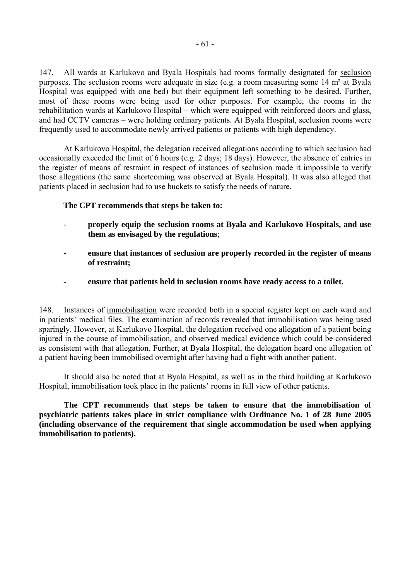147. All wards at Karlukovo and Byala Hospitals had rooms formally designated for seclusion purposes. The seclusion rooms were adequate in size (e.g. a room measuring some 14 m² at Byala Hospital was equipped with one bed) but their equipment left something to be desired. Further, most of these rooms were being used for other purposes. For example, the rooms in the rehabilitation wards at Karlukovo Hospital – which were equipped with reinforced doors and glass, and had CCTV cameras – were holding ordinary patients. At Byala Hospital, seclusion rooms were frequently used to accommodate newly arrived patients or patients with high dependency.

 At Karlukovo Hospital, the delegation received allegations according to which seclusion had occasionally exceeded the limit of 6 hours (e.g. 2 days; 18 days). However, the absence of entries in the register of means of restraint in respect of instances of seclusion made it impossible to verify those allegations (the same shortcoming was observed at Byala Hospital). It was also alleged that patients placed in seclusion had to use buckets to satisfy the needs of nature.

#### **The CPT recommends that steps be taken to:**

- **properly equip the seclusion rooms at Byala and Karlukovo Hospitals, and use them as envisaged by the regulations**;
- **ensure that instances of seclusion are properly recorded in the register of means of restraint;**
- **ensure that patients held in seclusion rooms have ready access to a toilet.**

148. Instances of immobilisation were recorded both in a special register kept on each ward and in patients' medical files. The examination of records revealed that immobilisation was being used sparingly. However, at Karlukovo Hospital, the delegation received one allegation of a patient being injured in the course of immobilisation, and observed medical evidence which could be considered as consistent with that allegation. Further, at Byala Hospital, the delegation heard one allegation of a patient having been immobilised overnight after having had a fight with another patient.

 It should also be noted that at Byala Hospital, as well as in the third building at Karlukovo Hospital, immobilisation took place in the patients' rooms in full view of other patients.

 **The CPT recommends that steps be taken to ensure that the immobilisation of psychiatric patients takes place in strict compliance with Ordinance No. 1 of 28 June 2005 (including observance of the requirement that single accommodation be used when applying immobilisation to patients).**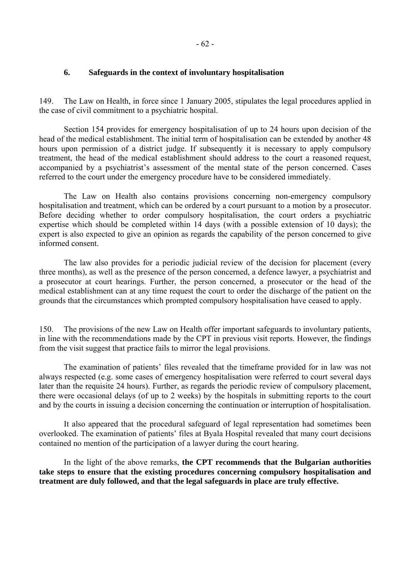#### **6. Safeguards in the context of involuntary hospitalisation**

149. The Law on Health, in force since 1 January 2005, stipulates the legal procedures applied in the case of civil commitment to a psychiatric hospital.

 Section 154 provides for emergency hospitalisation of up to 24 hours upon decision of the head of the medical establishment. The initial term of hospitalisation can be extended by another 48 hours upon permission of a district judge. If subsequently it is necessary to apply compulsory treatment, the head of the medical establishment should address to the court a reasoned request, accompanied by a psychiatrist's assessment of the mental state of the person concerned. Cases referred to the court under the emergency procedure have to be considered immediately.

 The Law on Health also contains provisions concerning non-emergency compulsory hospitalisation and treatment, which can be ordered by a court pursuant to a motion by a prosecutor. Before deciding whether to order compulsory hospitalisation, the court orders a psychiatric expertise which should be completed within 14 days (with a possible extension of 10 days); the expert is also expected to give an opinion as regards the capability of the person concerned to give informed consent.

 The law also provides for a periodic judicial review of the decision for placement (every three months), as well as the presence of the person concerned, a defence lawyer, a psychiatrist and a prosecutor at court hearings. Further, the person concerned, a prosecutor or the head of the medical establishment can at any time request the court to order the discharge of the patient on the grounds that the circumstances which prompted compulsory hospitalisation have ceased to apply.

150. The provisions of the new Law on Health offer important safeguards to involuntary patients, in line with the recommendations made by the CPT in previous visit reports. However, the findings from the visit suggest that practice fails to mirror the legal provisions.

The examination of patients' files revealed that the timeframe provided for in law was not always respected (e.g. some cases of emergency hospitalisation were referred to court several days later than the requisite 24 hours). Further, as regards the periodic review of compulsory placement, there were occasional delays (of up to 2 weeks) by the hospitals in submitting reports to the court and by the courts in issuing a decision concerning the continuation or interruption of hospitalisation.

 It also appeared that the procedural safeguard of legal representation had sometimes been overlooked. The examination of patients' files at Byala Hospital revealed that many court decisions contained no mention of the participation of a lawyer during the court hearing.

 In the light of the above remarks, **the CPT recommends that the Bulgarian authorities take steps to ensure that the existing procedures concerning compulsory hospitalisation and treatment are duly followed, and that the legal safeguards in place are truly effective.**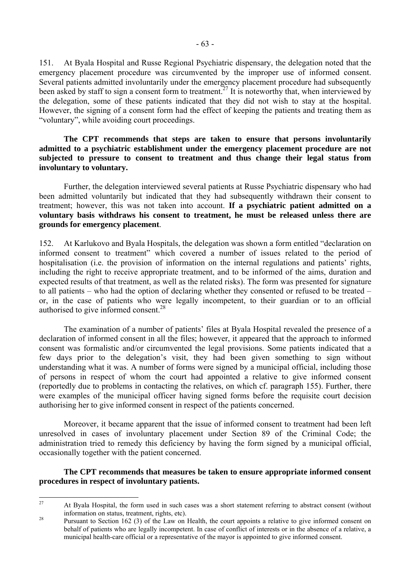151. At Byala Hospital and Russe Regional Psychiatric dispensary, the delegation noted that the emergency placement procedure was circumvented by the improper use of informed consent. Several patients admitted involuntarily under the emergency placement procedure had subsequently been asked by staff to sign a consent form to treatment.<sup>27</sup> It is noteworthy that, when interviewed by the delegation, some of these patients indicated that they did not wish to stay at the hospital. However, the signing of a consent form had the effect of keeping the patients and treating them as "voluntary", while avoiding court proceedings.

#### **The CPT recommends that steps are taken to ensure that persons involuntarily admitted to a psychiatric establishment under the emergency placement procedure are not subjected to pressure to consent to treatment and thus change their legal status from involuntary to voluntary.**

 Further, the delegation interviewed several patients at Russe Psychiatric dispensary who had been admitted voluntarily but indicated that they had subsequently withdrawn their consent to treatment; however, this was not taken into account. **If a psychiatric patient admitted on a voluntary basis withdraws his consent to treatment, he must be released unless there are grounds for emergency placement**.

152. At Karlukovo and Byala Hospitals, the delegation was shown a form entitled "declaration on informed consent to treatment" which covered a number of issues related to the period of hospitalisation (i.e. the provision of information on the internal regulations and patients' rights, including the right to receive appropriate treatment, and to be informed of the aims, duration and expected results of that treatment, as well as the related risks). The form was presented for signature to all patients – who had the option of declaring whether they consented or refused to be treated  $$ or, in the case of patients who were legally incompetent, to their guardian or to an official authorised to give informed consent.<sup>28</sup>

The examination of a number of patients' files at Byala Hospital revealed the presence of a declaration of informed consent in all the files; however, it appeared that the approach to informed consent was formalistic and/or circumvented the legal provisions. Some patients indicated that a few days prior to the delegation's visit, they had been given something to sign without understanding what it was. A number of forms were signed by a municipal official, including those of persons in respect of whom the court had appointed a relative to give informed consent (reportedly due to problems in contacting the relatives, on which cf. paragraph 155). Further, there were examples of the municipal officer having signed forms before the requisite court decision authorising her to give informed consent in respect of the patients concerned.

 Moreover, it became apparent that the issue of informed consent to treatment had been left unresolved in cases of involuntary placement under Section 89 of the Criminal Code; the administration tried to remedy this deficiency by having the form signed by a municipal official, occasionally together with the patient concerned.

#### **The CPT recommends that measures be taken to ensure appropriate informed consent procedures in respect of involuntary patients.**

<span id="page-62-0"></span> $27$ 27 At Byala Hospital, the form used in such cases was a short statement referring to abstract consent (without

<span id="page-62-1"></span><sup>&</sup>lt;sup>28</sup> Pursuant to Section 162 (3) of the Law on Health, the court appoints a relative to give informed consent on behalf of patients who are legally incompetent. In case of conflict of interests or in the absence of a relative, a municipal health-care official or a representative of the mayor is appointed to give informed consent.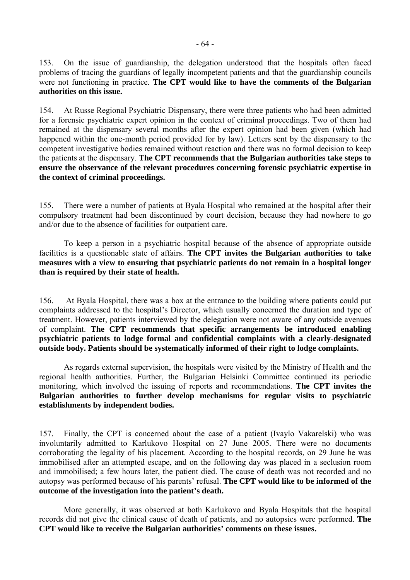153. On the issue of guardianship, the delegation understood that the hospitals often faced problems of tracing the guardians of legally incompetent patients and that the guardianship councils were not functioning in practice. **The CPT would like to have the comments of the Bulgarian authorities on this issue.** 

154. At Russe Regional Psychiatric Dispensary, there were three patients who had been admitted for a forensic psychiatric expert opinion in the context of criminal proceedings. Two of them had remained at the dispensary several months after the expert opinion had been given (which had happened within the one-month period provided for by law). Letters sent by the dispensary to the competent investigative bodies remained without reaction and there was no formal decision to keep the patients at the dispensary. **The CPT recommends that the Bulgarian authorities take steps to ensure the observance of the relevant procedures concerning forensic psychiatric expertise in the context of criminal proceedings.** 

155. There were a number of patients at Byala Hospital who remained at the hospital after their compulsory treatment had been discontinued by court decision, because they had nowhere to go and/or due to the absence of facilities for outpatient care.

To keep a person in a psychiatric hospital because of the absence of appropriate outside facilities is a questionable state of affairs. **The CPT invites the Bulgarian authorities to take measures with a view to ensuring that psychiatric patients do not remain in a hospital longer than is required by their state of health.** 

156. At Byala Hospital, there was a box at the entrance to the building where patients could put complaints addressed to the hospital's Director, which usually concerned the duration and type of treatment. However, patients interviewed by the delegation were not aware of any outside avenues of complaint. **The CPT recommends that specific arrangements be introduced enabling psychiatric patients to lodge formal and confidential complaints with a clearly-designated outside body. Patients should be systematically informed of their right to lodge complaints.** 

 As regards external supervision, the hospitals were visited by the Ministry of Health and the regional health authorities. Further, the Bulgarian Helsinki Committee continued its periodic monitoring, which involved the issuing of reports and recommendations. **The CPT invites the Bulgarian authorities to further develop mechanisms for regular visits to psychiatric establishments by independent bodies.** 

157. Finally, the CPT is concerned about the case of a patient (Ivaylo Vakarelski) who was involuntarily admitted to Karlukovo Hospital on 27 June 2005. There were no documents corroborating the legality of his placement. According to the hospital records, on 29 June he was immobilised after an attempted escape, and on the following day was placed in a seclusion room and immobilised; a few hours later, the patient died. The cause of death was not recorded and no autopsy was performed because of his parents' refusal. **The CPT would like to be informed of the outcome of the investigation into the patient's death.** 

 More generally, it was observed at both Karlukovo and Byala Hospitals that the hospital records did not give the clinical cause of death of patients, and no autopsies were performed. **The CPT would like to receive the Bulgarian authorities' comments on these issues.**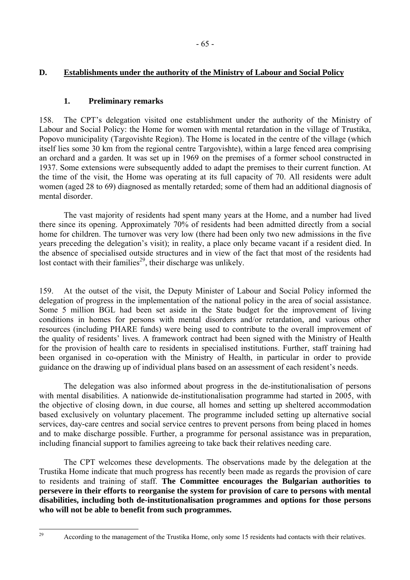## **D. Establishments under the authority of the Ministry of Labour and Social Policy**

### **1. Preliminary remarks**

158. The CPT's delegation visited one establishment under the authority of the Ministry of Labour and Social Policy: the Home for women with mental retardation in the village of Trustika, Popovo municipality (Targovishte Region). The Home is located in the centre of the village (which itself lies some 30 km from the regional centre Targovishte), within a large fenced area comprising an orchard and a garden. It was set up in 1969 on the premises of a former school constructed in 1937. Some extensions were subsequently added to adapt the premises to their current function. At the time of the visit, the Home was operating at its full capacity of 70. All residents were adult women (aged 28 to 69) diagnosed as mentally retarded; some of them had an additional diagnosis of mental disorder.

 The vast majority of residents had spent many years at the Home, and a number had lived there since its opening. Approximately 70% of residents had been admitted directly from a social home for children. The turnover was very low (there had been only two new admissions in the five years preceding the delegation's visit); in reality, a place only became vacant if a resident died. In the absence of specialised outside structures and in view of the fact that most of the residents had lost contact with their families<sup>29</sup>, their discharge was unlikely.

159. At the outset of the visit, the Deputy Minister of Labour and Social Policy informed the delegation of progress in the implementation of the national policy in the area of social assistance. Some 5 million BGL had been set aside in the State budget for the improvement of living conditions in homes for persons with mental disorders and/or retardation, and various other resources (including PHARE funds) were being used to contribute to the overall improvement of the quality of residents' lives. A framework contract had been signed with the Ministry of Health for the provision of health care to residents in specialised institutions. Further, staff training had been organised in co-operation with the Ministry of Health, in particular in order to provide guidance on the drawing up of individual plans based on an assessment of each resident's needs.

 The delegation was also informed about progress in the de-institutionalisation of persons with mental disabilities. A nationwide de-institutionalisation programme had started in 2005, with the objective of closing down, in due course, all homes and setting up sheltered accommodation based exclusively on voluntary placement. The programme included setting up alternative social services, day-care centres and social service centres to prevent persons from being placed in homes and to make discharge possible. Further, a programme for personal assistance was in preparation, including financial support to families agreeing to take back their relatives needing care.

 The CPT welcomes these developments. The observations made by the delegation at the Trustika Home indicate that much progress has recently been made as regards the provision of care to residents and training of staff. **The Committee encourages the Bulgarian authorities to persevere in their efforts to reorganise the system for provision of care to persons with mental disabilities, including both de-institutionalisation programmes and options for those persons who will not be able to benefit from such programmes.** 

<span id="page-64-0"></span>According to the management of the Trustika Home, only some 15 residents had contacts with their relatives.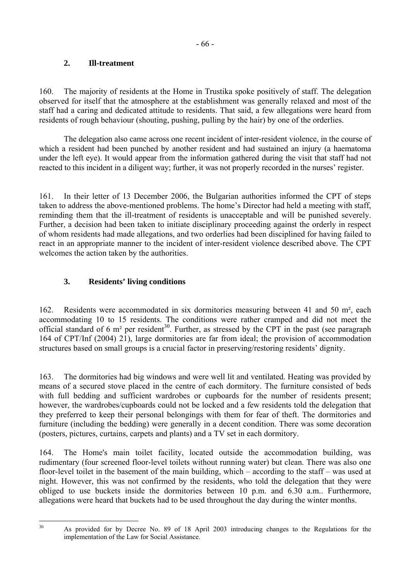## **2. Ill-treatment**

160. The majority of residents at the Home in Trustika spoke positively of staff. The delegation observed for itself that the atmosphere at the establishment was generally relaxed and most of the staff had a caring and dedicated attitude to residents. That said, a few allegations were heard from residents of rough behaviour (shouting, pushing, pulling by the hair) by one of the orderlies.

 The delegation also came across one recent incident of inter-resident violence, in the course of which a resident had been punched by another resident and had sustained an injury (a haematoma under the left eye). It would appear from the information gathered during the visit that staff had not reacted to this incident in a diligent way; further, it was not properly recorded in the nurses' register.

161. In their letter of 13 December 2006, the Bulgarian authorities informed the CPT of steps taken to address the above-mentioned problems. The home's Director had held a meeting with staff, reminding them that the ill-treatment of residents is unacceptable and will be punished severely. Further, a decision had been taken to initiate disciplinary proceeding against the orderly in respect of whom residents had made allegations, and two orderlies had been disciplined for having failed to react in an appropriate manner to the incident of inter-resident violence described above. The CPT welcomes the action taken by the authorities.

# **3. Residents' living conditions**

162. Residents were accommodated in six dormitories measuring between 41 and 50 m², each accommodating 10 to 15 residents. The conditions were rather cramped and did not meet the official standard of 6 m<sup>2</sup> per resident<sup>30</sup>. Further, as stressed by the CPT in the past (see paragraph) 164 of CPT/Inf (2004) 21), large dormitories are far from ideal; the provision of accommodation structures based on small groups is a crucial factor in preserving/restoring residents' dignity.

163. The dormitories had big windows and were well lit and ventilated. Heating was provided by means of a secured stove placed in the centre of each dormitory. The furniture consisted of beds with full bedding and sufficient wardrobes or cupboards for the number of residents present; however, the wardrobes/cupboards could not be locked and a few residents told the delegation that they preferred to keep their personal belongings with them for fear of theft. The dormitories and furniture (including the bedding) were generally in a decent condition. There was some decoration (posters, pictures, curtains, carpets and plants) and a TV set in each dormitory.

164. The Home's main toilet facility, located outside the accommodation building, was rudimentary (four screened floor-level toilets without running water) but clean. There was also one floor-level toilet in the basement of the main building, which  $-$  according to the staff  $-$  was used at night. However, this was not confirmed by the residents, who told the delegation that they were obliged to use buckets inside the dormitories between 10 p.m. and 6.30 a.m.. Furthermore, allegations were heard that buckets had to be used throughout the day during the winter months.

<span id="page-65-0"></span> $30^{\circ}$ 

As provided for by Decree No. 89 of 18 April 2003 introducing changes to the Regulations for the implementation of the Law for Social Assistance.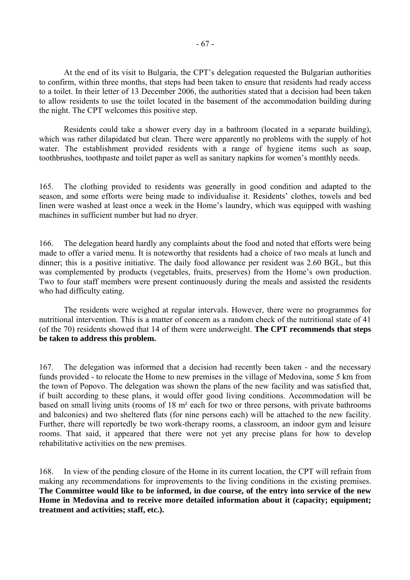At the end of its visit to Bulgaria, the CPT's delegation requested the Bulgarian authorities to confirm, within three months, that steps had been taken to ensure that residents had ready access to a toilet. In their letter of 13 December 2006, the authorities stated that a decision had been taken to allow residents to use the toilet located in the basement of the accommodation building during the night. The CPT welcomes this positive step.

 Residents could take a shower every day in a bathroom (located in a separate building), which was rather dilapidated but clean. There were apparently no problems with the supply of hot water. The establishment provided residents with a range of hygiene items such as soap, toothbrushes, toothpaste and toilet paper as well as sanitary napkins for women's monthly needs.

165. The clothing provided to residents was generally in good condition and adapted to the season, and some efforts were being made to individualise it. Residents' clothes, towels and bed linen were washed at least once a week in the Home's laundry, which was equipped with washing machines in sufficient number but had no dryer.

166. The delegation heard hardly any complaints about the food and noted that efforts were being made to offer a varied menu. It is noteworthy that residents had a choice of two meals at lunch and dinner; this is a positive initiative. The daily food allowance per resident was 2.60 BGL, but this was complemented by products (vegetables, fruits, preserves) from the Home's own production. Two to four staff members were present continuously during the meals and assisted the residents who had difficulty eating.

 The residents were weighed at regular intervals. However, there were no programmes for nutritional intervention. This is a matter of concern as a random check of the nutritional state of 41 (of the 70) residents showed that 14 of them were underweight. **The CPT recommends that steps be taken to address this problem.** 

167. The delegation was informed that a decision had recently been taken - and the necessary funds provided - to relocate the Home to new premises in the village of Medovina, some 5 km from the town of Popovo. The delegation was shown the plans of the new facility and was satisfied that, if built according to these plans, it would offer good living conditions. Accommodation will be based on small living units (rooms of 18 m² each for two or three persons, with private bathrooms and balconies) and two sheltered flats (for nine persons each) will be attached to the new facility. Further, there will reportedly be two work-therapy rooms, a classroom, an indoor gym and leisure rooms. That said, it appeared that there were not yet any precise plans for how to develop rehabilitative activities on the new premises.

168. In view of the pending closure of the Home in its current location, the CPT will refrain from making any recommendations for improvements to the living conditions in the existing premises. **The Committee would like to be informed, in due course, of the entry into service of the new Home in Medovina and to receive more detailed information about it (capacity; equipment; treatment and activities; staff, etc.).**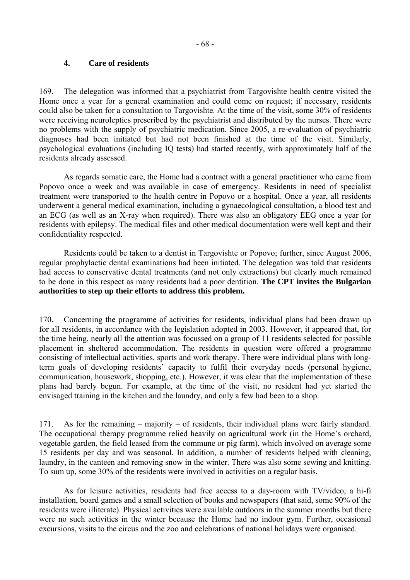#### **4. Care of residents**

169. The delegation was informed that a psychiatrist from Targovishte health centre visited the Home once a year for a general examination and could come on request; if necessary, residents could also be taken for a consultation to Targovishte. At the time of the visit, some 30% of residents were receiving neuroleptics prescribed by the psychiatrist and distributed by the nurses. There were no problems with the supply of psychiatric medication. Since 2005, a re-evaluation of psychiatric diagnoses had been initiated but had not been finished at the time of the visit. Similarly, psychological evaluations (including IQ tests) had started recently, with approximately half of the residents already assessed.

 As regards somatic care, the Home had a contract with a general practitioner who came from Popovo once a week and was available in case of emergency. Residents in need of specialist treatment were transported to the health centre in Popovo or a hospital. Once a year, all residents underwent a general medical examination, including a gynaecological consultation, a blood test and an ECG (as well as an X-ray when required). There was also an obligatory EEG once a year for residents with epilepsy. The medical files and other medical documentation were well kept and their confidentiality respected.

 Residents could be taken to a dentist in Targovishte or Popovo; further, since August 2006, regular prophylactic dental examinations had been initiated. The delegation was told that residents had access to conservative dental treatments (and not only extractions) but clearly much remained to be done in this respect as many residents had a poor dentition. **The CPT invites the Bulgarian authorities to step up their efforts to address this problem.** 

170. Concerning the programme of activities for residents, individual plans had been drawn up for all residents, in accordance with the legislation adopted in 2003. However, it appeared that, for the time being, nearly all the attention was focussed on a group of 11 residents selected for possible placement in sheltered accommodation. The residents in question were offered a programme consisting of intellectual activities, sports and work therapy. There were individual plans with longterm goals of developing residents' capacity to fulfil their everyday needs (personal hygiene, communication, housework, shopping, etc.). However, it was clear that the implementation of these plans had barely begun. For example, at the time of the visit, no resident had yet started the envisaged training in the kitchen and the laundry, and only a few had been to a shop.

171. As for the remaining  $-$  majority  $-$  of residents, their individual plans were fairly standard. The occupational therapy programme relied heavily on agricultural work (in the Home's orchard, vegetable garden, the field leased from the commune or pig farm), which involved on average some 15 residents per day and was seasonal. In addition, a number of residents helped with cleaning, laundry, in the canteen and removing snow in the winter. There was also some sewing and knitting. To sum up, some 30% of the residents were involved in activities on a regular basis.

 As for leisure activities, residents had free access to a day-room with TV/video, a hi-fi installation, board games and a small selection of books and newspapers (that said, some 90% of the residents were illiterate). Physical activities were available outdoors in the summer months but there were no such activities in the winter because the Home had no indoor gym. Further, occasional excursions, visits to the circus and the zoo and celebrations of national holidays were organised.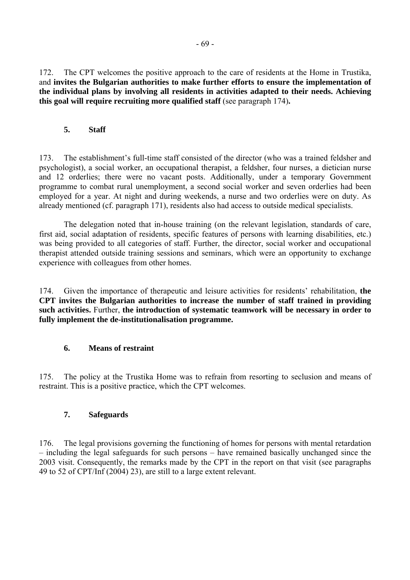172. The CPT welcomes the positive approach to the care of residents at the Home in Trustika, and **invites the Bulgarian authorities to make further efforts to ensure the implementation of the individual plans by involving all residents in activities adapted to their needs. Achieving this goal will require recruiting more qualified staff** (see paragraph 174)**.**

#### **5. Staff**

173. The establishment's full-time staff consisted of the director (who was a trained feldsher and psychologist), a social worker, an occupational therapist, a feldsher, four nurses, a dietician nurse and 12 orderlies; there were no vacant posts. Additionally, under a temporary Government programme to combat rural unemployment, a second social worker and seven orderlies had been employed for a year. At night and during weekends, a nurse and two orderlies were on duty. As already mentioned (cf. paragraph 171), residents also had access to outside medical specialists.

 The delegation noted that in-house training (on the relevant legislation, standards of care, first aid, social adaptation of residents, specific features of persons with learning disabilities, etc.) was being provided to all categories of staff. Further, the director, social worker and occupational therapist attended outside training sessions and seminars, which were an opportunity to exchange experience with colleagues from other homes.

174. Given the importance of therapeutic and leisure activities for residents' rehabilitation, the **CPT invites the Bulgarian authorities to increase the number of staff trained in providing such activities.** Further, **the introduction of systematic teamwork will be necessary in order to fully implement the de-institutionalisation programme.** 

### **6. Means of restraint**

175. The policy at the Trustika Home was to refrain from resorting to seclusion and means of restraint. This is a positive practice, which the CPT welcomes.

### **7. Safeguards**

176. The legal provisions governing the functioning of homes for persons with mental retardation – including the legal safeguards for such persons – have remained basically unchanged since the 2003 visit. Consequently, the remarks made by the CPT in the report on that visit (see paragraphs 49 to 52 of CPT/Inf (2004) 23), are still to a large extent relevant.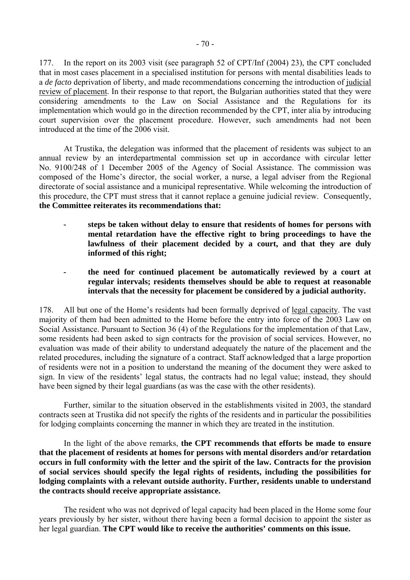177. In the report on its 2003 visit (see paragraph 52 of CPT/Inf (2004) 23), the CPT concluded that in most cases placement in a specialised institution for persons with mental disabilities leads to a *de facto* deprivation of liberty, and made recommendations concerning the introduction of judicial review of placement. In their response to that report, the Bulgarian authorities stated that they were considering amendments to the Law on Social Assistance and the Regulations for its implementation which would go in the direction recommended by the CPT, inter alia by introducing court supervision over the placement procedure. However, such amendments had not been introduced at the time of the 2006 visit.

 At Trustika, the delegation was informed that the placement of residents was subject to an annual review by an interdepartmental commission set up in accordance with circular letter No. 9100/248 of 1 December 2005 of the Agency of Social Assistance. The commission was composed of the Home's director, the social worker, a nurse, a legal adviser from the Regional directorate of social assistance and a municipal representative. While welcoming the introduction of this procedure, the CPT must stress that it cannot replace a genuine judicial review. Consequently, **the Committee reiterates its recommendations that:** 

- **steps be taken without delay to ensure that residents of homes for persons with mental retardation have the effective right to bring proceedings to have the lawfulness of their placement decided by a court, and that they are duly informed of this right;**
- **the need for continued placement be automatically reviewed by a court at regular intervals; residents themselves should be able to request at reasonable intervals that the necessity for placement be considered by a judicial authority.**

178. All but one of the Home's residents had been formally deprived of legal capacity. The vast majority of them had been admitted to the Home before the entry into force of the 2003 Law on Social Assistance. Pursuant to Section 36 (4) of the Regulations for the implementation of that Law, some residents had been asked to sign contracts for the provision of social services. However, no evaluation was made of their ability to understand adequately the nature of the placement and the related procedures, including the signature of a contract. Staff acknowledged that a large proportion of residents were not in a position to understand the meaning of the document they were asked to sign. In view of the residents' legal status, the contracts had no legal value; instead, they should have been signed by their legal guardians (as was the case with the other residents).

 Further, similar to the situation observed in the establishments visited in 2003, the standard contracts seen at Trustika did not specify the rights of the residents and in particular the possibilities for lodging complaints concerning the manner in which they are treated in the institution.

 In the light of the above remarks, **the CPT recommends that efforts be made to ensure that the placement of residents at homes for persons with mental disorders and/or retardation occurs in full conformity with the letter and the spirit of the law. Contracts for the provision of social services should specify the legal rights of residents, including the possibilities for lodging complaints with a relevant outside authority. Further, residents unable to understand the contracts should receive appropriate assistance.**

 The resident who was not deprived of legal capacity had been placed in the Home some four years previously by her sister, without there having been a formal decision to appoint the sister as her legal guardian. **The CPT would like to receive the authorities' comments on this issue.**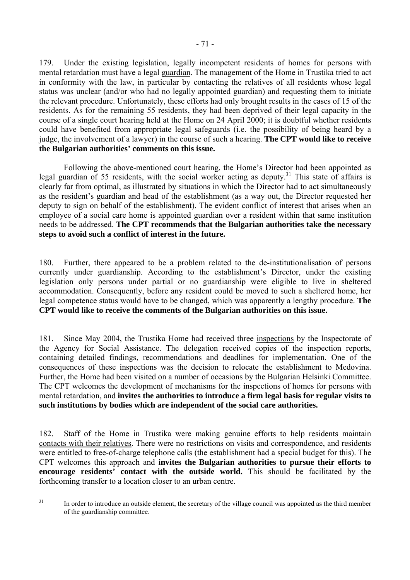179. Under the existing legislation, legally incompetent residents of homes for persons with mental retardation must have a legal guardian. The management of the Home in Trustika tried to act in conformity with the law, in particular by contacting the relatives of all residents whose legal status was unclear (and/or who had no legally appointed guardian) and requesting them to initiate the relevant procedure. Unfortunately, these efforts had only brought results in the cases of 15 of the residents. As for the remaining 55 residents, they had been deprived of their legal capacity in the course of a single court hearing held at the Home on 24 April 2000; it is doubtful whether residents could have benefited from appropriate legal safeguards (i.e. the possibility of being heard by a judge, the involvement of a lawyer) in the course of such a hearing. **The CPT would like to receive the Bulgarian authorities' comments on this issue.**

Following the above-mentioned court hearing, the Home's Director had been appointed as legal guardian of 55 residents, with the social worker acting as deputy.<sup>31</sup> This state of affairs is clearly far from optimal, as illustrated by situations in which the Director had to act simultaneously as the resident's guardian and head of the establishment (as a way out, the Director requested her deputy to sign on behalf of the establishment). The evident conflict of interest that arises when an employee of a social care home is appointed guardian over a resident within that same institution needs to be addressed. **The CPT recommends that the Bulgarian authorities take the necessary steps to avoid such a conflict of interest in the future.**

180. Further, there appeared to be a problem related to the de-institutionalisation of persons currently under guardianship. According to the establishment's Director, under the existing legislation only persons under partial or no guardianship were eligible to live in sheltered accommodation. Consequently, before any resident could be moved to such a sheltered home, her legal competence status would have to be changed, which was apparently a lengthy procedure. **The CPT would like to receive the comments of the Bulgarian authorities on this issue.** 

181. Since May 2004, the Trustika Home had received three inspections by the Inspectorate of the Agency for Social Assistance. The delegation received copies of the inspection reports, containing detailed findings, recommendations and deadlines for implementation. One of the consequences of these inspections was the decision to relocate the establishment to Medovina. Further, the Home had been visited on a number of occasions by the Bulgarian Helsinki Committee. The CPT welcomes the development of mechanisms for the inspections of homes for persons with mental retardation, and **invites the authorities to introduce a firm legal basis for regular visits to such institutions by bodies which are independent of the social care authorities.** 

182. Staff of the Home in Trustika were making genuine efforts to help residents maintain contacts with their relatives. There were no restrictions on visits and correspondence, and residents were entitled to free-of-charge telephone calls (the establishment had a special budget for this). The CPT welcomes this approach and **invites the Bulgarian authorities to pursue their efforts to encourage residents' contact with the outside world.** This should be facilitated by the forthcoming transfer to a location closer to an urban centre.

<span id="page-70-0"></span> $31$ 

In order to introduce an outside element, the secretary of the village council was appointed as the third member of the guardianship committee.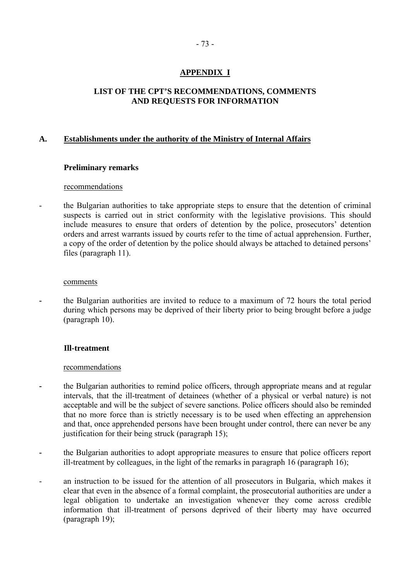# **APPENDIX I**

## **LIST OF THE CPT'S RECOMMENDATIONS, COMMENTS AND REQUESTS FOR INFORMATION**

## **A. Establishments under the authority of the Ministry of Internal Affairs**

## **Preliminary remarks**

#### recommendations

- the Bulgarian authorities to take appropriate steps to ensure that the detention of criminal suspects is carried out in strict conformity with the legislative provisions. This should include measures to ensure that orders of detention by the police, prosecutors' detention orders and arrest warrants issued by courts refer to the time of actual apprehension. Further, a copy of the order of detention by the police should always be attached to detained persons' files (paragraph 11).

#### comments

**-** the Bulgarian authorities are invited to reduce to a maximum of 72 hours the total period during which persons may be deprived of their liberty prior to being brought before a judge (paragraph 10).

## **Ill-treatment**

- the Bulgarian authorities to remind police officers, through appropriate means and at regular intervals, that the ill-treatment of detainees (whether of a physical or verbal nature) is not acceptable and will be the subject of severe sanctions. Police officers should also be reminded that no more force than is strictly necessary is to be used when effecting an apprehension and that, once apprehended persons have been brought under control, there can never be any justification for their being struck (paragraph 15);
- the Bulgarian authorities to adopt appropriate measures to ensure that police officers report ill-treatment by colleagues, in the light of the remarks in paragraph 16 (paragraph 16);
- an instruction to be issued for the attention of all prosecutors in Bulgaria, which makes it clear that even in the absence of a formal complaint, the prosecutorial authorities are under a legal obligation to undertake an investigation whenever they come across credible information that ill-treatment of persons deprived of their liberty may have occurred (paragraph 19);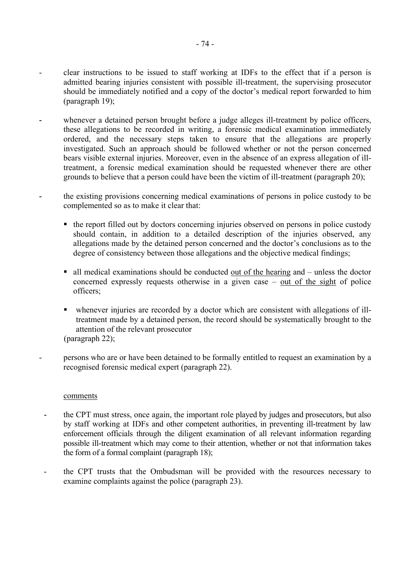- clear instructions to be issued to staff working at IDFs to the effect that if a person is admitted bearing injuries consistent with possible ill-treatment, the supervising prosecutor should be immediately notified and a copy of the doctor's medical report forwarded to him (paragraph 19);
- whenever a detained person brought before a judge alleges ill-treatment by police officers, these allegations to be recorded in writing, a forensic medical examination immediately ordered, and the necessary steps taken to ensure that the allegations are properly investigated. Such an approach should be followed whether or not the person concerned bears visible external injuries. Moreover, even in the absence of an express allegation of illtreatment, a forensic medical examination should be requested whenever there are other grounds to believe that a person could have been the victim of ill-treatment (paragraph 20);
- the existing provisions concerning medical examinations of persons in police custody to be complemented so as to make it clear that:
	- ! the report filled out by doctors concerning injuries observed on persons in police custody should contain, in addition to a detailed description of the injuries observed, any allegations made by the detained person concerned and the doctor's conclusions as to the degree of consistency between those allegations and the objective medical findings;
	- $\blacksquare$  all medical examinations should be conducted out of the hearing and  $\blacksquare$  unless the doctor concerned expressly requests otherwise in a given case  $-$  out of the sight of police officers;
	- ! whenever injuries are recorded by a doctor which are consistent with allegations of illtreatment made by a detained person, the record should be systematically brought to the attention of the relevant prosecutor (paragraph 22);
- persons who are or have been detained to be formally entitled to request an examination by a recognised forensic medical expert (paragraph 22).

- **-** the CPT must stress, once again, the important role played by judges and prosecutors, but also by staff working at IDFs and other competent authorities, in preventing ill-treatment by law enforcement officials through the diligent examination of all relevant information regarding possible ill-treatment which may come to their attention, whether or not that information takes the form of a formal complaint (paragraph 18);
- the CPT trusts that the Ombudsman will be provided with the resources necessary to examine complaints against the police (paragraph 23).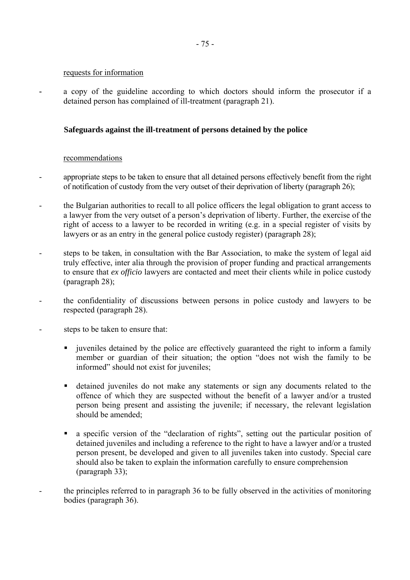#### requests for information

**-** a copy of the guideline according to which doctors should inform the prosecutor if a detained person has complained of ill-treatment (paragraph 21).

## **Safeguards against the ill-treatment of persons detained by the police**

- appropriate steps to be taken to ensure that all detained persons effectively benefit from the right of notification of custody from the very outset of their deprivation of liberty (paragraph 26);
- the Bulgarian authorities to recall to all police officers the legal obligation to grant access to a lawyer from the very outset of a person's deprivation of liberty. Further, the exercise of the right of access to a lawyer to be recorded in writing (e.g. in a special register of visits by lawyers or as an entry in the general police custody register) (paragraph 28);
- steps to be taken, in consultation with the Bar Association, to make the system of legal aid truly effective, inter alia through the provision of proper funding and practical arrangements to ensure that *ex officio* lawyers are contacted and meet their clients while in police custody (paragraph 28);
- the confidentiality of discussions between persons in police custody and lawyers to be respected (paragraph 28).
- steps to be taken to ensure that:
	- ! juveniles detained by the police are effectively guaranteed the right to inform a family member or guardian of their situation; the option "does not wish the family to be informed" should not exist for juveniles;
	- ! detained juveniles do not make any statements or sign any documents related to the offence of which they are suspected without the benefit of a lawyer and/or a trusted person being present and assisting the juvenile; if necessary, the relevant legislation should be amended;
	- a specific version of the "declaration of rights", setting out the particular position of detained juveniles and including a reference to the right to have a lawyer and/or a trusted person present, be developed and given to all juveniles taken into custody. Special care should also be taken to explain the information carefully to ensure comprehension (paragraph 33);
- the principles referred to in paragraph 36 to be fully observed in the activities of monitoring bodies (paragraph 36).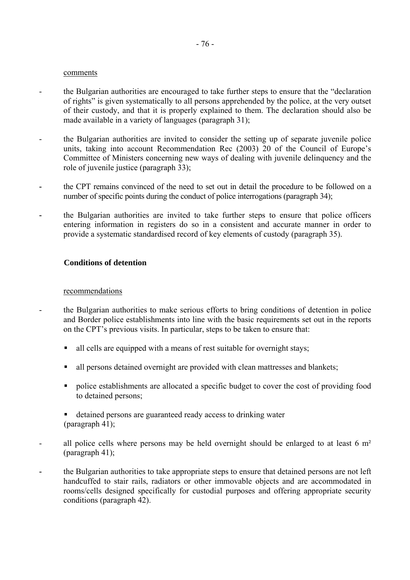- the Bulgarian authorities are encouraged to take further steps to ensure that the "declaration" of rights" is given systematically to all persons apprehended by the police, at the very outset of their custody, and that it is properly explained to them. The declaration should also be made available in a variety of languages (paragraph 31);
- the Bulgarian authorities are invited to consider the setting up of separate juvenile police units, taking into account Recommendation Rec  $(2003)$  20 of the Council of Europe's Committee of Ministers concerning new ways of dealing with juvenile delinquency and the role of juvenile justice (paragraph 33);
- the CPT remains convinced of the need to set out in detail the procedure to be followed on a number of specific points during the conduct of police interrogations (paragraph 34);
- **-** the Bulgarian authorities are invited to take further steps to ensure that police officers entering information in registers do so in a consistent and accurate manner in order to provide a systematic standardised record of key elements of custody (paragraph 35).

#### **Conditions of detention**

- the Bulgarian authorities to make serious efforts to bring conditions of detention in police and Border police establishments into line with the basic requirements set out in the reports on the CPT's previous visits. In particular, steps to be taken to ensure that:
	- I all cells are equipped with a means of rest suitable for overnight stays;
	- ! all persons detained overnight are provided with clean mattresses and blankets;
	- ! police establishments are allocated a specific budget to cover the cost of providing food to detained persons;
	- ! detained persons are guaranteed ready access to drinking water (paragraph 41);
- all police cells where persons may be held overnight should be enlarged to at least 6 m<sup>2</sup> (paragraph 41);
- the Bulgarian authorities to take appropriate steps to ensure that detained persons are not left handcuffed to stair rails, radiators or other immovable objects and are accommodated in rooms/cells designed specifically for custodial purposes and offering appropriate security conditions (paragraph 42).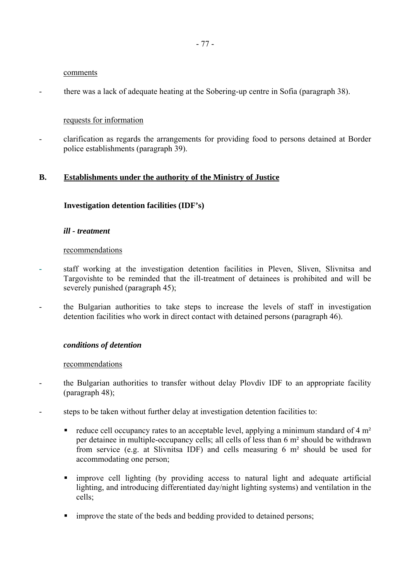- there was a lack of adequate heating at the Sobering-up centre in Sofia (paragraph 38).

### requests for information

- clarification as regards the arrangements for providing food to persons detained at Border police establishments (paragraph 39).

## **B. Establishments under the authority of the Ministry of Justice**

#### **Investigation detention facilities (IDF's)**

#### *ill - treatment*

#### recommendations

- **-** staff working at the investigation detention facilities in Pleven, Sliven, Slivnitsa and Targovishte to be reminded that the ill-treatment of detainees is prohibited and will be severely punished (paragraph 45);
- the Bulgarian authorities to take steps to increase the levels of staff in investigation detention facilities who work in direct contact with detained persons (paragraph 46).

#### *conditions of detention*

- the Bulgarian authorities to transfer without delay Plovdiv IDF to an appropriate facility (paragraph 48);
- steps to be taken without further delay at investigation detention facilities to:
	- $\blacksquare$  reduce cell occupancy rates to an acceptable level, applying a minimum standard of 4 m<sup>2</sup> per detainee in multiple-occupancy cells; all cells of less than 6 m² should be withdrawn from service (e.g. at Slivnitsa IDF) and cells measuring 6 m² should be used for accommodating one person;
	- ! improve cell lighting (by providing access to natural light and adequate artificial lighting, and introducing differentiated day/night lighting systems) and ventilation in the cells;
	- **If** improve the state of the beds and bedding provided to detained persons;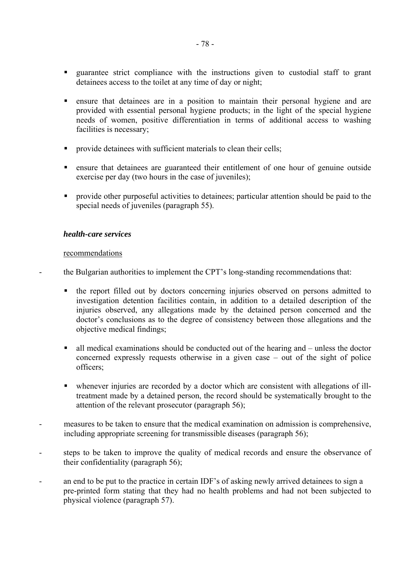- ! guarantee strict compliance with the instructions given to custodial staff to grant detainees access to the toilet at any time of day or night;
- ! ensure that detainees are in a position to maintain their personal hygiene and are provided with essential personal hygiene products; in the light of the special hygiene needs of women, positive differentiation in terms of additional access to washing facilities is necessary;
- **Perovide detainees with sufficient materials to clean their cells;**
- ! ensure that detainees are guaranteed their entitlement of one hour of genuine outside exercise per day (two hours in the case of juveniles);
- ! provide other purposeful activities to detainees; particular attention should be paid to the special needs of juveniles (paragraph 55).

#### *health-care services*

#### recommendations

the Bulgarian authorities to implement the CPT's long-standing recommendations that:

- ! the report filled out by doctors concerning injuries observed on persons admitted to investigation detention facilities contain, in addition to a detailed description of the injuries observed, any allegations made by the detained person concerned and the doctor's conclusions as to the degree of consistency between those allegations and the objective medical findings;
- $\blacksquare$  all medical examinations should be conducted out of the hearing and  $\blacksquare$  unless the doctor concerned expressly requests otherwise in a given case  $-$  out of the sight of police officers;
- ! whenever injuries are recorded by a doctor which are consistent with allegations of illtreatment made by a detained person, the record should be systematically brought to the attention of the relevant prosecutor (paragraph 56);
- measures to be taken to ensure that the medical examination on admission is comprehensive, including appropriate screening for transmissible diseases (paragraph 56);
- steps to be taken to improve the quality of medical records and ensure the observance of their confidentiality (paragraph 56);
- an end to be put to the practice in certain IDF's of asking newly arrived detainees to sign a pre-printed form stating that they had no health problems and had not been subjected to physical violence (paragraph 57).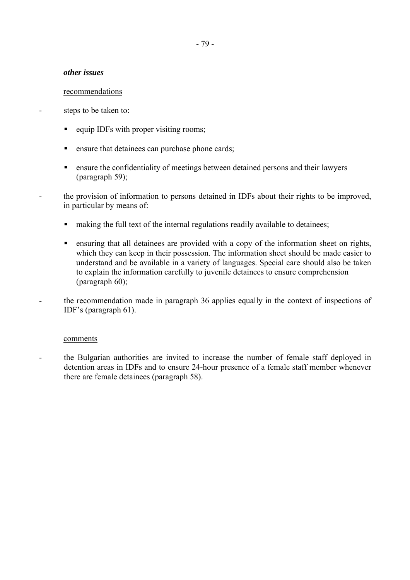### *other issues*

#### recommendations

steps to be taken to:

- equip IDFs with proper visiting rooms;
- **Example 1** ensure that detainees can purchase phone cards;
- ! ensure the confidentiality of meetings between detained persons and their lawyers (paragraph 59);
- the provision of information to persons detained in IDFs about their rights to be improved, in particular by means of:
	- making the full text of the internal regulations readily available to detainees;
	- ! ensuring that all detainees are provided with a copy of the information sheet on rights, which they can keep in their possession. The information sheet should be made easier to understand and be available in a variety of languages. Special care should also be taken to explain the information carefully to juvenile detainees to ensure comprehension (paragraph 60);
- the recommendation made in paragraph 36 applies equally in the context of inspections of IDF's (paragraph  $61$ ).

## comments

- the Bulgarian authorities are invited to increase the number of female staff deployed in detention areas in IDFs and to ensure 24-hour presence of a female staff member whenever there are female detainees (paragraph 58).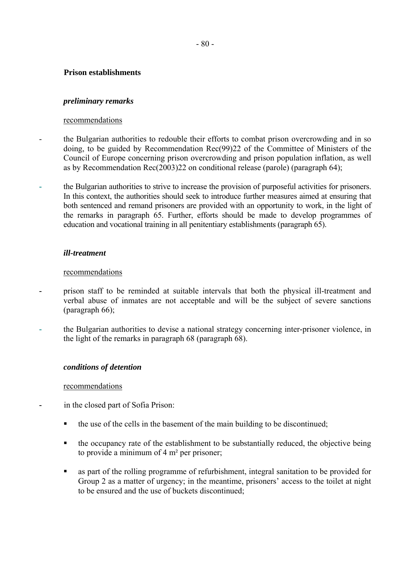## **Prison establishments**

## *preliminary remarks*

## recommendations

- the Bulgarian authorities to redouble their efforts to combat prison overcrowding and in so doing, to be guided by Recommendation Rec(99)22 of the Committee of Ministers of the Council of Europe concerning prison overcrowding and prison population inflation, as well as by Recommendation Rec(2003)22 on conditional release (parole) (paragraph 64);
- the Bulgarian authorities to strive to increase the provision of purposeful activities for prisoners. In this context, the authorities should seek to introduce further measures aimed at ensuring that both sentenced and remand prisoners are provided with an opportunity to work, in the light of the remarks in paragraph 65. Further, efforts should be made to develop programmes of education and vocational training in all penitentiary establishments (paragraph 65).

## *ill-treatment*

#### recommendations

- prison staff to be reminded at suitable intervals that both the physical ill-treatment and verbal abuse of inmates are not acceptable and will be the subject of severe sanctions (paragraph 66);
- the Bulgarian authorities to devise a national strategy concerning inter-prisoner violence, in the light of the remarks in paragraph 68 (paragraph 68).

## *conditions of detention*

- in the closed part of Sofia Prison:
	- ! the use of the cells in the basement of the main building to be discontinued;
	- ! the occupancy rate of the establishment to be substantially reduced, the objective being to provide a minimum of 4 m² per prisoner;
	- as part of the rolling programme of refurbishment, integral sanitation to be provided for Group 2 as a matter of urgency; in the meantime, prisoners' access to the toilet at night to be ensured and the use of buckets discontinued;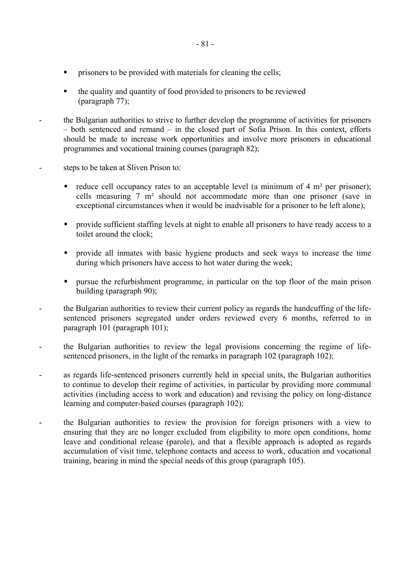- ! the quality and quantity of food provided to prisoners to be reviewed (paragraph 77);
- the Bulgarian authorities to strive to further develop the programme of activities for prisoners  $h$  both sentenced and remand  $-\bar{h}$  in the closed part of Sofia Prison. In this context, efforts should be made to increase work opportunities and involve more prisoners in educational programmes and vocational training courses (paragraph 82);
- steps to be taken at Sliven Prison to:
	- reduce cell occupancy rates to an acceptable level (a minimum of 4 m<sup>2</sup> per prisoner); cells measuring 7 m² should not accommodate more than one prisoner (save in exceptional circumstances when it would be inadvisable for a prisoner to be left alone);
	- ! provide sufficient staffing levels at night to enable all prisoners to have ready access to a toilet around the clock;
	- ! provide all inmates with basic hygiene products and seek ways to increase the time during which prisoners have access to hot water during the week;
	- ! pursue the refurbishment programme, in particular on the top floor of the main prison building (paragraph 90);
- the Bulgarian authorities to review their current policy as regards the handcuffing of the lifesentenced prisoners segregated under orders reviewed every 6 months, referred to in paragraph 101 (paragraph 101);
- the Bulgarian authorities to review the legal provisions concerning the regime of lifesentenced prisoners, in the light of the remarks in paragraph 102 (paragraph 102);
- as regards life-sentenced prisoners currently held in special units, the Bulgarian authorities to continue to develop their regime of activities, in particular by providing more communal activities (including access to work and education) and revising the policy on long-distance learning and computer-based courses (paragraph 102);
- the Bulgarian authorities to review the provision for foreign prisoners with a view to ensuring that they are no longer excluded from eligibility to more open conditions, home leave and conditional release (parole), and that a flexible approach is adopted as regards accumulation of visit time, telephone contacts and access to work, education and vocational training, bearing in mind the special needs of this group (paragraph 105).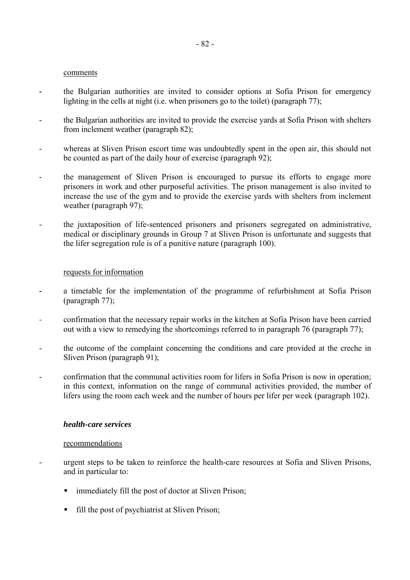- the Bulgarian authorities are invited to consider options at Sofia Prison for emergency lighting in the cells at night (i.e. when prisoners go to the toilet) (paragraph 77);
- the Bulgarian authorities are invited to provide the exercise yards at Sofia Prison with shelters from inclement weather (paragraph 82);
- whereas at Sliven Prison escort time was undoubtedly spent in the open air, this should not be counted as part of the daily hour of exercise (paragraph 92);
- the management of Sliven Prison is encouraged to pursue its efforts to engage more prisoners in work and other purposeful activities. The prison management is also invited to increase the use of the gym and to provide the exercise yards with shelters from inclement weather (paragraph 97);
- the juxtaposition of life-sentenced prisoners and prisoners segregated on administrative, medical or disciplinary grounds in Group 7 at Sliven Prison is unfortunate and suggests that the lifer segregation rule is of a punitive nature (paragraph 100).

#### requests for information

- a timetable for the implementation of the programme of refurbishment at Sofia Prison (paragraph 77);
- confirmation that the necessary repair works in the kitchen at Sofia Prison have been carried out with a view to remedying the shortcomings referred to in paragraph 76 (paragraph 77);
- the outcome of the complaint concerning the conditions and care provided at the creche in Sliven Prison (paragraph 91);
- confirmation that the communal activities room for lifers in Sofia Prison is now in operation; in this context, information on the range of communal activities provided, the number of lifers using the room each week and the number of hours per lifer per week (paragraph 102).

#### *health-care services*

- urgent steps to be taken to reinforce the health-care resources at Sofia and Sliven Prisons, and in particular to:
	- immediately fill the post of doctor at Sliven Prison;
	- fill the post of psychiatrist at Sliven Prison;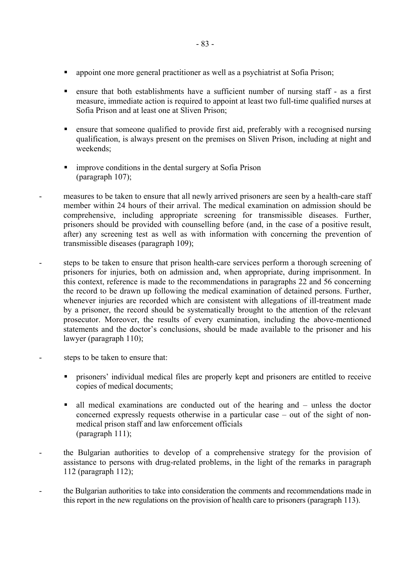- ! appoint one more general practitioner as well as a psychiatrist at Sofia Prison;
- ! ensure that both establishments have a sufficient number of nursing staff as a first measure, immediate action is required to appoint at least two full-time qualified nurses at Sofia Prison and at least one at Sliven Prison;
- ! ensure that someone qualified to provide first aid, preferably with a recognised nursing qualification, is always present on the premises on Sliven Prison, including at night and weekends;
- **Example 1** improve conditions in the dental surgery at Sofia Prison (paragraph 107);
- measures to be taken to ensure that all newly arrived prisoners are seen by a health-care staff member within 24 hours of their arrival. The medical examination on admission should be comprehensive, including appropriate screening for transmissible diseases. Further, prisoners should be provided with counselling before (and, in the case of a positive result, after) any screening test as well as with information with concerning the prevention of transmissible diseases (paragraph 109);
- steps to be taken to ensure that prison health-care services perform a thorough screening of prisoners for injuries, both on admission and, when appropriate, during imprisonment. In this context, reference is made to the recommendations in paragraphs 22 and 56 concerning the record to be drawn up following the medical examination of detained persons. Further, whenever injuries are recorded which are consistent with allegations of ill-treatment made by a prisoner, the record should be systematically brought to the attention of the relevant prosecutor. Moreover, the results of every examination, including the above-mentioned statements and the doctor's conclusions, should be made available to the prisoner and his lawyer (paragraph 110);
- steps to be taken to ensure that:
	- prisoners' individual medical files are properly kept and prisoners are entitled to receive copies of medical documents;
	- all medical examinations are conducted out of the hearing and  $-$  unless the doctor concerned expressly requests otherwise in a particular case  $-$  out of the sight of nonmedical prison staff and law enforcement officials (paragraph 111);
- the Bulgarian authorities to develop of a comprehensive strategy for the provision of assistance to persons with drug-related problems, in the light of the remarks in paragraph 112 (paragraph 112);
- the Bulgarian authorities to take into consideration the comments and recommendations made in this report in the new regulations on the provision of health care to prisoners (paragraph 113).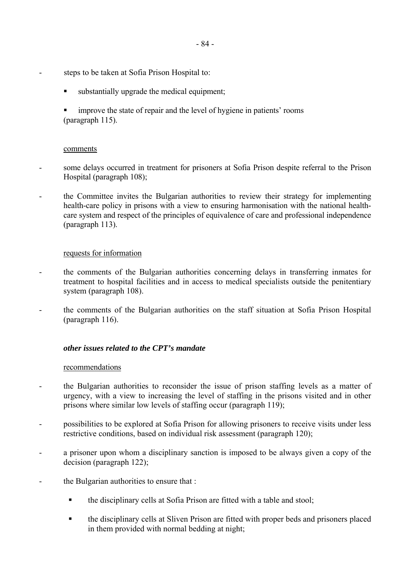- steps to be taken at Sofia Prison Hospital to:
	- substantially upgrade the medical equipment;
	- improve the state of repair and the level of hygiene in patients' rooms (paragraph 115).

- some delays occurred in treatment for prisoners at Sofia Prison despite referral to the Prison Hospital (paragraph 108);
- the Committee invites the Bulgarian authorities to review their strategy for implementing health-care policy in prisons with a view to ensuring harmonisation with the national healthcare system and respect of the principles of equivalence of care and professional independence (paragraph 113).

## requests for information

- the comments of the Bulgarian authorities concerning delays in transferring inmates for treatment to hospital facilities and in access to medical specialists outside the penitentiary system (paragraph 108).
- the comments of the Bulgarian authorities on the staff situation at Sofia Prison Hospital (paragraph 116).

## *other issues related to the CPT's mandate*

- the Bulgarian authorities to reconsider the issue of prison staffing levels as a matter of urgency, with a view to increasing the level of staffing in the prisons visited and in other prisons where similar low levels of staffing occur (paragraph 119);
- possibilities to be explored at Sofia Prison for allowing prisoners to receive visits under less restrictive conditions, based on individual risk assessment (paragraph 120);
- a prisoner upon whom a disciplinary sanction is imposed to be always given a copy of the decision (paragraph 122);
- the Bulgarian authorities to ensure that :
	- ! the disciplinary cells at Sofia Prison are fitted with a table and stool;
	- ! the disciplinary cells at Sliven Prison are fitted with proper beds and prisoners placed in them provided with normal bedding at night;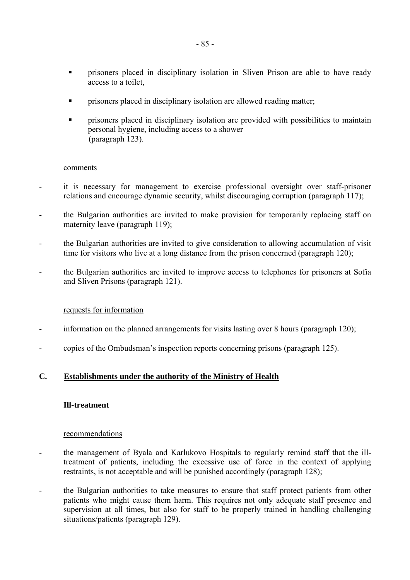- ! prisoners placed in disciplinary isolation in Sliven Prison are able to have ready access to a toilet,
- ! prisoners placed in disciplinary isolation are allowed reading matter;
- ! prisoners placed in disciplinary isolation are provided with possibilities to maintain personal hygiene, including access to a shower (paragraph 123).

- it is necessary for management to exercise professional oversight over staff-prisoner relations and encourage dynamic security, whilst discouraging corruption (paragraph 117);
- the Bulgarian authorities are invited to make provision for temporarily replacing staff on maternity leave (paragraph 119);
- the Bulgarian authorities are invited to give consideration to allowing accumulation of visit time for visitors who live at a long distance from the prison concerned (paragraph 120);
- the Bulgarian authorities are invited to improve access to telephones for prisoners at Sofia and Sliven Prisons (paragraph 121).

#### requests for information

- information on the planned arrangements for visits lasting over 8 hours (paragraph 120);
- copies of the Ombudsman's inspection reports concerning prisons (paragraph 125).

## **C. Establishments under the authority of the Ministry of Health**

#### **Ill-treatment**

- the management of Byala and Karlukovo Hospitals to regularly remind staff that the illtreatment of patients, including the excessive use of force in the context of applying restraints, is not acceptable and will be punished accordingly (paragraph 128);
- the Bulgarian authorities to take measures to ensure that staff protect patients from other patients who might cause them harm. This requires not only adequate staff presence and supervision at all times, but also for staff to be properly trained in handling challenging situations/patients (paragraph 129).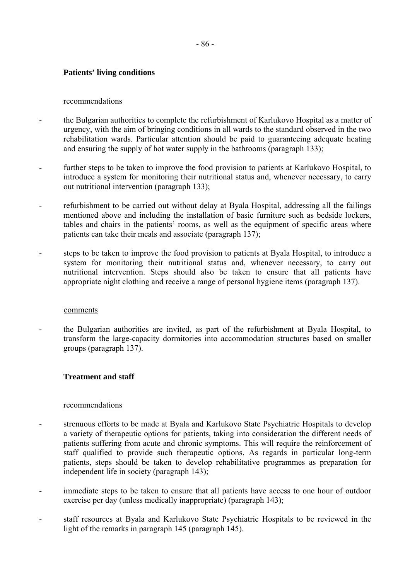## **Patients' living conditions**

#### recommendations

- the Bulgarian authorities to complete the refurbishment of Karlukovo Hospital as a matter of urgency, with the aim of bringing conditions in all wards to the standard observed in the two rehabilitation wards. Particular attention should be paid to guaranteeing adequate heating and ensuring the supply of hot water supply in the bathrooms (paragraph 133);
- further steps to be taken to improve the food provision to patients at Karlukovo Hospital, to introduce a system for monitoring their nutritional status and, whenever necessary, to carry out nutritional intervention (paragraph 133);
- refurbishment to be carried out without delay at Byala Hospital, addressing all the failings mentioned above and including the installation of basic furniture such as bedside lockers, tables and chairs in the patients' rooms, as well as the equipment of specific areas where patients can take their meals and associate (paragraph 137);
- steps to be taken to improve the food provision to patients at Byala Hospital, to introduce a system for monitoring their nutritional status and, whenever necessary, to carry out nutritional intervention. Steps should also be taken to ensure that all patients have appropriate night clothing and receive a range of personal hygiene items (paragraph 137).

#### comments

- the Bulgarian authorities are invited, as part of the refurbishment at Byala Hospital, to transform the large-capacity dormitories into accommodation structures based on smaller groups (paragraph 137).

## **Treatment and staff**

- strenuous efforts to be made at Byala and Karlukovo State Psychiatric Hospitals to develop a variety of therapeutic options for patients, taking into consideration the different needs of patients suffering from acute and chronic symptoms. This will require the reinforcement of staff qualified to provide such therapeutic options. As regards in particular long-term patients, steps should be taken to develop rehabilitative programmes as preparation for independent life in society (paragraph 143);
- immediate steps to be taken to ensure that all patients have access to one hour of outdoor exercise per day (unless medically inappropriate) (paragraph 143);
- staff resources at Byala and Karlukovo State Psychiatric Hospitals to be reviewed in the light of the remarks in paragraph 145 (paragraph 145).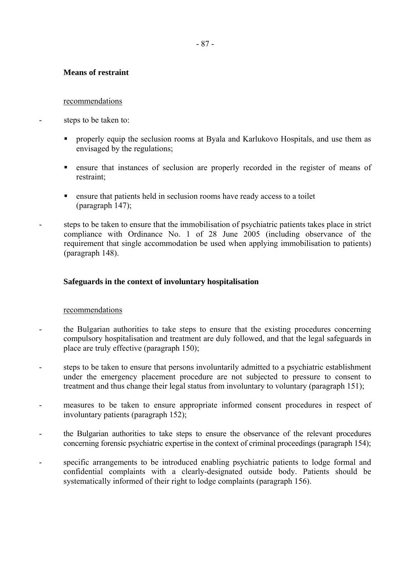## **Means of restraint**

### recommendations

- steps to be taken to:
	- ! properly equip the seclusion rooms at Byala and Karlukovo Hospitals, and use them as envisaged by the regulations;
	- ! ensure that instances of seclusion are properly recorded in the register of means of restraint;
	- ! ensure that patients held in seclusion rooms have ready access to a toilet (paragraph 147);
	- steps to be taken to ensure that the immobilisation of psychiatric patients takes place in strict compliance with Ordinance No. 1 of 28 June 2005 (including observance of the requirement that single accommodation be used when applying immobilisation to patients) (paragraph 148).

## **Safeguards in the context of involuntary hospitalisation**

- the Bulgarian authorities to take steps to ensure that the existing procedures concerning compulsory hospitalisation and treatment are duly followed, and that the legal safeguards in place are truly effective (paragraph 150);
- steps to be taken to ensure that persons involuntarily admitted to a psychiatric establishment under the emergency placement procedure are not subjected to pressure to consent to treatment and thus change their legal status from involuntary to voluntary (paragraph 151);
- measures to be taken to ensure appropriate informed consent procedures in respect of involuntary patients (paragraph 152);
- the Bulgarian authorities to take steps to ensure the observance of the relevant procedures concerning forensic psychiatric expertise in the context of criminal proceedings (paragraph 154);
- specific arrangements to be introduced enabling psychiatric patients to lodge formal and confidential complaints with a clearly-designated outside body. Patients should be systematically informed of their right to lodge complaints (paragraph 156).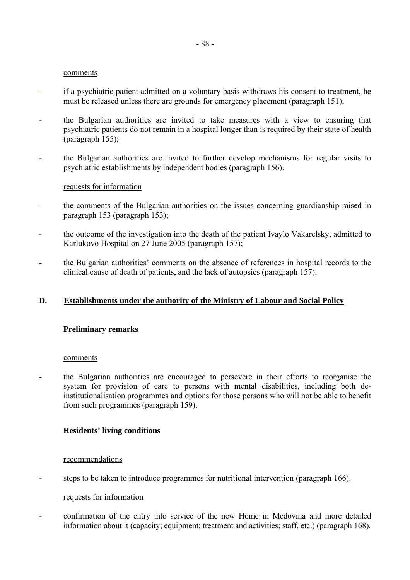- if a psychiatric patient admitted on a voluntary basis withdraws his consent to treatment, he must be released unless there are grounds for emergency placement (paragraph 151);
- the Bulgarian authorities are invited to take measures with a view to ensuring that psychiatric patients do not remain in a hospital longer than is required by their state of health (paragraph 155);
- the Bulgarian authorities are invited to further develop mechanisms for regular visits to psychiatric establishments by independent bodies (paragraph 156).

#### requests for information

- the comments of the Bulgarian authorities on the issues concerning guardianship raised in paragraph 153 (paragraph 153);
- the outcome of the investigation into the death of the patient Ivaylo Vakarelsky, admitted to Karlukovo Hospital on 27 June 2005 (paragraph 157);
- the Bulgarian authorities' comments on the absence of references in hospital records to the clinical cause of death of patients, and the lack of autopsies (paragraph 157).

## **D. Establishments under the authority of the Ministry of Labour and Social Policy**

## **Preliminary remarks**

#### comments

- the Bulgarian authorities are encouraged to persevere in their efforts to reorganise the system for provision of care to persons with mental disabilities, including both deinstitutionalisation programmes and options for those persons who will not be able to benefit from such programmes (paragraph 159).

## **Residents' living conditions**

## recommendations

- steps to be taken to introduce programmes for nutritional intervention (paragraph 166).

## requests for information

- confirmation of the entry into service of the new Home in Medovina and more detailed information about it (capacity; equipment; treatment and activities; staff, etc.) (paragraph 168).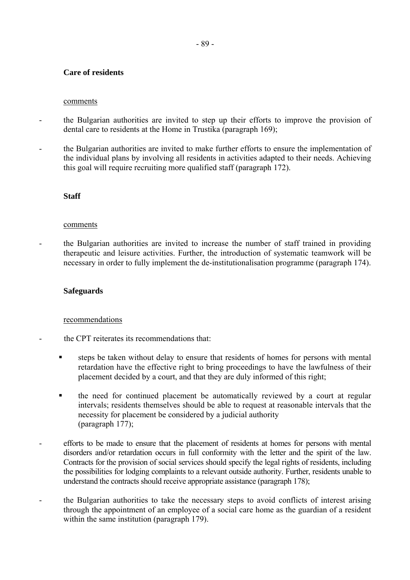## **Care of residents**

#### comments

- the Bulgarian authorities are invited to step up their efforts to improve the provision of dental care to residents at the Home in Trustika (paragraph 169);
- the Bulgarian authorities are invited to make further efforts to ensure the implementation of the individual plans by involving all residents in activities adapted to their needs. Achieving this goal will require recruiting more qualified staff (paragraph 172).

## **Staff**

#### comments

- the Bulgarian authorities are invited to increase the number of staff trained in providing therapeutic and leisure activities. Further, the introduction of systematic teamwork will be necessary in order to fully implement the de-institutionalisation programme (paragraph 174).

## **Safeguards**

- the CPT reiterates its recommendations that:
- steps be taken without delay to ensure that residents of homes for persons with mental retardation have the effective right to bring proceedings to have the lawfulness of their placement decided by a court, and that they are duly informed of this right;
- ! the need for continued placement be automatically reviewed by a court at regular intervals; residents themselves should be able to request at reasonable intervals that the necessity for placement be considered by a judicial authority (paragraph 177);
- efforts to be made to ensure that the placement of residents at homes for persons with mental disorders and/or retardation occurs in full conformity with the letter and the spirit of the law. Contracts for the provision of social services should specify the legal rights of residents, including the possibilities for lodging complaints to a relevant outside authority. Further, residents unable to understand the contracts should receive appropriate assistance (paragraph 178);
- the Bulgarian authorities to take the necessary steps to avoid conflicts of interest arising through the appointment of an employee of a social care home as the guardian of a resident within the same institution (paragraph 179).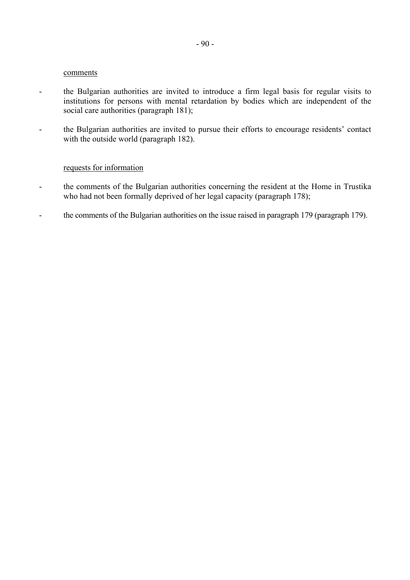- the Bulgarian authorities are invited to introduce a firm legal basis for regular visits to institutions for persons with mental retardation by bodies which are independent of the social care authorities (paragraph 181);
- the Bulgarian authorities are invited to pursue their efforts to encourage residents' contact with the outside world (paragraph 182).

#### requests for information

- the comments of the Bulgarian authorities concerning the resident at the Home in Trustika who had not been formally deprived of her legal capacity (paragraph 178);
- the comments of the Bulgarian authorities on the issue raised in paragraph 179 (paragraph 179).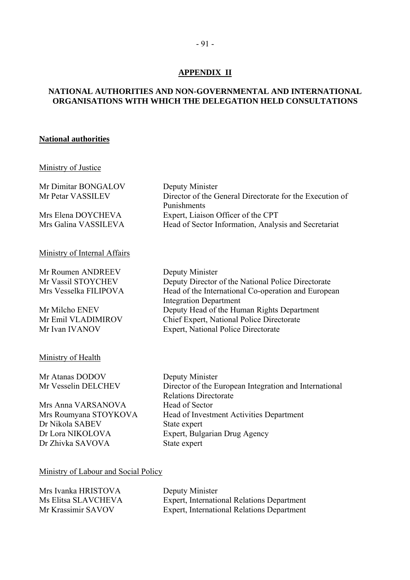## **APPENDIX II**

## **NATIONAL AUTHORITIES AND NON-GOVERNMENTAL AND INTERNATIONAL ORGANISATIONS WITH WHICH THE DELEGATION HELD CONSULTATIONS**

#### **National authorities**

## Ministry of Justice

| Mr Dimitar BONGALOV  | Deputy Minister                                          |
|----------------------|----------------------------------------------------------|
| Mr Petar VASSILEV    | Director of the General Directorate for the Execution of |
|                      | Punishments                                              |
| Mrs Elena DOYCHEVA   | Expert, Liaison Officer of the CPT                       |
| Mrs Galina VASSILEVA | Head of Sector Information, Analysis and Secretariat     |
|                      |                                                          |

#### Ministry of Internal Affairs

Mr Roumen ANDREEV Deputy Minister

Mr Vassil STOYCHEV Deputy Director of the National Police Directorate Mrs Vesselka FILIPOVA Head of the International Co-operation and European Integration Department Mr Milcho ENEV Deputy Head of the Human Rights Department Mr Emil VLADIMIROV Chief Expert, National Police Directorate Mr Ivan IVANOV Expert, National Police Directorate

## Ministry of Health

Mr Atanas DODOV Deputy Minister

Mrs Anna VARSANOVA Head of Sector Dr Nikola SABEV State expert Dr Zhivka SAVOVA State expert

Mr Vesselin DELCHEV Director of the European Integration and International Relations Directorate Mrs Roumyana STOYKOVA Head of Investment Activities Department Dr Lora NIKOLOVA Expert, Bulgarian Drug Agency

#### Ministry of Labour and Social Policy

| Mrs Ivanka HRISTOVA | Deputy Minister                            |
|---------------------|--------------------------------------------|
| Ms Elitsa SLAVCHEVA | Expert, International Relations Department |
| Mr Krassimir SAVOV  | Expert, International Relations Department |